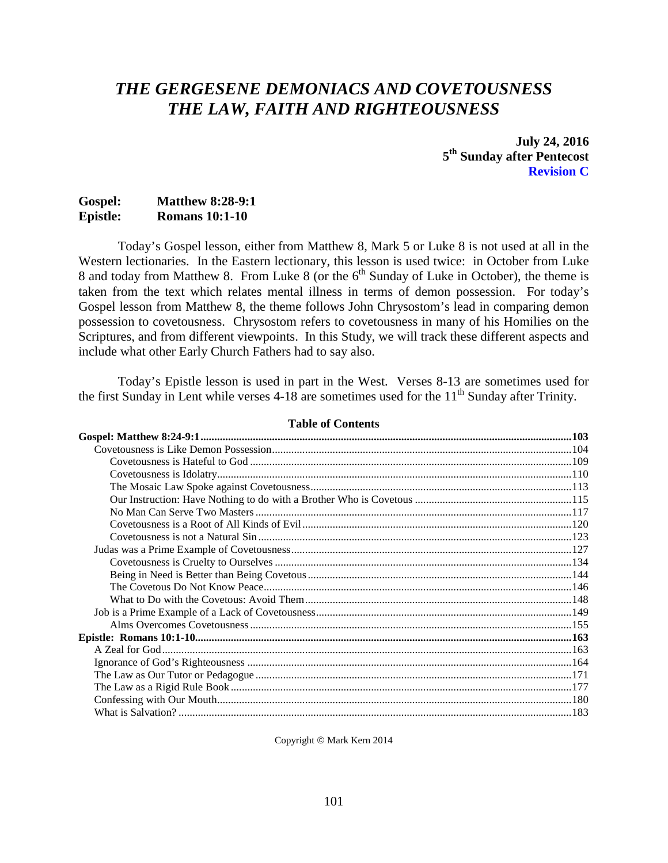# *THE GERGESENE DEMONIACS AND COVETOUSNESS THE LAW, FAITH AND RIGHTEOUSNESS*

**July 24, 2016 5th Sunday after Pentecost Revision C**

# **Gospel: Matthew 8:28-9:1 Epistle: Romans 10:1-10**

Today's Gospel lesson, either from Matthew 8, Mark 5 or Luke 8 is not used at all in the Western lectionaries. In the Eastern lectionary, this lesson is used twice: in October from Luke 8 and today from Matthew 8. From Luke 8 (or the  $6<sup>th</sup>$  Sunday of Luke in October), the theme is taken from the text which relates mental illness in terms of demon possession. For today's Gospel lesson from Matthew 8, the theme follows John Chrysostom's lead in comparing demon possession to covetousness. Chrysostom refers to covetousness in many of his Homilies on the Scriptures, and from different viewpoints. In this Study, we will track these different aspects and include what other Early Church Fathers had to say also.

Today's Epistle lesson is used in part in the West. Verses 8-13 are sometimes used for the first Sunday in Lent while verses  $4-18$  are sometimes used for the  $11<sup>th</sup>$  Sunday after Trinity.

#### **Table of Contents**

Copyright © Mark Kern 2014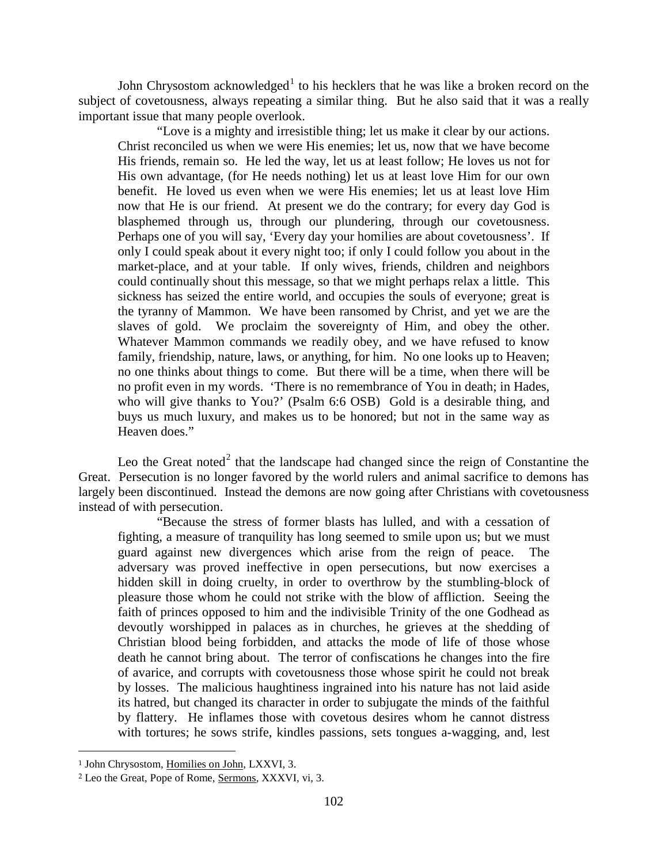John Chrysostom acknowledged<sup>[1](#page-1-0)</sup> to his hecklers that he was like a broken record on the subject of covetousness, always repeating a similar thing. But he also said that it was a really important issue that many people overlook.

"Love is a mighty and irresistible thing; let us make it clear by our actions. Christ reconciled us when we were His enemies; let us, now that we have become His friends, remain so. He led the way, let us at least follow; He loves us not for His own advantage, (for He needs nothing) let us at least love Him for our own benefit. He loved us even when we were His enemies; let us at least love Him now that He is our friend. At present we do the contrary; for every day God is blasphemed through us, through our plundering, through our covetousness. Perhaps one of you will say, 'Every day your homilies are about covetousness'. If only I could speak about it every night too; if only I could follow you about in the market-place, and at your table. If only wives, friends, children and neighbors could continually shout this message, so that we might perhaps relax a little. This sickness has seized the entire world, and occupies the souls of everyone; great is the tyranny of Mammon. We have been ransomed by Christ, and yet we are the slaves of gold. We proclaim the sovereignty of Him, and obey the other. Whatever Mammon commands we readily obey, and we have refused to know family, friendship, nature, laws, or anything, for him. No one looks up to Heaven; no one thinks about things to come. But there will be a time, when there will be no profit even in my words. 'There is no remembrance of You in death; in Hades, who will give thanks to You?' (Psalm 6:6 OSB) Gold is a desirable thing, and buys us much luxury, and makes us to be honored; but not in the same way as Heaven does."

Leo the Great noted<sup>[2](#page-1-1)</sup> that the landscape had changed since the reign of Constantine the Great. Persecution is no longer favored by the world rulers and animal sacrifice to demons has largely been discontinued. Instead the demons are now going after Christians with covetousness instead of with persecution.

"Because the stress of former blasts has lulled, and with a cessation of fighting, a measure of tranquility has long seemed to smile upon us; but we must guard against new divergences which arise from the reign of peace. The adversary was proved ineffective in open persecutions, but now exercises a hidden skill in doing cruelty, in order to overthrow by the stumbling-block of pleasure those whom he could not strike with the blow of affliction. Seeing the faith of princes opposed to him and the indivisible Trinity of the one Godhead as devoutly worshipped in palaces as in churches, he grieves at the shedding of Christian blood being forbidden, and attacks the mode of life of those whose death he cannot bring about. The terror of confiscations he changes into the fire of avarice, and corrupts with covetousness those whose spirit he could not break by losses. The malicious haughtiness ingrained into his nature has not laid aside its hatred, but changed its character in order to subjugate the minds of the faithful by flattery. He inflames those with covetous desires whom he cannot distress with tortures; he sows strife, kindles passions, sets tongues a-wagging, and, lest

<span id="page-1-0"></span><sup>1</sup> John Chrysostom, Homilies on John, LXXVI, 3.

<span id="page-1-1"></span><sup>2</sup> Leo the Great, Pope of Rome, Sermons, XXXVI, vi, 3.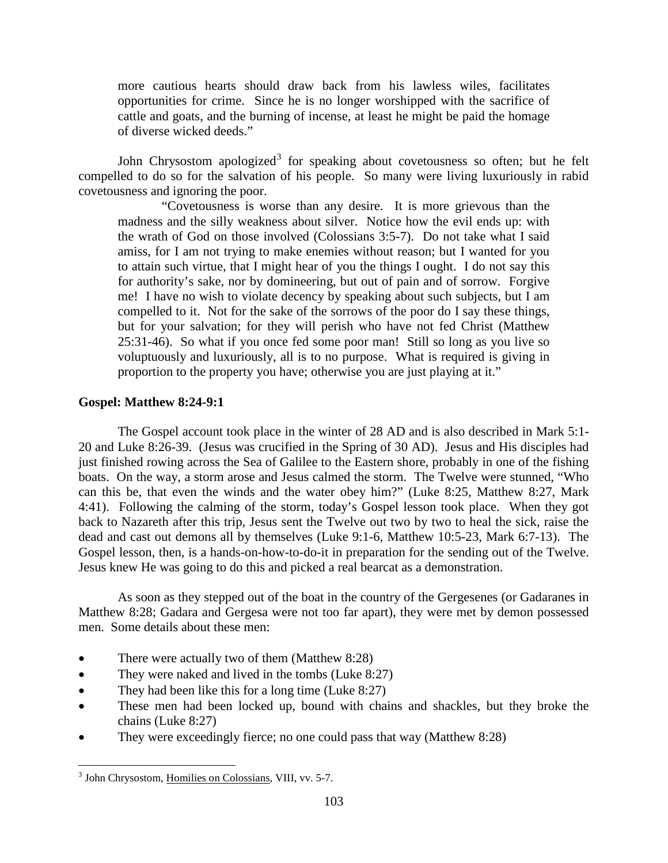more cautious hearts should draw back from his lawless wiles, facilitates opportunities for crime. Since he is no longer worshipped with the sacrifice of cattle and goats, and the burning of incense, at least he might be paid the homage of diverse wicked deeds."

John Chrysostom apologized<sup>[3](#page-2-1)</sup> for speaking about covetousness so often; but he felt compelled to do so for the salvation of his people. So many were living luxuriously in rabid covetousness and ignoring the poor.

"Covetousness is worse than any desire. It is more grievous than the madness and the silly weakness about silver. Notice how the evil ends up: with the wrath of God on those involved (Colossians 3:5-7). Do not take what I said amiss, for I am not trying to make enemies without reason; but I wanted for you to attain such virtue, that I might hear of you the things I ought. I do not say this for authority's sake, nor by domineering, but out of pain and of sorrow. Forgive me! I have no wish to violate decency by speaking about such subjects, but I am compelled to it. Not for the sake of the sorrows of the poor do I say these things, but for your salvation; for they will perish who have not fed Christ (Matthew 25:31-46). So what if you once fed some poor man! Still so long as you live so voluptuously and luxuriously, all is to no purpose. What is required is giving in proportion to the property you have; otherwise you are just playing at it."

# <span id="page-2-0"></span>**Gospel: Matthew 8:24-9:1**

The Gospel account took place in the winter of 28 AD and is also described in Mark 5:1- 20 and Luke 8:26-39. (Jesus was crucified in the Spring of 30 AD). Jesus and His disciples had just finished rowing across the Sea of Galilee to the Eastern shore, probably in one of the fishing boats. On the way, a storm arose and Jesus calmed the storm. The Twelve were stunned, "Who can this be, that even the winds and the water obey him?" (Luke 8:25, Matthew 8:27, Mark 4:41). Following the calming of the storm, today's Gospel lesson took place. When they got back to Nazareth after this trip, Jesus sent the Twelve out two by two to heal the sick, raise the dead and cast out demons all by themselves (Luke 9:1-6, Matthew 10:5-23, Mark 6:7-13). The Gospel lesson, then, is a hands-on-how-to-do-it in preparation for the sending out of the Twelve. Jesus knew He was going to do this and picked a real bearcat as a demonstration.

As soon as they stepped out of the boat in the country of the Gergesenes (or Gadaranes in Matthew 8:28; Gadara and Gergesa were not too far apart), they were met by demon possessed men. Some details about these men:

- There were actually two of them (Matthew 8:28)
- They were naked and lived in the tombs (Luke 8:27)
- They had been like this for a long time (Luke 8:27)
- These men had been locked up, bound with chains and shackles, but they broke the chains (Luke 8:27)
- They were exceedingly fierce; no one could pass that way (Matthew 8:28)

<span id="page-2-1"></span><sup>&</sup>lt;sup>3</sup> John Chrysostom, Homilies on Colossians, VIII, vv. 5-7.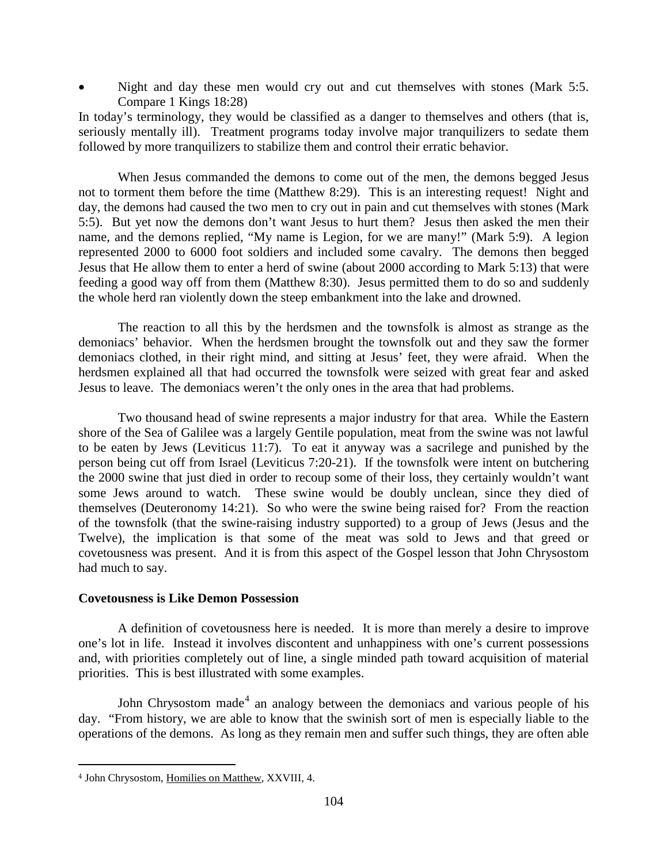Night and day these men would cry out and cut themselves with stones (Mark 5:5. Compare 1 Kings 18:28)

In today's terminology, they would be classified as a danger to themselves and others (that is, seriously mentally ill). Treatment programs today involve major tranquilizers to sedate them followed by more tranquilizers to stabilize them and control their erratic behavior.

When Jesus commanded the demons to come out of the men, the demons begged Jesus not to torment them before the time (Matthew 8:29). This is an interesting request! Night and day, the demons had caused the two men to cry out in pain and cut themselves with stones (Mark 5:5). But yet now the demons don't want Jesus to hurt them? Jesus then asked the men their name, and the demons replied, "My name is Legion, for we are many!" (Mark 5:9). A legion represented 2000 to 6000 foot soldiers and included some cavalry. The demons then begged Jesus that He allow them to enter a herd of swine (about 2000 according to Mark 5:13) that were feeding a good way off from them (Matthew 8:30). Jesus permitted them to do so and suddenly the whole herd ran violently down the steep embankment into the lake and drowned.

The reaction to all this by the herdsmen and the townsfolk is almost as strange as the demoniacs' behavior. When the herdsmen brought the townsfolk out and they saw the former demoniacs clothed, in their right mind, and sitting at Jesus' feet, they were afraid. When the herdsmen explained all that had occurred the townsfolk were seized with great fear and asked Jesus to leave. The demoniacs weren't the only ones in the area that had problems.

Two thousand head of swine represents a major industry for that area. While the Eastern shore of the Sea of Galilee was a largely Gentile population, meat from the swine was not lawful to be eaten by Jews (Leviticus 11:7). To eat it anyway was a sacrilege and punished by the person being cut off from Israel (Leviticus 7:20-21). If the townsfolk were intent on butchering the 2000 swine that just died in order to recoup some of their loss, they certainly wouldn't want some Jews around to watch. These swine would be doubly unclean, since they died of themselves (Deuteronomy 14:21). So who were the swine being raised for? From the reaction of the townsfolk (that the swine-raising industry supported) to a group of Jews (Jesus and the Twelve), the implication is that some of the meat was sold to Jews and that greed or covetousness was present. And it is from this aspect of the Gospel lesson that John Chrysostom had much to say.

# <span id="page-3-0"></span>**Covetousness is Like Demon Possession**

A definition of covetousness here is needed. It is more than merely a desire to improve one's lot in life. Instead it involves discontent and unhappiness with one's current possessions and, with priorities completely out of line, a single minded path toward acquisition of material priorities. This is best illustrated with some examples.

John Chrysostom made<sup>[4](#page-3-1)</sup> an analogy between the demoniacs and various people of his day. "From history, we are able to know that the swinish sort of men is especially liable to the operations of the demons. As long as they remain men and suffer such things, they are often able

<span id="page-3-1"></span><sup>4</sup> John Chrysostom, Homilies on Matthew, XXVIII, 4.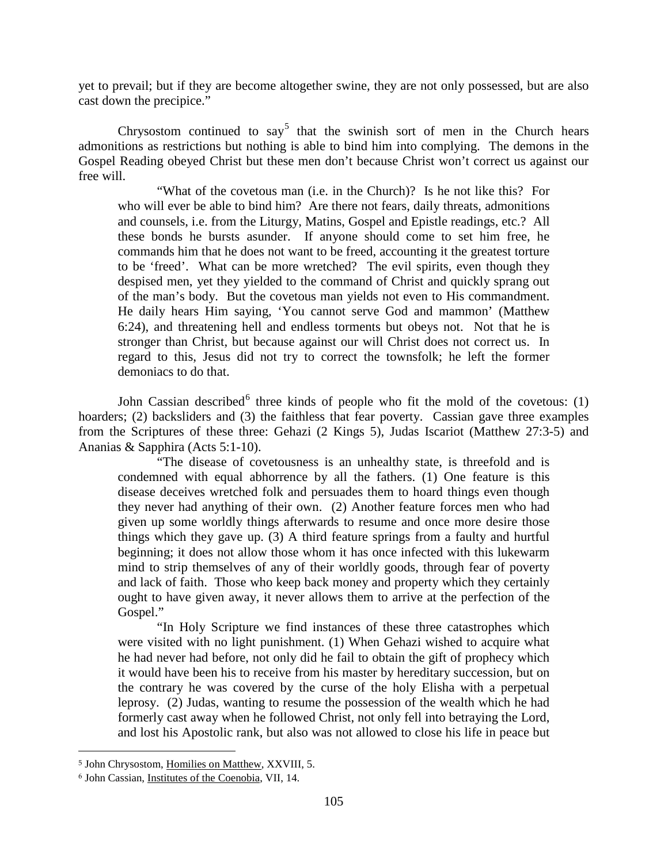yet to prevail; but if they are become altogether swine, they are not only possessed, but are also cast down the precipice."

Chrysostom continued to say<sup>[5](#page-4-0)</sup> that the swinish sort of men in the Church hears admonitions as restrictions but nothing is able to bind him into complying. The demons in the Gospel Reading obeyed Christ but these men don't because Christ won't correct us against our free will.

"What of the covetous man (i.e. in the Church)? Is he not like this? For who will ever be able to bind him? Are there not fears, daily threats, admonitions and counsels, i.e. from the Liturgy, Matins, Gospel and Epistle readings, etc.? All these bonds he bursts asunder. If anyone should come to set him free, he commands him that he does not want to be freed, accounting it the greatest torture to be 'freed'. What can be more wretched? The evil spirits, even though they despised men, yet they yielded to the command of Christ and quickly sprang out of the man's body. But the covetous man yields not even to His commandment. He daily hears Him saying, 'You cannot serve God and mammon' (Matthew 6:24), and threatening hell and endless torments but obeys not. Not that he is stronger than Christ, but because against our will Christ does not correct us. In regard to this, Jesus did not try to correct the townsfolk; he left the former demoniacs to do that.

John Cassian described<sup>[6](#page-4-1)</sup> three kinds of people who fit the mold of the covetous: (1) hoarders; (2) backsliders and (3) the faithless that fear poverty. Cassian gave three examples from the Scriptures of these three: Gehazi (2 Kings 5), Judas Iscariot (Matthew 27:3-5) and Ananias & Sapphira (Acts 5:1-10).

"The disease of covetousness is an unhealthy state, is threefold and is condemned with equal abhorrence by all the fathers. (1) One feature is this disease deceives wretched folk and persuades them to hoard things even though they never had anything of their own. (2) Another feature forces men who had given up some worldly things afterwards to resume and once more desire those things which they gave up. (3) A third feature springs from a faulty and hurtful beginning; it does not allow those whom it has once infected with this lukewarm mind to strip themselves of any of their worldly goods, through fear of poverty and lack of faith. Those who keep back money and property which they certainly ought to have given away, it never allows them to arrive at the perfection of the Gospel."

"In Holy Scripture we find instances of these three catastrophes which were visited with no light punishment. (1) When Gehazi wished to acquire what he had never had before, not only did he fail to obtain the gift of prophecy which it would have been his to receive from his master by hereditary succession, but on the contrary he was covered by the curse of the holy Elisha with a perpetual leprosy. (2) Judas, wanting to resume the possession of the wealth which he had formerly cast away when he followed Christ, not only fell into betraying the Lord, and lost his Apostolic rank, but also was not allowed to close his life in peace but

<span id="page-4-0"></span><sup>5</sup> John Chrysostom, Homilies on Matthew, XXVIII, 5.

<span id="page-4-1"></span><sup>6</sup> John Cassian, Institutes of the Coenobia, VII, 14.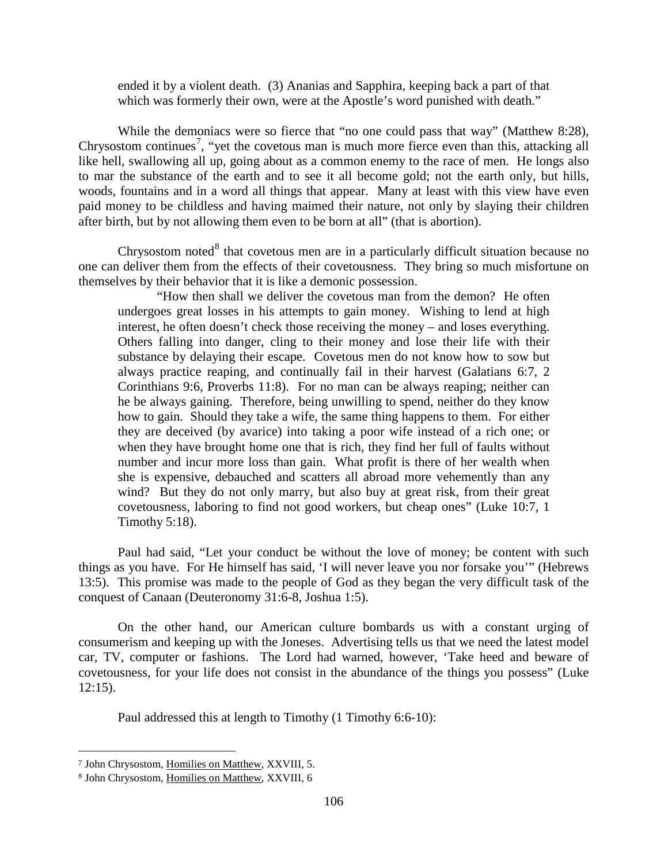ended it by a violent death. (3) Ananias and Sapphira, keeping back a part of that which was formerly their own, were at the Apostle's word punished with death."

While the demoniacs were so fierce that "no one could pass that way" (Matthew 8:28), Chrysostom continues<sup>[7](#page-5-0)</sup>, "yet the covetous man is much more fierce even than this, attacking all like hell, swallowing all up, going about as a common enemy to the race of men. He longs also to mar the substance of the earth and to see it all become gold; not the earth only, but hills, woods, fountains and in a word all things that appear. Many at least with this view have even paid money to be childless and having maimed their nature, not only by slaying their children after birth, but by not allowing them even to be born at all" (that is abortion).

Chrysostom noted $8$  that covetous men are in a particularly difficult situation because no one can deliver them from the effects of their covetousness. They bring so much misfortune on themselves by their behavior that it is like a demonic possession.

"How then shall we deliver the covetous man from the demon? He often undergoes great losses in his attempts to gain money. Wishing to lend at high interest, he often doesn't check those receiving the money – and loses everything. Others falling into danger, cling to their money and lose their life with their substance by delaying their escape. Covetous men do not know how to sow but always practice reaping, and continually fail in their harvest (Galatians 6:7, 2 Corinthians 9:6, Proverbs 11:8). For no man can be always reaping; neither can he be always gaining. Therefore, being unwilling to spend, neither do they know how to gain. Should they take a wife, the same thing happens to them. For either they are deceived (by avarice) into taking a poor wife instead of a rich one; or when they have brought home one that is rich, they find her full of faults without number and incur more loss than gain. What profit is there of her wealth when she is expensive, debauched and scatters all abroad more vehemently than any wind? But they do not only marry, but also buy at great risk, from their great covetousness, laboring to find not good workers, but cheap ones" (Luke 10:7, 1 Timothy 5:18).

Paul had said, "Let your conduct be without the love of money; be content with such things as you have. For He himself has said, 'I will never leave you nor forsake you'" (Hebrews 13:5). This promise was made to the people of God as they began the very difficult task of the conquest of Canaan (Deuteronomy 31:6-8, Joshua 1:5).

On the other hand, our American culture bombards us with a constant urging of consumerism and keeping up with the Joneses. Advertising tells us that we need the latest model car, TV, computer or fashions. The Lord had warned, however, 'Take heed and beware of covetousness, for your life does not consist in the abundance of the things you possess" (Luke 12:15).

Paul addressed this at length to Timothy (1 Timothy 6:6-10):

<span id="page-5-0"></span><sup>7</sup> John Chrysostom, Homilies on Matthew, XXVIII, 5.

<span id="page-5-1"></span><sup>8</sup> John Chrysostom, Homilies on Matthew, XXVIII, 6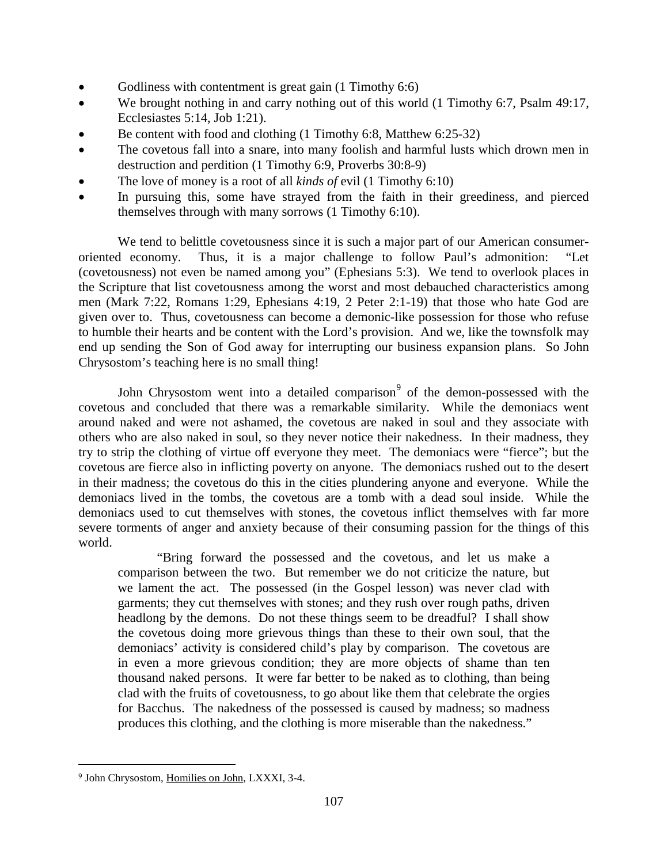- Godliness with contentment is great gain  $(1 \text{ Timothy } 6.6)$
- We brought nothing in and carry nothing out of this world (1 Timothy 6:7, Psalm 49:17, Ecclesiastes 5:14, Job 1:21).
- Be content with food and clothing (1 Timothy 6:8, Matthew 6:25-32)
- The covetous fall into a snare, into many foolish and harmful lusts which drown men in destruction and perdition (1 Timothy 6:9, Proverbs 30:8-9)
- The love of money is a root of all *kinds of* evil (1 Timothy 6:10)
- In pursuing this, some have strayed from the faith in their greediness, and pierced themselves through with many sorrows (1 Timothy 6:10).

We tend to belittle covetousness since it is such a major part of our American consumeroriented economy. Thus, it is a major challenge to follow Paul's admonition: "Let (covetousness) not even be named among you" (Ephesians 5:3). We tend to overlook places in the Scripture that list covetousness among the worst and most debauched characteristics among men (Mark 7:22, Romans 1:29, Ephesians 4:19, 2 Peter 2:1-19) that those who hate God are given over to. Thus, covetousness can become a demonic-like possession for those who refuse to humble their hearts and be content with the Lord's provision. And we, like the townsfolk may end up sending the Son of God away for interrupting our business expansion plans. So John Chrysostom's teaching here is no small thing!

John Chrysostom went into a detailed comparison<sup>[9](#page-6-0)</sup> of the demon-possessed with the covetous and concluded that there was a remarkable similarity. While the demoniacs went around naked and were not ashamed, the covetous are naked in soul and they associate with others who are also naked in soul, so they never notice their nakedness. In their madness, they try to strip the clothing of virtue off everyone they meet. The demoniacs were "fierce"; but the covetous are fierce also in inflicting poverty on anyone. The demoniacs rushed out to the desert in their madness; the covetous do this in the cities plundering anyone and everyone. While the demoniacs lived in the tombs, the covetous are a tomb with a dead soul inside. While the demoniacs used to cut themselves with stones, the covetous inflict themselves with far more severe torments of anger and anxiety because of their consuming passion for the things of this world.

"Bring forward the possessed and the covetous, and let us make a comparison between the two. But remember we do not criticize the nature, but we lament the act. The possessed (in the Gospel lesson) was never clad with garments; they cut themselves with stones; and they rush over rough paths, driven headlong by the demons. Do not these things seem to be dreadful? I shall show the covetous doing more grievous things than these to their own soul, that the demoniacs' activity is considered child's play by comparison. The covetous are in even a more grievous condition; they are more objects of shame than ten thousand naked persons. It were far better to be naked as to clothing, than being clad with the fruits of covetousness, to go about like them that celebrate the orgies for Bacchus. The nakedness of the possessed is caused by madness; so madness produces this clothing, and the clothing is more miserable than the nakedness."

<span id="page-6-0"></span><sup>9</sup> John Chrysostom, Homilies on John, LXXXI, 3-4.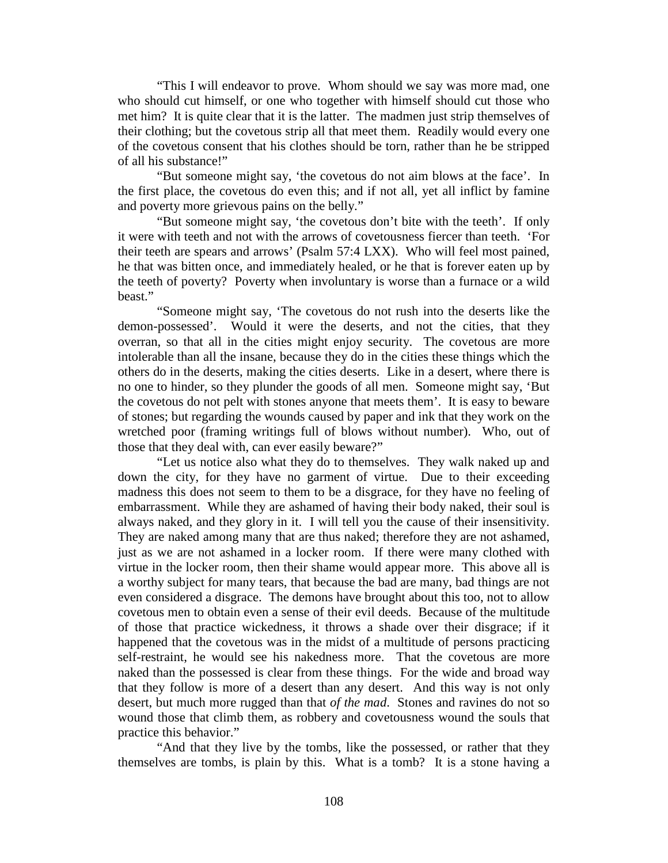"This I will endeavor to prove. Whom should we say was more mad, one who should cut himself, or one who together with himself should cut those who met him? It is quite clear that it is the latter. The madmen just strip themselves of their clothing; but the covetous strip all that meet them. Readily would every one of the covetous consent that his clothes should be torn, rather than he be stripped of all his substance!"

"But someone might say, 'the covetous do not aim blows at the face'. In the first place, the covetous do even this; and if not all, yet all inflict by famine and poverty more grievous pains on the belly."

"But someone might say, 'the covetous don't bite with the teeth'. If only it were with teeth and not with the arrows of covetousness fiercer than teeth. 'For their teeth are spears and arrows' (Psalm 57:4 LXX). Who will feel most pained, he that was bitten once, and immediately healed, or he that is forever eaten up by the teeth of poverty? Poverty when involuntary is worse than a furnace or a wild beast."

"Someone might say, 'The covetous do not rush into the deserts like the demon-possessed'. Would it were the deserts, and not the cities, that they overran, so that all in the cities might enjoy security. The covetous are more intolerable than all the insane, because they do in the cities these things which the others do in the deserts, making the cities deserts. Like in a desert, where there is no one to hinder, so they plunder the goods of all men. Someone might say, 'But the covetous do not pelt with stones anyone that meets them'. It is easy to beware of stones; but regarding the wounds caused by paper and ink that they work on the wretched poor (framing writings full of blows without number). Who, out of those that they deal with, can ever easily beware?"

"Let us notice also what they do to themselves. They walk naked up and down the city, for they have no garment of virtue. Due to their exceeding madness this does not seem to them to be a disgrace, for they have no feeling of embarrassment. While they are ashamed of having their body naked, their soul is always naked, and they glory in it. I will tell you the cause of their insensitivity. They are naked among many that are thus naked; therefore they are not ashamed, just as we are not ashamed in a locker room. If there were many clothed with virtue in the locker room, then their shame would appear more. This above all is a worthy subject for many tears, that because the bad are many, bad things are not even considered a disgrace. The demons have brought about this too, not to allow covetous men to obtain even a sense of their evil deeds. Because of the multitude of those that practice wickedness, it throws a shade over their disgrace; if it happened that the covetous was in the midst of a multitude of persons practicing self-restraint, he would see his nakedness more. That the covetous are more naked than the possessed is clear from these things. For the wide and broad way that they follow is more of a desert than any desert. And this way is not only desert, but much more rugged than that *of the mad*. Stones and ravines do not so wound those that climb them, as robbery and covetousness wound the souls that practice this behavior."

"And that they live by the tombs, like the possessed, or rather that they themselves are tombs, is plain by this. What is a tomb? It is a stone having a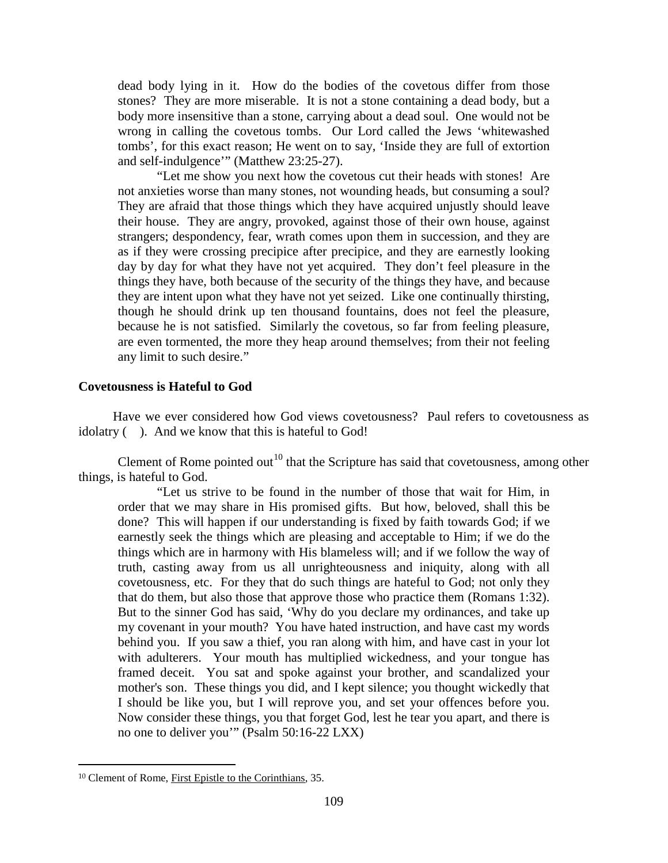dead body lying in it. How do the bodies of the covetous differ from those stones? They are more miserable. It is not a stone containing a dead body, but a body more insensitive than a stone, carrying about a dead soul. One would not be wrong in calling the covetous tombs. Our Lord called the Jews 'whitewashed tombs', for this exact reason; He went on to say, 'Inside they are full of extortion and self-indulgence'" (Matthew 23:25-27).

"Let me show you next how the covetous cut their heads with stones! Are not anxieties worse than many stones, not wounding heads, but consuming a soul? They are afraid that those things which they have acquired unjustly should leave their house. They are angry, provoked, against those of their own house, against strangers; despondency, fear, wrath comes upon them in succession, and they are as if they were crossing precipice after precipice, and they are earnestly looking day by day for what they have not yet acquired. They don't feel pleasure in the things they have, both because of the security of the things they have, and because they are intent upon what they have not yet seized. Like one continually thirsting, though he should drink up ten thousand fountains, does not feel the pleasure, because he is not satisfied. Similarly the covetous, so far from feeling pleasure, are even tormented, the more they heap around themselves; from their not feeling any limit to such desire."

# <span id="page-8-0"></span>**Covetousness is Hateful to God**

Have we ever considered how God views covetousness? Paul refers to covetousness as idolatry ( ). And we know that this is hateful to God!

Clement of Rome pointed out<sup>[10](#page-8-1)</sup> that the Scripture has said that covetousness, among other things, is hateful to God.

"Let us strive to be found in the number of those that wait for Him, in order that we may share in His promised gifts. But how, beloved, shall this be done? This will happen if our understanding is fixed by faith towards God; if we earnestly seek the things which are pleasing and acceptable to Him; if we do the things which are in harmony with His blameless will; and if we follow the way of truth, casting away from us all unrighteousness and iniquity, along with all covetousness, etc. For they that do such things are hateful to God; not only they that do them, but also those that approve those who practice them (Romans 1:32). But to the sinner God has said, 'Why do you declare my ordinances, and take up my covenant in your mouth? You have hated instruction, and have cast my words behind you. If you saw a thief, you ran along with him, and have cast in your lot with adulterers. Your mouth has multiplied wickedness, and your tongue has framed deceit. You sat and spoke against your brother, and scandalized your mother's son. These things you did, and I kept silence; you thought wickedly that I should be like you, but I will reprove you, and set your offences before you. Now consider these things, you that forget God, lest he tear you apart, and there is no one to deliver you'" (Psalm 50:16-22 LXX)

<span id="page-8-1"></span> $\overline{a}$ <sup>10</sup> Clement of Rome, First Epistle to the Corinthians, 35.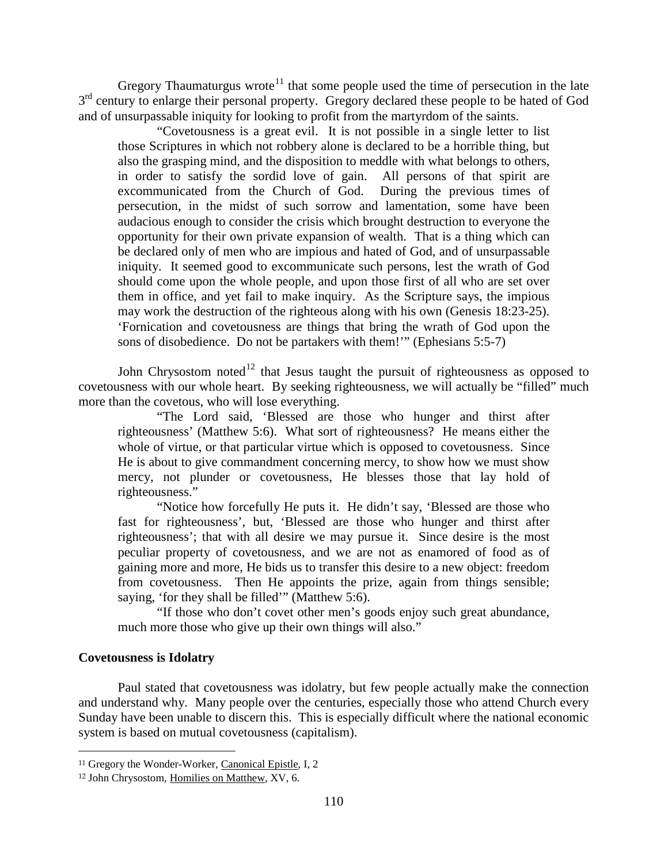Gregory Thaumaturgus wrote<sup>[11](#page-9-1)</sup> that some people used the time of persecution in the late 3<sup>rd</sup> century to enlarge their personal property. Gregory declared these people to be hated of God and of unsurpassable iniquity for looking to profit from the martyrdom of the saints.

"Covetousness is a great evil. It is not possible in a single letter to list those Scriptures in which not robbery alone is declared to be a horrible thing, but also the grasping mind, and the disposition to meddle with what belongs to others, in order to satisfy the sordid love of gain. All persons of that spirit are in order to satisfy the sordid love of gain. excommunicated from the Church of God. During the previous times of persecution, in the midst of such sorrow and lamentation, some have been audacious enough to consider the crisis which brought destruction to everyone the opportunity for their own private expansion of wealth. That is a thing which can be declared only of men who are impious and hated of God, and of unsurpassable iniquity. It seemed good to excommunicate such persons, lest the wrath of God should come upon the whole people, and upon those first of all who are set over them in office, and yet fail to make inquiry. As the Scripture says, the impious may work the destruction of the righteous along with his own (Genesis 18:23-25). 'Fornication and covetousness are things that bring the wrath of God upon the sons of disobedience. Do not be partakers with them!'" (Ephesians 5:5-7)

John Chrysostom noted<sup>[12](#page-9-2)</sup> that Jesus taught the pursuit of righteousness as opposed to covetousness with our whole heart. By seeking righteousness, we will actually be "filled" much more than the covetous, who will lose everything.

"The Lord said, 'Blessed are those who hunger and thirst after righteousness' (Matthew 5:6). What sort of righteousness? He means either the whole of virtue, or that particular virtue which is opposed to covetousness. Since He is about to give commandment concerning mercy, to show how we must show mercy, not plunder or covetousness, He blesses those that lay hold of righteousness."

"Notice how forcefully He puts it. He didn't say, 'Blessed are those who fast for righteousness', but, 'Blessed are those who hunger and thirst after righteousness'; that with all desire we may pursue it. Since desire is the most peculiar property of covetousness, and we are not as enamored of food as of gaining more and more, He bids us to transfer this desire to a new object: freedom from covetousness. Then He appoints the prize, again from things sensible; saying, 'for they shall be filled'" (Matthew 5:6).

"If those who don't covet other men's goods enjoy such great abundance, much more those who give up their own things will also."

# <span id="page-9-0"></span>**Covetousness is Idolatry**

 $\overline{a}$ 

Paul stated that covetousness was idolatry, but few people actually make the connection and understand why. Many people over the centuries, especially those who attend Church every Sunday have been unable to discern this. This is especially difficult where the national economic system is based on mutual covetousness (capitalism).

<span id="page-9-1"></span><sup>11</sup> Gregory the Wonder-Worker, Canonical Epistle, I, 2

<span id="page-9-2"></span><sup>12</sup> John Chrysostom, Homilies on Matthew, XV, 6.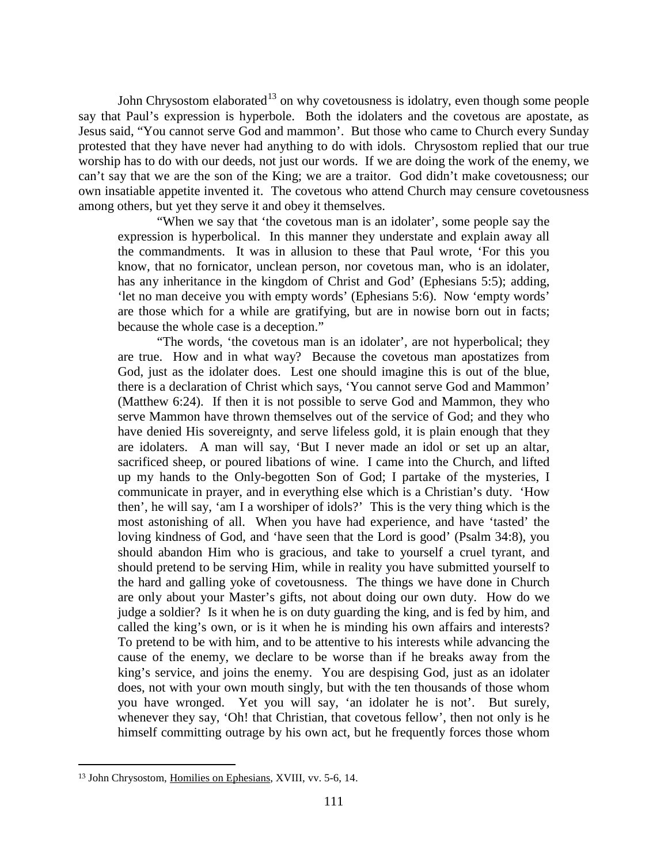John Chrysostom elaborated<sup>[13](#page-10-0)</sup> on why covetousness is idolatry, even though some people say that Paul's expression is hyperbole. Both the idolaters and the covetous are apostate, as Jesus said, "You cannot serve God and mammon'. But those who came to Church every Sunday protested that they have never had anything to do with idols. Chrysostom replied that our true worship has to do with our deeds, not just our words. If we are doing the work of the enemy, we can't say that we are the son of the King; we are a traitor. God didn't make covetousness; our own insatiable appetite invented it. The covetous who attend Church may censure covetousness among others, but yet they serve it and obey it themselves.

"When we say that 'the covetous man is an idolater', some people say the expression is hyperbolical. In this manner they understate and explain away all the commandments. It was in allusion to these that Paul wrote, 'For this you know, that no fornicator, unclean person, nor covetous man, who is an idolater, has any inheritance in the kingdom of Christ and God' (Ephesians 5:5); adding, 'let no man deceive you with empty words' (Ephesians 5:6). Now 'empty words' are those which for a while are gratifying, but are in nowise born out in facts; because the whole case is a deception."

"The words, 'the covetous man is an idolater', are not hyperbolical; they are true. How and in what way? Because the covetous man apostatizes from God, just as the idolater does. Lest one should imagine this is out of the blue, there is a declaration of Christ which says, 'You cannot serve God and Mammon' (Matthew 6:24). If then it is not possible to serve God and Mammon, they who serve Mammon have thrown themselves out of the service of God; and they who have denied His sovereignty, and serve lifeless gold, it is plain enough that they are idolaters. A man will say, 'But I never made an idol or set up an altar, sacrificed sheep, or poured libations of wine. I came into the Church, and lifted up my hands to the Only-begotten Son of God; I partake of the mysteries, I communicate in prayer, and in everything else which is a Christian's duty. 'How then', he will say, 'am I a worshiper of idols?' This is the very thing which is the most astonishing of all. When you have had experience, and have 'tasted' the loving kindness of God, and 'have seen that the Lord is good' (Psalm 34:8), you should abandon Him who is gracious, and take to yourself a cruel tyrant, and should pretend to be serving Him, while in reality you have submitted yourself to the hard and galling yoke of covetousness. The things we have done in Church are only about your Master's gifts, not about doing our own duty. How do we judge a soldier? Is it when he is on duty guarding the king, and is fed by him, and called the king's own, or is it when he is minding his own affairs and interests? To pretend to be with him, and to be attentive to his interests while advancing the cause of the enemy, we declare to be worse than if he breaks away from the king's service, and joins the enemy. You are despising God, just as an idolater does, not with your own mouth singly, but with the ten thousands of those whom you have wronged. Yet you will say, 'an idolater he is not'. But surely, whenever they say, 'Oh! that Christian, that covetous fellow', then not only is he himself committing outrage by his own act, but he frequently forces those whom

<span id="page-10-0"></span> $\overline{a}$ <sup>13</sup> John Chrysostom, Homilies on Ephesians, XVIII, vv. 5-6, 14.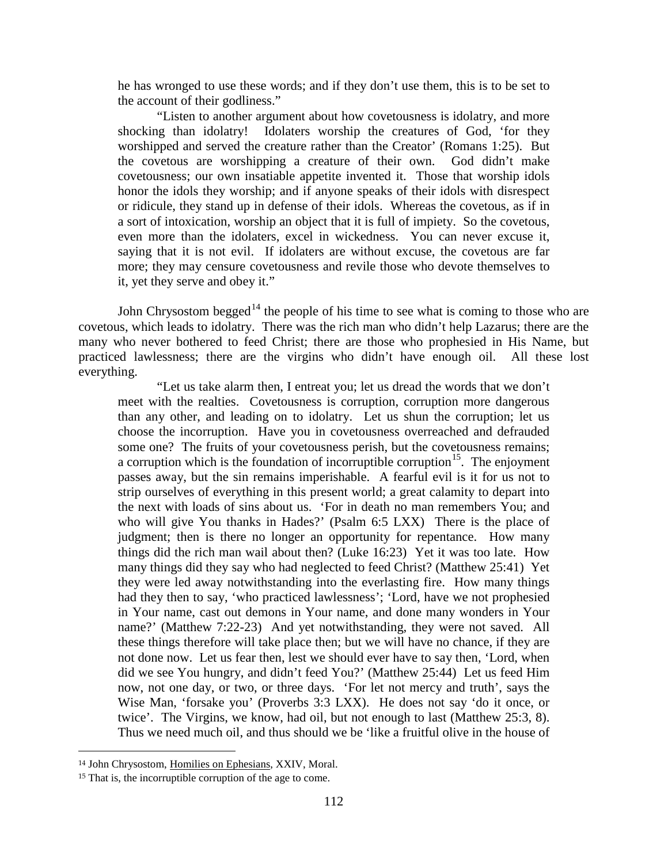he has wronged to use these words; and if they don't use them, this is to be set to the account of their godliness."

"Listen to another argument about how covetousness is idolatry, and more shocking than idolatry! Idolaters worship the creatures of God, 'for they worshipped and served the creature rather than the Creator' (Romans 1:25). But the covetous are worshipping a creature of their own. God didn't make covetousness; our own insatiable appetite invented it. Those that worship idols honor the idols they worship; and if anyone speaks of their idols with disrespect or ridicule, they stand up in defense of their idols. Whereas the covetous, as if in a sort of intoxication, worship an object that it is full of impiety. So the covetous, even more than the idolaters, excel in wickedness. You can never excuse it, saying that it is not evil. If idolaters are without excuse, the covetous are far more; they may censure covetousness and revile those who devote themselves to it, yet they serve and obey it."

John Chrysostom begged<sup>[14](#page-11-0)</sup> the people of his time to see what is coming to those who are covetous, which leads to idolatry. There was the rich man who didn't help Lazarus; there are the many who never bothered to feed Christ; there are those who prophesied in His Name, but practiced lawlessness; there are the virgins who didn't have enough oil. All these lost everything.

"Let us take alarm then, I entreat you; let us dread the words that we don't meet with the realties. Covetousness is corruption, corruption more dangerous than any other, and leading on to idolatry. Let us shun the corruption; let us choose the incorruption. Have you in covetousness overreached and defrauded some one? The fruits of your covetousness perish, but the covetousness remains; a corruption which is the foundation of incorruptible corruption<sup>15</sup>. The enjoyment passes away, but the sin remains imperishable. A fearful evil is it for us not to strip ourselves of everything in this present world; a great calamity to depart into the next with loads of sins about us. 'For in death no man remembers You; and who will give You thanks in Hades?' (Psalm 6:5 LXX) There is the place of judgment; then is there no longer an opportunity for repentance. How many things did the rich man wail about then? (Luke 16:23) Yet it was too late. How many things did they say who had neglected to feed Christ? (Matthew 25:41) Yet they were led away notwithstanding into the everlasting fire. How many things had they then to say, 'who practiced lawlessness'; 'Lord, have we not prophesied in Your name, cast out demons in Your name, and done many wonders in Your name?' (Matthew 7:22-23) And yet notwithstanding, they were not saved. All these things therefore will take place then; but we will have no chance, if they are not done now. Let us fear then, lest we should ever have to say then, 'Lord, when did we see You hungry, and didn't feed You?' (Matthew 25:44) Let us feed Him now, not one day, or two, or three days. 'For let not mercy and truth', says the Wise Man, 'forsake you' (Proverbs 3:3 LXX). He does not say 'do it once, or twice'. The Virgins, we know, had oil, but not enough to last (Matthew 25:3, 8). Thus we need much oil, and thus should we be 'like a fruitful olive in the house of

<span id="page-11-0"></span><sup>14</sup> John Chrysostom, Homilies on Ephesians, XXIV, Moral.

<span id="page-11-1"></span><sup>15</sup> That is, the incorruptible corruption of the age to come.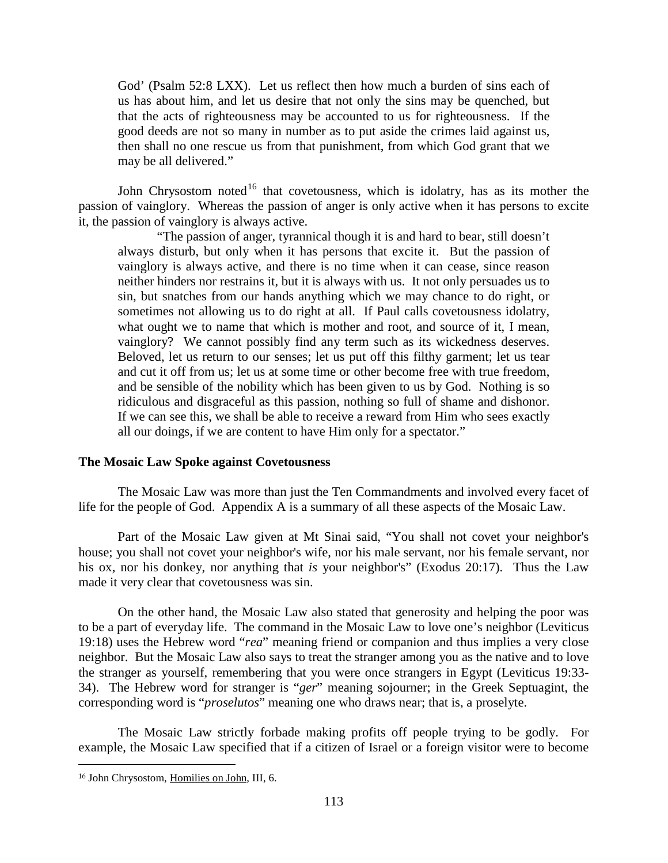God' (Psalm 52:8 LXX). Let us reflect then how much a burden of sins each of us has about him, and let us desire that not only the sins may be quenched, but that the acts of righteousness may be accounted to us for righteousness. If the good deeds are not so many in number as to put aside the crimes laid against us, then shall no one rescue us from that punishment, from which God grant that we may be all delivered."

John Chrysostom noted<sup>[16](#page-12-1)</sup> that covetousness, which is idolatry, has as its mother the passion of vainglory. Whereas the passion of anger is only active when it has persons to excite it, the passion of vainglory is always active.

"The passion of anger, tyrannical though it is and hard to bear, still doesn't always disturb, but only when it has persons that excite it. But the passion of vainglory is always active, and there is no time when it can cease, since reason neither hinders nor restrains it, but it is always with us. It not only persuades us to sin, but snatches from our hands anything which we may chance to do right, or sometimes not allowing us to do right at all. If Paul calls covetousness idolatry, what ought we to name that which is mother and root, and source of it, I mean, vainglory? We cannot possibly find any term such as its wickedness deserves. Beloved, let us return to our senses; let us put off this filthy garment; let us tear and cut it off from us; let us at some time or other become free with true freedom, and be sensible of the nobility which has been given to us by God. Nothing is so ridiculous and disgraceful as this passion, nothing so full of shame and dishonor. If we can see this, we shall be able to receive a reward from Him who sees exactly all our doings, if we are content to have Him only for a spectator."

# <span id="page-12-0"></span>**The Mosaic Law Spoke against Covetousness**

The Mosaic Law was more than just the Ten Commandments and involved every facet of life for the people of God. Appendix A is a summary of all these aspects of the Mosaic Law.

Part of the Mosaic Law given at Mt Sinai said, "You shall not covet your neighbor's house; you shall not covet your neighbor's wife, nor his male servant, nor his female servant, nor his ox, nor his donkey, nor anything that *is* your neighbor's" (Exodus 20:17). Thus the Law made it very clear that covetousness was sin.

On the other hand, the Mosaic Law also stated that generosity and helping the poor was to be a part of everyday life. The command in the Mosaic Law to love one's neighbor (Leviticus 19:18) uses the Hebrew word "*rea*" meaning friend or companion and thus implies a very close neighbor. But the Mosaic Law also says to treat the stranger among you as the native and to love the stranger as yourself, remembering that you were once strangers in Egypt (Leviticus 19:33- 34). The Hebrew word for stranger is "*ger*" meaning sojourner; in the Greek Septuagint, the corresponding word is "*proselutos*" meaning one who draws near; that is, a proselyte.

The Mosaic Law strictly forbade making profits off people trying to be godly. For example, the Mosaic Law specified that if a citizen of Israel or a foreign visitor were to become

<span id="page-12-1"></span><sup>16</sup> John Chrysostom, Homilies on John, III, 6.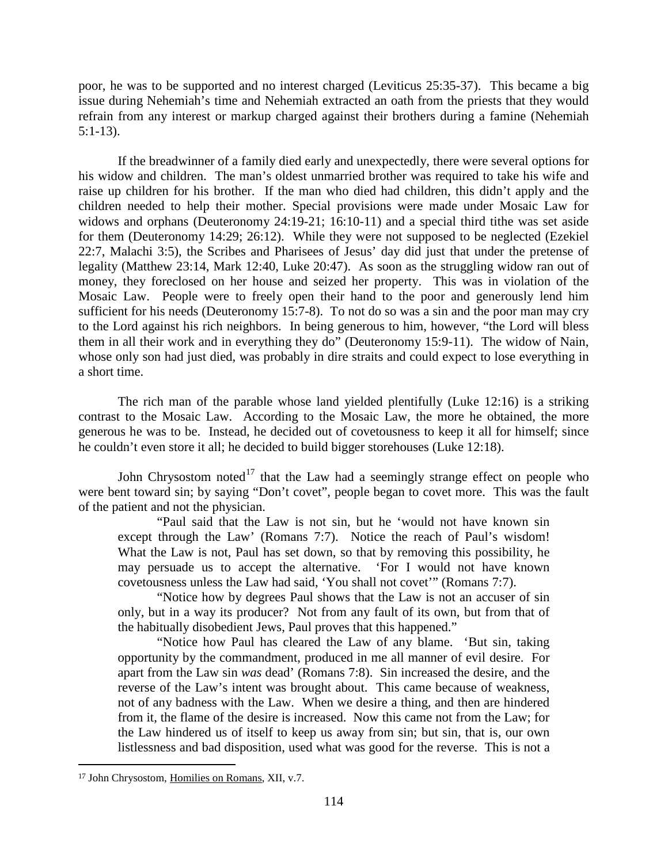poor, he was to be supported and no interest charged (Leviticus 25:35-37). This became a big issue during Nehemiah's time and Nehemiah extracted an oath from the priests that they would refrain from any interest or markup charged against their brothers during a famine (Nehemiah 5:1-13).

If the breadwinner of a family died early and unexpectedly, there were several options for his widow and children. The man's oldest unmarried brother was required to take his wife and raise up children for his brother. If the man who died had children, this didn't apply and the children needed to help their mother. Special provisions were made under Mosaic Law for widows and orphans (Deuteronomy 24:19-21; 16:10-11) and a special third tithe was set aside for them (Deuteronomy 14:29; 26:12). While they were not supposed to be neglected (Ezekiel 22:7, Malachi 3:5), the Scribes and Pharisees of Jesus' day did just that under the pretense of legality (Matthew 23:14, Mark 12:40, Luke 20:47). As soon as the struggling widow ran out of money, they foreclosed on her house and seized her property. This was in violation of the Mosaic Law. People were to freely open their hand to the poor and generously lend him sufficient for his needs (Deuteronomy 15:7-8). To not do so was a sin and the poor man may cry to the Lord against his rich neighbors. In being generous to him, however, "the Lord will bless them in all their work and in everything they do" (Deuteronomy 15:9-11). The widow of Nain, whose only son had just died, was probably in dire straits and could expect to lose everything in a short time.

The rich man of the parable whose land yielded plentifully (Luke 12:16) is a striking contrast to the Mosaic Law. According to the Mosaic Law, the more he obtained, the more generous he was to be. Instead, he decided out of covetousness to keep it all for himself; since he couldn't even store it all; he decided to build bigger storehouses (Luke 12:18).

John Chrysostom noted<sup>[17](#page-13-0)</sup> that the Law had a seemingly strange effect on people who were bent toward sin; by saying "Don't covet", people began to covet more. This was the fault of the patient and not the physician.

"Paul said that the Law is not sin, but he 'would not have known sin except through the Law' (Romans 7:7). Notice the reach of Paul's wisdom! What the Law is not, Paul has set down, so that by removing this possibility, he may persuade us to accept the alternative. 'For I would not have known covetousness unless the Law had said, 'You shall not covet'" (Romans 7:7).

"Notice how by degrees Paul shows that the Law is not an accuser of sin only, but in a way its producer? Not from any fault of its own, but from that of the habitually disobedient Jews, Paul proves that this happened."

"Notice how Paul has cleared the Law of any blame. 'But sin, taking opportunity by the commandment, produced in me all manner of evil desire. For apart from the Law sin *was* dead' (Romans 7:8). Sin increased the desire, and the reverse of the Law's intent was brought about. This came because of weakness, not of any badness with the Law. When we desire a thing, and then are hindered from it, the flame of the desire is increased. Now this came not from the Law; for the Law hindered us of itself to keep us away from sin; but sin, that is, our own listlessness and bad disposition, used what was good for the reverse. This is not a

<span id="page-13-0"></span><sup>17</sup> John Chrysostom, Homilies on Romans, XII, v.7.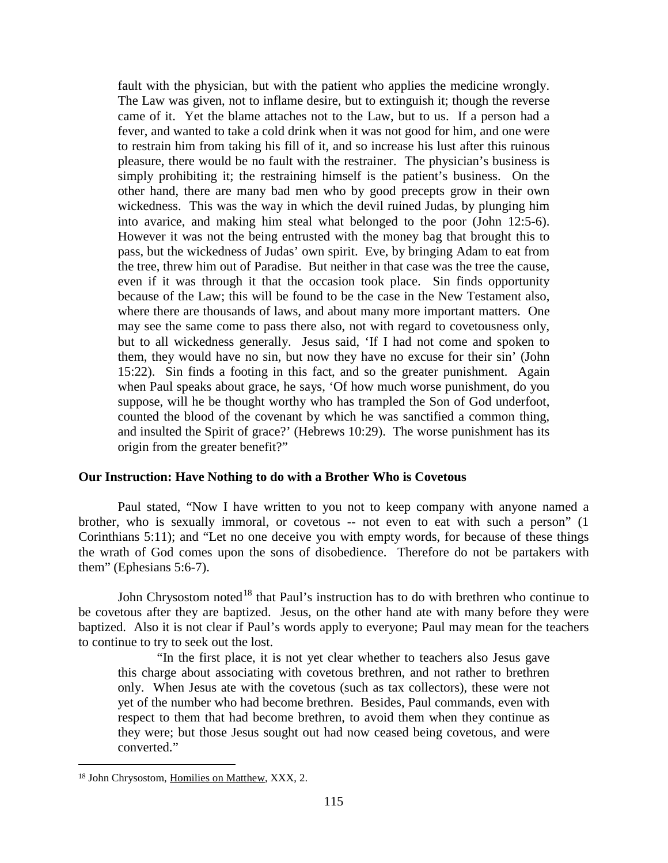fault with the physician, but with the patient who applies the medicine wrongly. The Law was given, not to inflame desire, but to extinguish it; though the reverse came of it. Yet the blame attaches not to the Law, but to us. If a person had a fever, and wanted to take a cold drink when it was not good for him, and one were to restrain him from taking his fill of it, and so increase his lust after this ruinous pleasure, there would be no fault with the restrainer. The physician's business is simply prohibiting it; the restraining himself is the patient's business. On the other hand, there are many bad men who by good precepts grow in their own wickedness. This was the way in which the devil ruined Judas, by plunging him into avarice, and making him steal what belonged to the poor (John 12:5-6). However it was not the being entrusted with the money bag that brought this to pass, but the wickedness of Judas' own spirit. Eve, by bringing Adam to eat from the tree, threw him out of Paradise. But neither in that case was the tree the cause, even if it was through it that the occasion took place. Sin finds opportunity because of the Law; this will be found to be the case in the New Testament also, where there are thousands of laws, and about many more important matters. One may see the same come to pass there also, not with regard to covetousness only, but to all wickedness generally. Jesus said, 'If I had not come and spoken to them, they would have no sin, but now they have no excuse for their sin' (John 15:22). Sin finds a footing in this fact, and so the greater punishment. Again when Paul speaks about grace, he says, 'Of how much worse punishment, do you suppose, will he be thought worthy who has trampled the Son of God underfoot, counted the blood of the covenant by which he was sanctified a common thing, and insulted the Spirit of grace?' (Hebrews 10:29). The worse punishment has its origin from the greater benefit?"

# <span id="page-14-0"></span>**Our Instruction: Have Nothing to do with a Brother Who is Covetous**

Paul stated, "Now I have written to you not to keep company with anyone named a brother, who is sexually immoral, or covetous -- not even to eat with such a person" (1 Corinthians 5:11); and "Let no one deceive you with empty words, for because of these things the wrath of God comes upon the sons of disobedience. Therefore do not be partakers with them" (Ephesians 5:6-7).

John Chrysostom noted<sup>[18](#page-14-1)</sup> that Paul's instruction has to do with brethren who continue to be covetous after they are baptized. Jesus, on the other hand ate with many before they were baptized. Also it is not clear if Paul's words apply to everyone; Paul may mean for the teachers to continue to try to seek out the lost.

"In the first place, it is not yet clear whether to teachers also Jesus gave this charge about associating with covetous brethren, and not rather to brethren only. When Jesus ate with the covetous (such as tax collectors), these were not yet of the number who had become brethren. Besides, Paul commands, even with respect to them that had become brethren, to avoid them when they continue as they were; but those Jesus sought out had now ceased being covetous, and were converted."

<span id="page-14-1"></span><sup>18</sup> John Chrysostom, Homilies on Matthew, XXX, 2.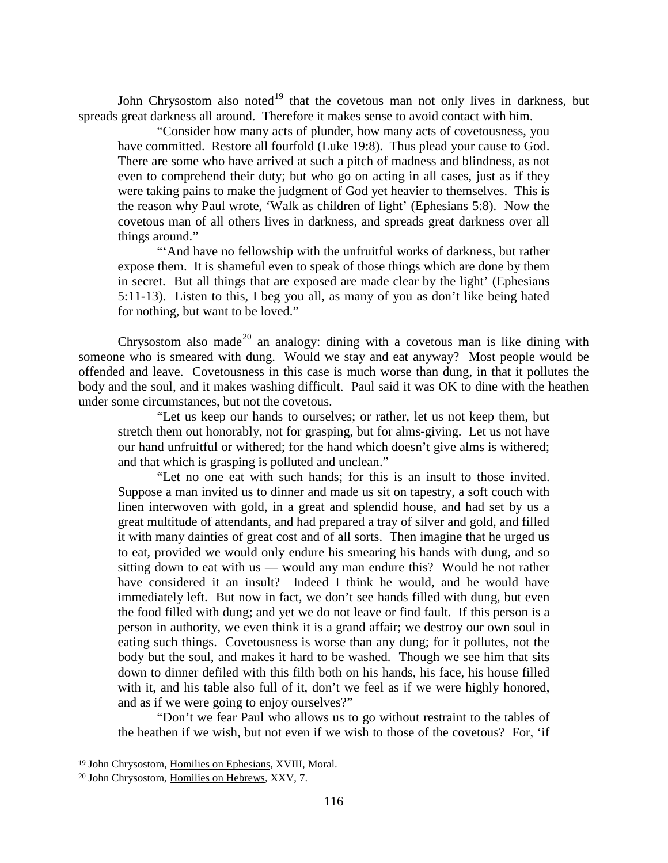John Chrysostom also noted<sup>[19](#page-15-0)</sup> that the covetous man not only lives in darkness, but spreads great darkness all around. Therefore it makes sense to avoid contact with him.

"Consider how many acts of plunder, how many acts of covetousness, you have committed. Restore all fourfold (Luke 19:8). Thus plead your cause to God. There are some who have arrived at such a pitch of madness and blindness, as not even to comprehend their duty; but who go on acting in all cases, just as if they were taking pains to make the judgment of God yet heavier to themselves. This is the reason why Paul wrote, 'Walk as children of light' (Ephesians 5:8). Now the covetous man of all others lives in darkness, and spreads great darkness over all things around."

"'And have no fellowship with the unfruitful works of darkness, but rather expose them. It is shameful even to speak of those things which are done by them in secret. But all things that are exposed are made clear by the light' (Ephesians 5:11-13). Listen to this, I beg you all, as many of you as don't like being hated for nothing, but want to be loved."

Chrysostom also made<sup>[20](#page-15-1)</sup> an analogy: dining with a covetous man is like dining with someone who is smeared with dung. Would we stay and eat anyway? Most people would be offended and leave. Covetousness in this case is much worse than dung, in that it pollutes the body and the soul, and it makes washing difficult. Paul said it was OK to dine with the heathen under some circumstances, but not the covetous.

"Let us keep our hands to ourselves; or rather, let us not keep them, but stretch them out honorably, not for grasping, but for alms-giving. Let us not have our hand unfruitful or withered; for the hand which doesn't give alms is withered; and that which is grasping is polluted and unclean."

"Let no one eat with such hands; for this is an insult to those invited. Suppose a man invited us to dinner and made us sit on tapestry, a soft couch with linen interwoven with gold, in a great and splendid house, and had set by us a great multitude of attendants, and had prepared a tray of silver and gold, and filled it with many dainties of great cost and of all sorts. Then imagine that he urged us to eat, provided we would only endure his smearing his hands with dung, and so sitting down to eat with us — would any man endure this? Would he not rather have considered it an insult? Indeed I think he would, and he would have immediately left. But now in fact, we don't see hands filled with dung, but even the food filled with dung; and yet we do not leave or find fault. If this person is a person in authority, we even think it is a grand affair; we destroy our own soul in eating such things. Covetousness is worse than any dung; for it pollutes, not the body but the soul, and makes it hard to be washed. Though we see him that sits down to dinner defiled with this filth both on his hands, his face, his house filled with it, and his table also full of it, don't we feel as if we were highly honored, and as if we were going to enjoy ourselves?"

"Don't we fear Paul who allows us to go without restraint to the tables of the heathen if we wish, but not even if we wish to those of the covetous? For, 'if

<span id="page-15-0"></span><sup>19</sup> John Chrysostom, Homilies on Ephesians, XVIII, Moral.

<span id="page-15-1"></span><sup>20</sup> John Chrysostom, Homilies on Hebrews, XXV, 7.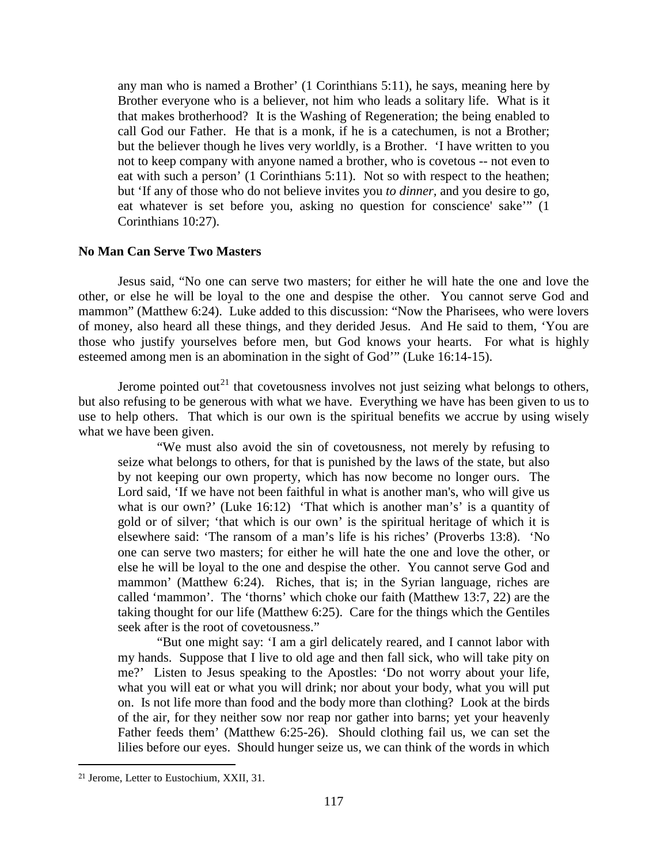any man who is named a Brother' (1 Corinthians 5:11), he says, meaning here by Brother everyone who is a believer, not him who leads a solitary life. What is it that makes brotherhood? It is the Washing of Regeneration; the being enabled to call God our Father. He that is a monk, if he is a catechumen, is not a Brother; but the believer though he lives very worldly, is a Brother. 'I have written to you not to keep company with anyone named a brother, who is covetous -- not even to eat with such a person' (1 Corinthians 5:11). Not so with respect to the heathen; but 'If any of those who do not believe invites you *to dinner,* and you desire to go, eat whatever is set before you, asking no question for conscience' sake'" (1 Corinthians 10:27).

# <span id="page-16-0"></span>**No Man Can Serve Two Masters**

Jesus said, "No one can serve two masters; for either he will hate the one and love the other, or else he will be loyal to the one and despise the other. You cannot serve God and mammon" (Matthew 6:24). Luke added to this discussion: "Now the Pharisees, who were lovers of money, also heard all these things, and they derided Jesus. And He said to them, 'You are those who justify yourselves before men, but God knows your hearts. For what is highly esteemed among men is an abomination in the sight of God'" (Luke 16:14-15).

Jerome pointed out<sup>[21](#page-16-1)</sup> that covetousness involves not just seizing what belongs to others, but also refusing to be generous with what we have. Everything we have has been given to us to use to help others. That which is our own is the spiritual benefits we accrue by using wisely what we have been given.

"We must also avoid the sin of covetousness, not merely by refusing to seize what belongs to others, for that is punished by the laws of the state, but also by not keeping our own property, which has now become no longer ours. The Lord said, 'If we have not been faithful in what is another man's, who will give us what is our own?' (Luke 16:12) 'That which is another man's' is a quantity of gold or of silver; 'that which is our own' is the spiritual heritage of which it is elsewhere said: 'The ransom of a man's life is his riches' (Proverbs 13:8). 'No one can serve two masters; for either he will hate the one and love the other, or else he will be loyal to the one and despise the other. You cannot serve God and mammon' (Matthew 6:24). Riches, that is; in the Syrian language, riches are called 'mammon'. The 'thorns' which choke our faith (Matthew 13:7, 22) are the taking thought for our life (Matthew 6:25). Care for the things which the Gentiles seek after is the root of covetousness."

"But one might say: 'I am a girl delicately reared, and I cannot labor with my hands. Suppose that I live to old age and then fall sick, who will take pity on me?' Listen to Jesus speaking to the Apostles: 'Do not worry about your life, what you will eat or what you will drink; nor about your body, what you will put on. Is not life more than food and the body more than clothing? Look at the birds of the air, for they neither sow nor reap nor gather into barns; yet your heavenly Father feeds them' (Matthew 6:25-26). Should clothing fail us, we can set the lilies before our eyes. Should hunger seize us, we can think of the words in which

<span id="page-16-1"></span><sup>21</sup> Jerome, Letter to Eustochium, XXII, 31.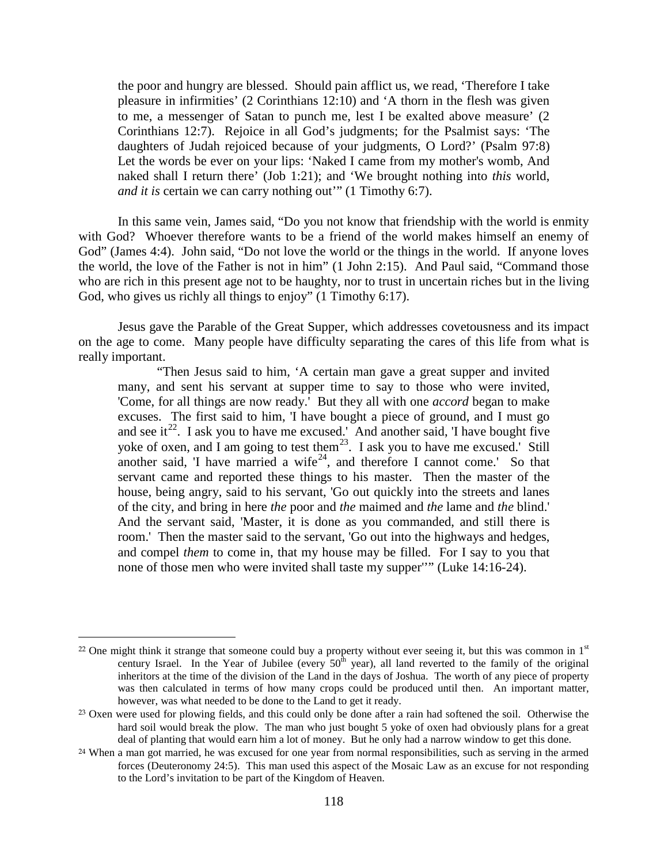the poor and hungry are blessed. Should pain afflict us, we read, 'Therefore I take pleasure in infirmities' (2 Corinthians 12:10) and 'A thorn in the flesh was given to me, a messenger of Satan to punch me, lest I be exalted above measure' (2 Corinthians 12:7). Rejoice in all God's judgments; for the Psalmist says: 'The daughters of Judah rejoiced because of your judgments, O Lord?' (Psalm 97:8) Let the words be ever on your lips: 'Naked I came from my mother's womb, And naked shall I return there' (Job 1:21); and 'We brought nothing into *this* world, *and it is certain we can carry nothing out*" (1 Timothy 6:7).

In this same vein, James said, "Do you not know that friendship with the world is enmity with God? Whoever therefore wants to be a friend of the world makes himself an enemy of God" (James 4:4). John said, "Do not love the world or the things in the world. If anyone loves the world, the love of the Father is not in him" (1 John 2:15). And Paul said, "Command those who are rich in this present age not to be haughty, nor to trust in uncertain riches but in the living God, who gives us richly all things to enjoy" (1 Timothy 6:17).

Jesus gave the Parable of the Great Supper, which addresses covetousness and its impact on the age to come. Many people have difficulty separating the cares of this life from what is really important.

"Then Jesus said to him, 'A certain man gave a great supper and invited many, and sent his servant at supper time to say to those who were invited, 'Come, for all things are now ready.' But they all with one *accord* began to make excuses. The first said to him, 'I have bought a piece of ground, and I must go and see it<sup>[22](#page-17-0)</sup>. I ask you to have me excused.' And another said, 'I have bought five yoke of oxen, and I am going to test them<sup>23</sup>. I ask you to have me excused.' Still another said, 'I have married a wife<sup>24</sup>, and therefore I cannot come.' So that servant came and reported these things to his master. Then the master of the house, being angry, said to his servant, 'Go out quickly into the streets and lanes of the city, and bring in here *the* poor and *the* maimed and *the* lame and *the* blind.' And the servant said, 'Master, it is done as you commanded, and still there is room.' Then the master said to the servant, 'Go out into the highways and hedges, and compel *them* to come in, that my house may be filled. For I say to you that none of those men who were invited shall taste my supper''" (Luke 14:16-24).

<span id="page-17-0"></span><sup>&</sup>lt;sup>22</sup> One might think it strange that someone could buy a property without ever seeing it, but this was common in  $1<sup>st</sup>$ century Israel. In the Year of Jubilee (every  $50<sup>th</sup>$  year), all land reverted to the family of the original inheritors at the time of the division of the Land in the days of Joshua. The worth of any piece of property was then calculated in terms of how many crops could be produced until then. An important matter, however, was what needed to be done to the Land to get it ready.

<span id="page-17-1"></span><sup>&</sup>lt;sup>23</sup> Oxen were used for plowing fields, and this could only be done after a rain had softened the soil. Otherwise the hard soil would break the plow. The man who just bought 5 yoke of oxen had obviously plans for a great deal of planting that would earn him a lot of money. But he only had a narrow window to get this done.

<span id="page-17-2"></span><sup>&</sup>lt;sup>24</sup> When a man got married, he was excused for one year from normal responsibilities, such as serving in the armed forces (Deuteronomy 24:5). This man used this aspect of the Mosaic Law as an excuse for not responding to the Lord's invitation to be part of the Kingdom of Heaven.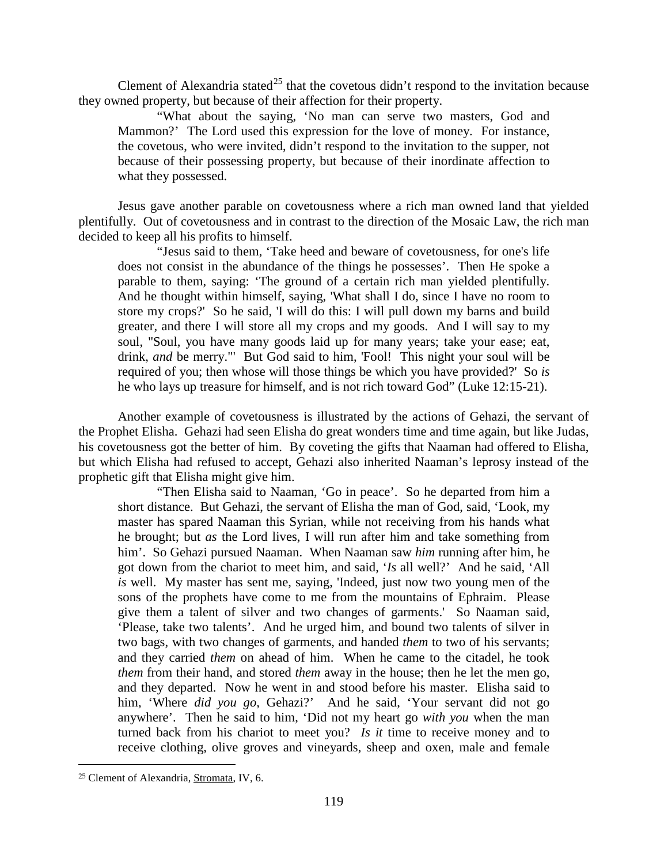Clement of Alexandria stated<sup>[25](#page-18-0)</sup> that the covetous didn't respond to the invitation because they owned property, but because of their affection for their property.

"What about the saying, 'No man can serve two masters, God and Mammon?' The Lord used this expression for the love of money. For instance, the covetous, who were invited, didn't respond to the invitation to the supper, not because of their possessing property, but because of their inordinate affection to what they possessed.

Jesus gave another parable on covetousness where a rich man owned land that yielded plentifully. Out of covetousness and in contrast to the direction of the Mosaic Law, the rich man decided to keep all his profits to himself.

"Jesus said to them, 'Take heed and beware of covetousness, for one's life does not consist in the abundance of the things he possesses'. Then He spoke a parable to them, saying: 'The ground of a certain rich man yielded plentifully. And he thought within himself, saying, 'What shall I do, since I have no room to store my crops?' So he said, 'I will do this: I will pull down my barns and build greater, and there I will store all my crops and my goods. And I will say to my soul, "Soul, you have many goods laid up for many years; take your ease; eat, drink, *and* be merry."' But God said to him, 'Fool! This night your soul will be required of you; then whose will those things be which you have provided?' So *is*  he who lays up treasure for himself, and is not rich toward God" (Luke 12:15-21).

Another example of covetousness is illustrated by the actions of Gehazi, the servant of the Prophet Elisha. Gehazi had seen Elisha do great wonders time and time again, but like Judas, his covetousness got the better of him. By coveting the gifts that Naaman had offered to Elisha, but which Elisha had refused to accept, Gehazi also inherited Naaman's leprosy instead of the prophetic gift that Elisha might give him.

"Then Elisha said to Naaman, 'Go in peace'. So he departed from him a short distance. But Gehazi, the servant of Elisha the man of God, said, 'Look, my master has spared Naaman this Syrian, while not receiving from his hands what he brought; but *as* the Lord lives, I will run after him and take something from him'. So Gehazi pursued Naaman. When Naaman saw *him* running after him, he got down from the chariot to meet him, and said, '*Is* all well?' And he said, 'All *is* well. My master has sent me, saying, 'Indeed, just now two young men of the sons of the prophets have come to me from the mountains of Ephraim. Please give them a talent of silver and two changes of garments.' So Naaman said, 'Please, take two talents'. And he urged him, and bound two talents of silver in two bags, with two changes of garments, and handed *them* to two of his servants; and they carried *them* on ahead of him. When he came to the citadel, he took *them* from their hand, and stored *them* away in the house; then he let the men go, and they departed. Now he went in and stood before his master. Elisha said to him, 'Where *did you go,* Gehazi?' And he said, 'Your servant did not go anywhere'. Then he said to him, 'Did not my heart go *with you* when the man turned back from his chariot to meet you? *Is it* time to receive money and to receive clothing, olive groves and vineyards, sheep and oxen, male and female

<span id="page-18-0"></span><sup>25</sup> Clement of Alexandria, Stromata, IV, 6.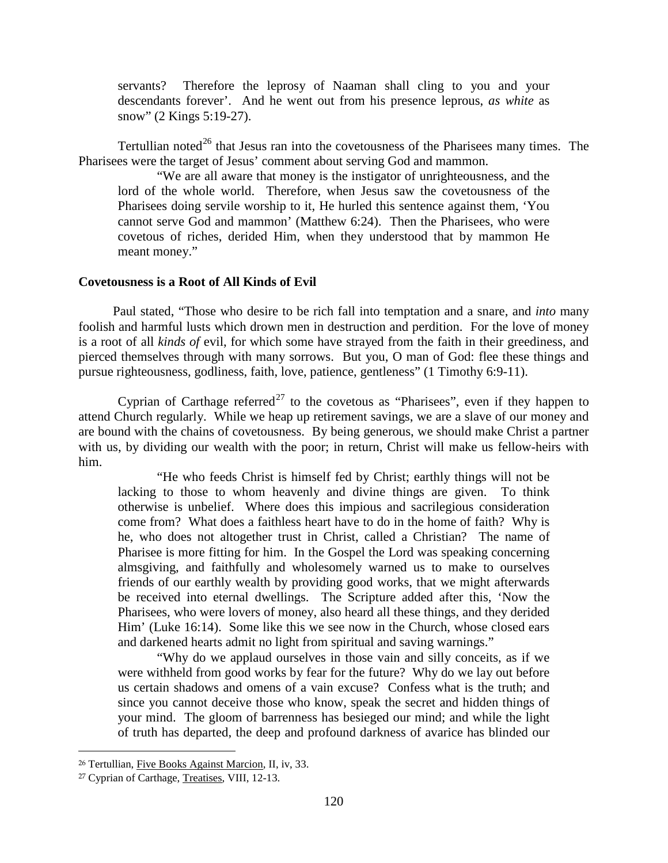servants? Therefore the leprosy of Naaman shall cling to you and your descendants forever'. And he went out from his presence leprous, *as white* as snow" (2 Kings 5:19-27).

Tertullian noted<sup>[26](#page-19-1)</sup> that Jesus ran into the covetousness of the Pharisees many times. The Pharisees were the target of Jesus' comment about serving God and mammon.

"We are all aware that money is the instigator of unrighteousness, and the lord of the whole world. Therefore, when Jesus saw the covetousness of the Pharisees doing servile worship to it, He hurled this sentence against them, 'You cannot serve God and mammon' (Matthew 6:24). Then the Pharisees, who were covetous of riches, derided Him, when they understood that by mammon He meant money."

#### <span id="page-19-0"></span>**Covetousness is a Root of All Kinds of Evil**

Paul stated, "Those who desire to be rich fall into temptation and a snare, and *into* many foolish and harmful lusts which drown men in destruction and perdition. For the love of money is a root of all *kinds of* evil, for which some have strayed from the faith in their greediness, and pierced themselves through with many sorrows. But you, O man of God: flee these things and pursue righteousness, godliness, faith, love, patience, gentleness" (1 Timothy 6:9-11).

Cyprian of Carthage referred<sup>[27](#page-19-2)</sup> to the covetous as "Pharisees", even if they happen to attend Church regularly. While we heap up retirement savings, we are a slave of our money and are bound with the chains of covetousness. By being generous, we should make Christ a partner with us, by dividing our wealth with the poor; in return, Christ will make us fellow-heirs with him.

"He who feeds Christ is himself fed by Christ; earthly things will not be lacking to those to whom heavenly and divine things are given. To think otherwise is unbelief. Where does this impious and sacrilegious consideration come from? What does a faithless heart have to do in the home of faith? Why is he, who does not altogether trust in Christ, called a Christian? The name of Pharisee is more fitting for him. In the Gospel the Lord was speaking concerning almsgiving, and faithfully and wholesomely warned us to make to ourselves friends of our earthly wealth by providing good works, that we might afterwards be received into eternal dwellings. The Scripture added after this, 'Now the Pharisees, who were lovers of money, also heard all these things, and they derided Him' (Luke 16:14). Some like this we see now in the Church, whose closed ears and darkened hearts admit no light from spiritual and saving warnings."

"Why do we applaud ourselves in those vain and silly conceits, as if we were withheld from good works by fear for the future? Why do we lay out before us certain shadows and omens of a vain excuse? Confess what is the truth; and since you cannot deceive those who know, speak the secret and hidden things of your mind. The gloom of barrenness has besieged our mind; and while the light of truth has departed, the deep and profound darkness of avarice has blinded our

<span id="page-19-1"></span><sup>26</sup> Tertullian, Five Books Against Marcion, II, iv, 33.

<span id="page-19-2"></span><sup>27</sup> Cyprian of Carthage, Treatises, VIII, 12-13.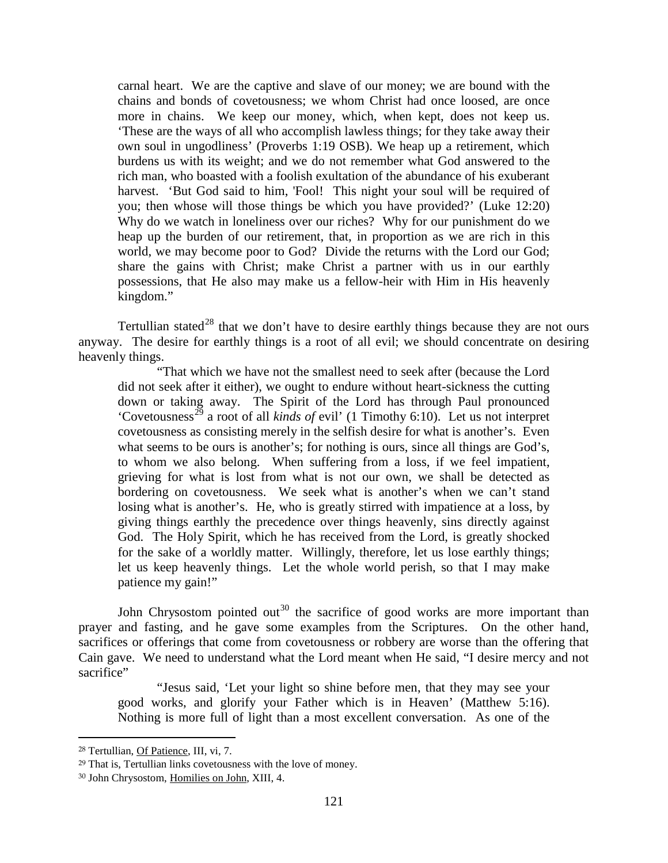carnal heart. We are the captive and slave of our money; we are bound with the chains and bonds of covetousness; we whom Christ had once loosed, are once more in chains. We keep our money, which, when kept, does not keep us. 'These are the ways of all who accomplish lawless things; for they take away their own soul in ungodliness' (Proverbs 1:19 OSB). We heap up a retirement, which burdens us with its weight; and we do not remember what God answered to the rich man, who boasted with a foolish exultation of the abundance of his exuberant harvest. 'But God said to him, 'Fool! This night your soul will be required of you; then whose will those things be which you have provided?' (Luke 12:20) Why do we watch in loneliness over our riches? Why for our punishment do we heap up the burden of our retirement, that, in proportion as we are rich in this world, we may become poor to God? Divide the returns with the Lord our God; share the gains with Christ; make Christ a partner with us in our earthly possessions, that He also may make us a fellow-heir with Him in His heavenly kingdom."

Tertullian stated<sup>[28](#page-20-0)</sup> that we don't have to desire earthly things because they are not ours anyway. The desire for earthly things is a root of all evil; we should concentrate on desiring heavenly things.

"That which we have not the smallest need to seek after (because the Lord did not seek after it either), we ought to endure without heart-sickness the cutting down or taking away. The Spirit of the Lord has through Paul pronounced 'Covetousness<sup>[29](#page-20-1)</sup> a root of all *kinds of* evil' (1 Timothy 6:10). Let us not interpret covetousness as consisting merely in the selfish desire for what is another's. Even what seems to be ours is another's; for nothing is ours, since all things are God's, to whom we also belong. When suffering from a loss, if we feel impatient, grieving for what is lost from what is not our own, we shall be detected as bordering on covetousness. We seek what is another's when we can't stand losing what is another's. He, who is greatly stirred with impatience at a loss, by giving things earthly the precedence over things heavenly, sins directly against God. The Holy Spirit, which he has received from the Lord, is greatly shocked for the sake of a worldly matter. Willingly, therefore, let us lose earthly things; let us keep heavenly things. Let the whole world perish, so that I may make patience my gain!"

John Chrysostom pointed out<sup>[30](#page-20-2)</sup> the sacrifice of good works are more important than prayer and fasting, and he gave some examples from the Scriptures. On the other hand, sacrifices or offerings that come from covetousness or robbery are worse than the offering that Cain gave. We need to understand what the Lord meant when He said, "I desire mercy and not sacrifice"

"Jesus said, 'Let your light so shine before men, that they may see your good works, and glorify your Father which is in Heaven' (Matthew 5:16). Nothing is more full of light than a most excellent conversation. As one of the

<span id="page-20-0"></span><sup>28</sup> Tertullian, Of Patience, III, vi, 7.

<span id="page-20-1"></span><sup>29</sup> That is, Tertullian links covetousness with the love of money.

<span id="page-20-2"></span><sup>30</sup> John Chrysostom, Homilies on John, XIII, 4.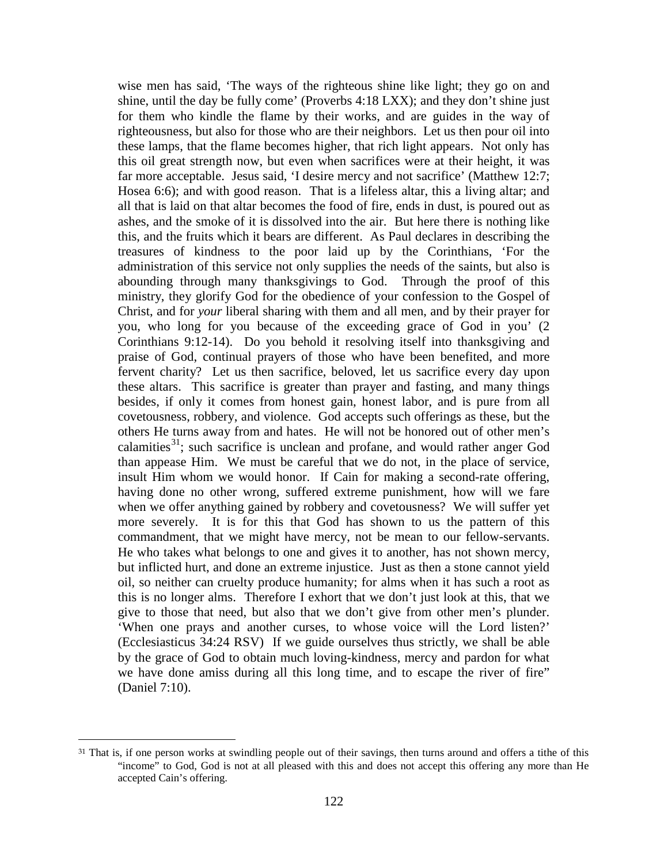wise men has said, 'The ways of the righteous shine like light; they go on and shine, until the day be fully come' (Proverbs 4:18 LXX); and they don't shine just for them who kindle the flame by their works, and are guides in the way of righteousness, but also for those who are their neighbors. Let us then pour oil into these lamps, that the flame becomes higher, that rich light appears. Not only has this oil great strength now, but even when sacrifices were at their height, it was far more acceptable. Jesus said, 'I desire mercy and not sacrifice' (Matthew 12:7; Hosea 6:6); and with good reason. That is a lifeless altar, this a living altar; and all that is laid on that altar becomes the food of fire, ends in dust, is poured out as ashes, and the smoke of it is dissolved into the air. But here there is nothing like this, and the fruits which it bears are different. As Paul declares in describing the treasures of kindness to the poor laid up by the Corinthians, 'For the administration of this service not only supplies the needs of the saints, but also is abounding through many thanksgivings to God. Through the proof of this ministry, they glorify God for the obedience of your confession to the Gospel of Christ, and for *your* liberal sharing with them and all men, and by their prayer for you, who long for you because of the exceeding grace of God in you' (2 Corinthians 9:12-14). Do you behold it resolving itself into thanksgiving and praise of God, continual prayers of those who have been benefited, and more fervent charity? Let us then sacrifice, beloved, let us sacrifice every day upon these altars. This sacrifice is greater than prayer and fasting, and many things besides, if only it comes from honest gain, honest labor, and is pure from all covetousness, robbery, and violence. God accepts such offerings as these, but the others He turns away from and hates. He will not be honored out of other men's calamities<sup>[31](#page-21-0)</sup>; such sacrifice is unclean and profane, and would rather anger God than appease Him. We must be careful that we do not, in the place of service, insult Him whom we would honor. If Cain for making a second-rate offering, having done no other wrong, suffered extreme punishment, how will we fare when we offer anything gained by robbery and covetousness? We will suffer yet more severely. It is for this that God has shown to us the pattern of this commandment, that we might have mercy, not be mean to our fellow-servants. He who takes what belongs to one and gives it to another, has not shown mercy, but inflicted hurt, and done an extreme injustice. Just as then a stone cannot yield oil, so neither can cruelty produce humanity; for alms when it has such a root as this is no longer alms. Therefore I exhort that we don't just look at this, that we give to those that need, but also that we don't give from other men's plunder. 'When one prays and another curses, to whose voice will the Lord listen?' (Ecclesiasticus 34:24 RSV) If we guide ourselves thus strictly, we shall be able by the grace of God to obtain much loving-kindness, mercy and pardon for what we have done amiss during all this long time, and to escape the river of fire" (Daniel 7:10).

<span id="page-21-0"></span><sup>&</sup>lt;sup>31</sup> That is, if one person works at swindling people out of their savings, then turns around and offers a tithe of this "income" to God, God is not at all pleased with this and does not accept this offering any more than He accepted Cain's offering.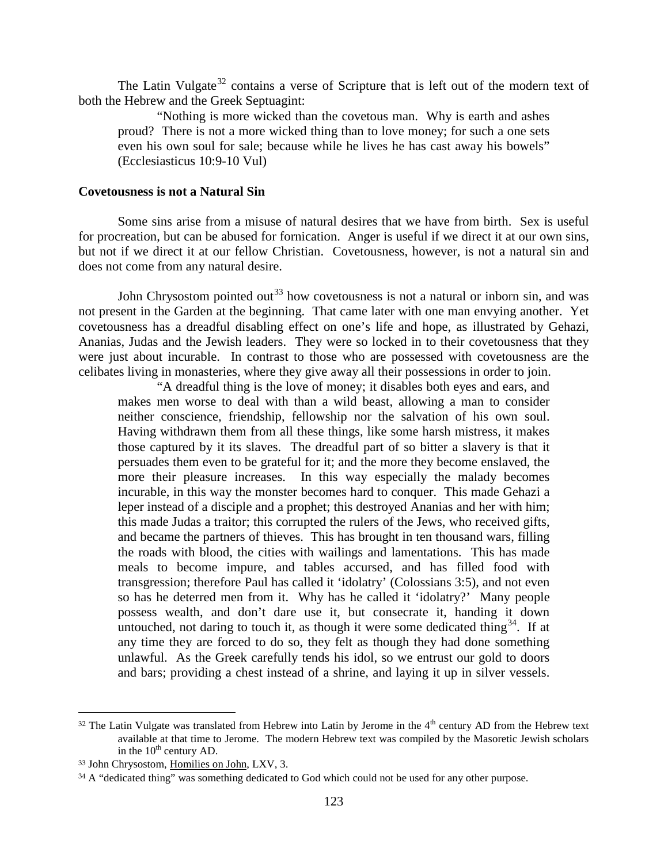The Latin Vulgate<sup>[32](#page-22-1)</sup> contains a verse of Scripture that is left out of the modern text of both the Hebrew and the Greek Septuagint:

"Nothing is more wicked than the covetous man. Why is earth and ashes proud? There is not a more wicked thing than to love money; for such a one sets even his own soul for sale; because while he lives he has cast away his bowels" (Ecclesiasticus 10:9-10 Vul)

#### <span id="page-22-0"></span>**Covetousness is not a Natural Sin**

Some sins arise from a misuse of natural desires that we have from birth. Sex is useful for procreation, but can be abused for fornication. Anger is useful if we direct it at our own sins, but not if we direct it at our fellow Christian. Covetousness, however, is not a natural sin and does not come from any natural desire.

John Chrysostom pointed out<sup>[33](#page-22-2)</sup> how covetousness is not a natural or inborn sin, and was not present in the Garden at the beginning. That came later with one man envying another. Yet covetousness has a dreadful disabling effect on one's life and hope, as illustrated by Gehazi, Ananias, Judas and the Jewish leaders. They were so locked in to their covetousness that they were just about incurable. In contrast to those who are possessed with covetousness are the celibates living in monasteries, where they give away all their possessions in order to join.

"A dreadful thing is the love of money; it disables both eyes and ears, and makes men worse to deal with than a wild beast, allowing a man to consider neither conscience, friendship, fellowship nor the salvation of his own soul. Having withdrawn them from all these things, like some harsh mistress, it makes those captured by it its slaves. The dreadful part of so bitter a slavery is that it persuades them even to be grateful for it; and the more they become enslaved, the more their pleasure increases. In this way especially the malady becomes incurable, in this way the monster becomes hard to conquer. This made Gehazi a leper instead of a disciple and a prophet; this destroyed Ananias and her with him; this made Judas a traitor; this corrupted the rulers of the Jews, who received gifts, and became the partners of thieves. This has brought in ten thousand wars, filling the roads with blood, the cities with wailings and lamentations. This has made meals to become impure, and tables accursed, and has filled food with transgression; therefore Paul has called it 'idolatry' (Colossians 3:5), and not even so has he deterred men from it. Why has he called it 'idolatry?' Many people possess wealth, and don't dare use it, but consecrate it, handing it down untouched, not daring to touch it, as though it were some dedicated thing  $34$ . If at any time they are forced to do so, they felt as though they had done something unlawful. As the Greek carefully tends his idol, so we entrust our gold to doors and bars; providing a chest instead of a shrine, and laying it up in silver vessels.

<span id="page-22-1"></span> $32$  The Latin Vulgate was translated from Hebrew into Latin by Jerome in the  $4<sup>th</sup>$  century AD from the Hebrew text available at that time to Jerome. The modern Hebrew text was compiled by the Masoretic Jewish scholars in the  $10^{th}$  century AD.

<span id="page-22-2"></span><sup>33</sup> John Chrysostom, Homilies on John, LXV, 3.

<span id="page-22-3"></span><sup>&</sup>lt;sup>34</sup> A "dedicated thing" was something dedicated to God which could not be used for any other purpose.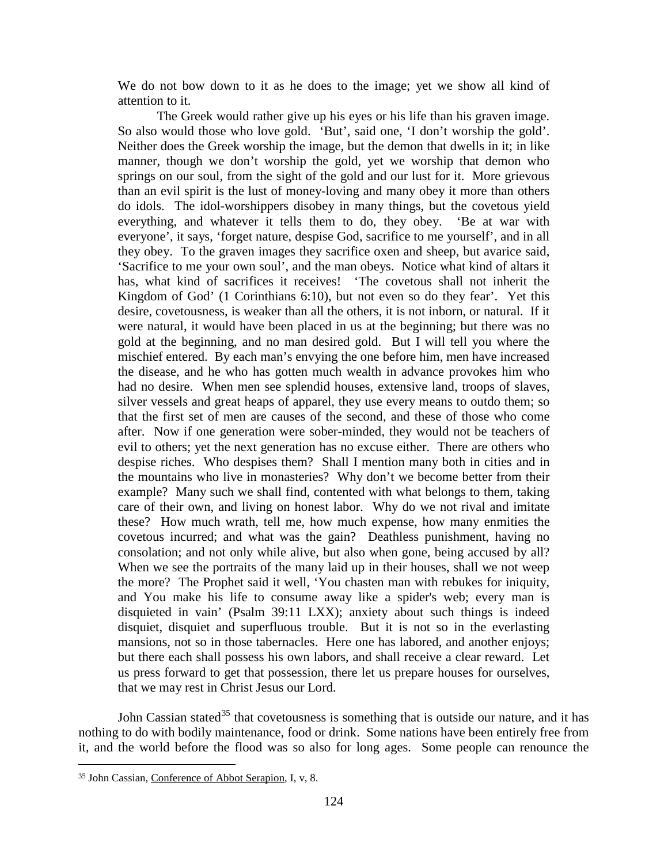We do not bow down to it as he does to the image; yet we show all kind of attention to it.

The Greek would rather give up his eyes or his life than his graven image. So also would those who love gold. 'But', said one, 'I don't worship the gold'. Neither does the Greek worship the image, but the demon that dwells in it; in like manner, though we don't worship the gold, yet we worship that demon who springs on our soul, from the sight of the gold and our lust for it. More grievous than an evil spirit is the lust of money-loving and many obey it more than others do idols. The idol-worshippers disobey in many things, but the covetous yield everything, and whatever it tells them to do, they obey. 'Be at war with everyone', it says, 'forget nature, despise God, sacrifice to me yourself', and in all they obey. To the graven images they sacrifice oxen and sheep, but avarice said, 'Sacrifice to me your own soul', and the man obeys. Notice what kind of altars it has, what kind of sacrifices it receives! 'The covetous shall not inherit the Kingdom of God' (1 Corinthians 6:10), but not even so do they fear'. Yet this desire, covetousness, is weaker than all the others, it is not inborn, or natural. If it were natural, it would have been placed in us at the beginning; but there was no gold at the beginning, and no man desired gold. But I will tell you where the mischief entered. By each man's envying the one before him, men have increased the disease, and he who has gotten much wealth in advance provokes him who had no desire. When men see splendid houses, extensive land, troops of slaves, silver vessels and great heaps of apparel, they use every means to outdo them; so that the first set of men are causes of the second, and these of those who come after. Now if one generation were sober-minded, they would not be teachers of evil to others; yet the next generation has no excuse either. There are others who despise riches. Who despises them? Shall I mention many both in cities and in the mountains who live in monasteries? Why don't we become better from their example? Many such we shall find, contented with what belongs to them, taking care of their own, and living on honest labor. Why do we not rival and imitate these? How much wrath, tell me, how much expense, how many enmities the covetous incurred; and what was the gain? Deathless punishment, having no consolation; and not only while alive, but also when gone, being accused by all? When we see the portraits of the many laid up in their houses, shall we not weep the more? The Prophet said it well, 'You chasten man with rebukes for iniquity, and You make his life to consume away like a spider's web; every man is disquieted in vain' (Psalm 39:11 LXX); anxiety about such things is indeed disquiet, disquiet and superfluous trouble. But it is not so in the everlasting mansions, not so in those tabernacles. Here one has labored, and another enjoys; but there each shall possess his own labors, and shall receive a clear reward. Let us press forward to get that possession, there let us prepare houses for ourselves, that we may rest in Christ Jesus our Lord.

John Cassian stated<sup>[35](#page-23-0)</sup> that covetousness is something that is outside our nature, and it has nothing to do with bodily maintenance, food or drink. Some nations have been entirely free from it, and the world before the flood was so also for long ages. Some people can renounce the

<span id="page-23-0"></span><sup>35</sup> John Cassian, Conference of Abbot Serapion, I, v, 8.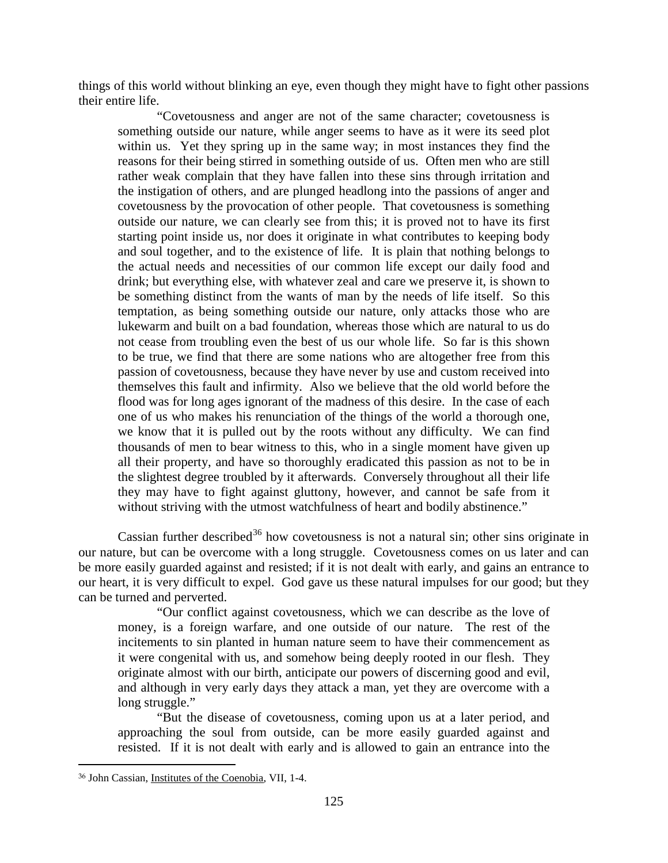things of this world without blinking an eye, even though they might have to fight other passions their entire life.

"Covetousness and anger are not of the same character; covetousness is something outside our nature, while anger seems to have as it were its seed plot within us. Yet they spring up in the same way; in most instances they find the reasons for their being stirred in something outside of us. Often men who are still rather weak complain that they have fallen into these sins through irritation and the instigation of others, and are plunged headlong into the passions of anger and covetousness by the provocation of other people. That covetousness is something outside our nature, we can clearly see from this; it is proved not to have its first starting point inside us, nor does it originate in what contributes to keeping body and soul together, and to the existence of life. It is plain that nothing belongs to the actual needs and necessities of our common life except our daily food and drink; but everything else, with whatever zeal and care we preserve it, is shown to be something distinct from the wants of man by the needs of life itself. So this temptation, as being something outside our nature, only attacks those who are lukewarm and built on a bad foundation, whereas those which are natural to us do not cease from troubling even the best of us our whole life. So far is this shown to be true, we find that there are some nations who are altogether free from this passion of covetousness, because they have never by use and custom received into themselves this fault and infirmity. Also we believe that the old world before the flood was for long ages ignorant of the madness of this desire. In the case of each one of us who makes his renunciation of the things of the world a thorough one, we know that it is pulled out by the roots without any difficulty. We can find thousands of men to bear witness to this, who in a single moment have given up all their property, and have so thoroughly eradicated this passion as not to be in the slightest degree troubled by it afterwards. Conversely throughout all their life they may have to fight against gluttony, however, and cannot be safe from it without striving with the utmost watchfulness of heart and bodily abstinence."

Cassian further described<sup>[36](#page-24-0)</sup> how covetousness is not a natural sin; other sins originate in our nature, but can be overcome with a long struggle. Covetousness comes on us later and can be more easily guarded against and resisted; if it is not dealt with early, and gains an entrance to our heart, it is very difficult to expel. God gave us these natural impulses for our good; but they can be turned and perverted.

"Our conflict against covetousness, which we can describe as the love of money, is a foreign warfare, and one outside of our nature. The rest of the incitements to sin planted in human nature seem to have their commencement as it were congenital with us, and somehow being deeply rooted in our flesh. They originate almost with our birth, anticipate our powers of discerning good and evil, and although in very early days they attack a man, yet they are overcome with a long struggle."

"But the disease of covetousness, coming upon us at a later period, and approaching the soul from outside, can be more easily guarded against and resisted. If it is not dealt with early and is allowed to gain an entrance into the

<span id="page-24-0"></span><sup>36</sup> John Cassian, Institutes of the Coenobia, VII, 1-4.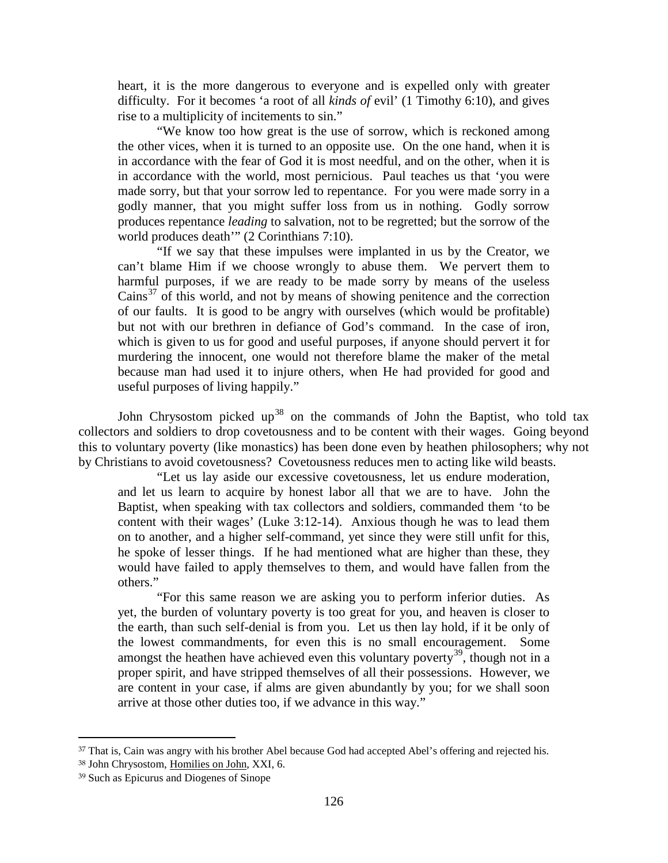heart, it is the more dangerous to everyone and is expelled only with greater difficulty. For it becomes 'a root of all *kinds of* evil' (1 Timothy 6:10), and gives rise to a multiplicity of incitements to sin."

"We know too how great is the use of sorrow, which is reckoned among the other vices, when it is turned to an opposite use. On the one hand, when it is in accordance with the fear of God it is most needful, and on the other, when it is in accordance with the world, most pernicious. Paul teaches us that 'you were made sorry, but that your sorrow led to repentance. For you were made sorry in a godly manner, that you might suffer loss from us in nothing. Godly sorrow produces repentance *leading* to salvation, not to be regretted; but the sorrow of the world produces death'" (2 Corinthians 7:10).

"If we say that these impulses were implanted in us by the Creator, we can't blame Him if we choose wrongly to abuse them. We pervert them to harmful purposes, if we are ready to be made sorry by means of the useless Cains<sup>[37](#page-25-0)</sup> of this world, and not by means of showing penitence and the correction of our faults. It is good to be angry with ourselves (which would be profitable) but not with our brethren in defiance of God's command. In the case of iron, which is given to us for good and useful purposes, if anyone should pervert it for murdering the innocent, one would not therefore blame the maker of the metal because man had used it to injure others, when He had provided for good and useful purposes of living happily."

John Chrysostom picked up<sup>[38](#page-25-1)</sup> on the commands of John the Baptist, who told tax collectors and soldiers to drop covetousness and to be content with their wages. Going beyond this to voluntary poverty (like monastics) has been done even by heathen philosophers; why not by Christians to avoid covetousness? Covetousness reduces men to acting like wild beasts.

"Let us lay aside our excessive covetousness, let us endure moderation, and let us learn to acquire by honest labor all that we are to have. John the Baptist, when speaking with tax collectors and soldiers, commanded them 'to be content with their wages' (Luke 3:12-14). Anxious though he was to lead them on to another, and a higher self-command, yet since they were still unfit for this, he spoke of lesser things. If he had mentioned what are higher than these, they would have failed to apply themselves to them, and would have fallen from the others."

"For this same reason we are asking you to perform inferior duties. As yet, the burden of voluntary poverty is too great for you, and heaven is closer to the earth, than such self-denial is from you. Let us then lay hold, if it be only of the lowest commandments, for even this is no small encouragement. Some amongst the heathen have achieved even this voluntary poverty<sup>[39](#page-25-2)</sup>, though not in a proper spirit, and have stripped themselves of all their possessions. However, we are content in your case, if alms are given abundantly by you; for we shall soon arrive at those other duties too, if we advance in this way."

<span id="page-25-0"></span><sup>37</sup> That is, Cain was angry with his brother Abel because God had accepted Abel's offering and rejected his.

<span id="page-25-1"></span><sup>38</sup> John Chrysostom, Homilies on John, XXI, 6.

<span id="page-25-2"></span><sup>39</sup> Such as Epicurus and Diogenes of Sinope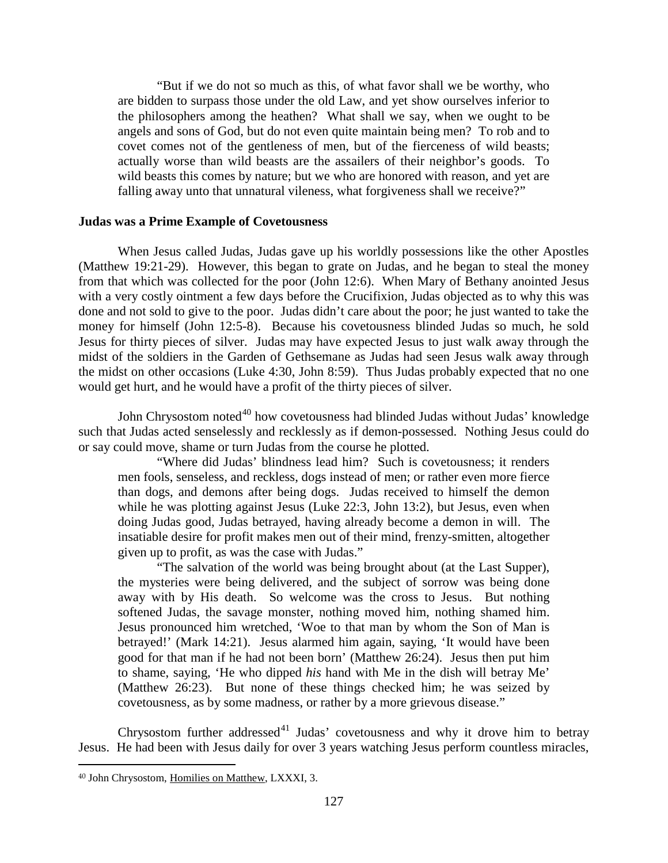"But if we do not so much as this, of what favor shall we be worthy, who are bidden to surpass those under the old Law, and yet show ourselves inferior to the philosophers among the heathen? What shall we say, when we ought to be angels and sons of God, but do not even quite maintain being men? To rob and to covet comes not of the gentleness of men, but of the fierceness of wild beasts; actually worse than wild beasts are the assailers of their neighbor's goods. To wild beasts this comes by nature; but we who are honored with reason, and yet are falling away unto that unnatural vileness, what forgiveness shall we receive?"

#### <span id="page-26-0"></span>**Judas was a Prime Example of Covetousness**

When Jesus called Judas, Judas gave up his worldly possessions like the other Apostles (Matthew 19:21-29). However, this began to grate on Judas, and he began to steal the money from that which was collected for the poor (John 12:6). When Mary of Bethany anointed Jesus with a very costly ointment a few days before the Crucifixion, Judas objected as to why this was done and not sold to give to the poor. Judas didn't care about the poor; he just wanted to take the money for himself (John 12:5-8). Because his covetousness blinded Judas so much, he sold Jesus for thirty pieces of silver. Judas may have expected Jesus to just walk away through the midst of the soldiers in the Garden of Gethsemane as Judas had seen Jesus walk away through the midst on other occasions (Luke 4:30, John 8:59). Thus Judas probably expected that no one would get hurt, and he would have a profit of the thirty pieces of silver.

John Chrysostom noted<sup>[40](#page-26-1)</sup> how covetousness had blinded Judas without Judas' knowledge such that Judas acted senselessly and recklessly as if demon-possessed. Nothing Jesus could do or say could move, shame or turn Judas from the course he plotted.

"Where did Judas' blindness lead him? Such is covetousness; it renders men fools, senseless, and reckless, dogs instead of men; or rather even more fierce than dogs, and demons after being dogs. Judas received to himself the demon while he was plotting against Jesus (Luke 22:3, John 13:2), but Jesus, even when doing Judas good, Judas betrayed, having already become a demon in will. The insatiable desire for profit makes men out of their mind, frenzy-smitten, altogether given up to profit, as was the case with Judas."

"The salvation of the world was being brought about (at the Last Supper), the mysteries were being delivered, and the subject of sorrow was being done away with by His death. So welcome was the cross to Jesus. But nothing softened Judas, the savage monster, nothing moved him, nothing shamed him. Jesus pronounced him wretched, 'Woe to that man by whom the Son of Man is betrayed!' (Mark 14:21). Jesus alarmed him again, saying, 'It would have been good for that man if he had not been born' (Matthew 26:24). Jesus then put him to shame, saying, 'He who dipped *his* hand with Me in the dish will betray Me' (Matthew 26:23). But none of these things checked him; he was seized by covetousness, as by some madness, or rather by a more grievous disease."

Chrysostom further addressed<sup>[41](#page-26-1)</sup> Judas' covetousness and why it drove him to betray Jesus. He had been with Jesus daily for over 3 years watching Jesus perform countless miracles,

<span id="page-26-1"></span><sup>40</sup> John Chrysostom, Homilies on Matthew, LXXXI, 3.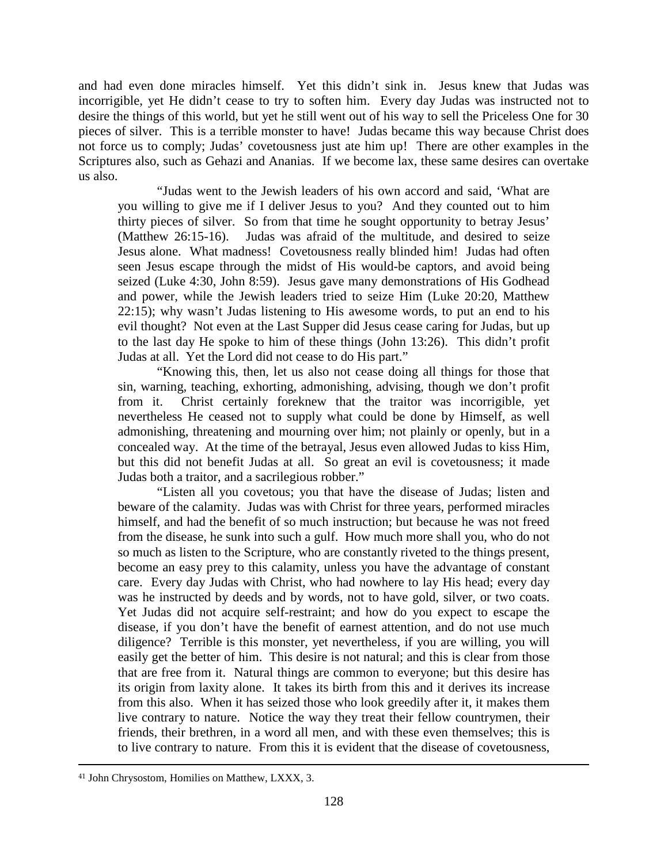and had even done miracles himself. Yet this didn't sink in. Jesus knew that Judas was incorrigible, yet He didn't cease to try to soften him. Every day Judas was instructed not to desire the things of this world, but yet he still went out of his way to sell the Priceless One for 30 pieces of silver. This is a terrible monster to have! Judas became this way because Christ does not force us to comply; Judas' covetousness just ate him up! There are other examples in the Scriptures also, such as Gehazi and Ananias. If we become lax, these same desires can overtake us also.

"Judas went to the Jewish leaders of his own accord and said, 'What are you willing to give me if I deliver Jesus to you? And they counted out to him thirty pieces of silver. So from that time he sought opportunity to betray Jesus' (Matthew 26:15-16). Judas was afraid of the multitude, and desired to seize Jesus alone. What madness! Covetousness really blinded him! Judas had often seen Jesus escape through the midst of His would-be captors, and avoid being seized (Luke 4:30, John 8:59). Jesus gave many demonstrations of His Godhead and power, while the Jewish leaders tried to seize Him (Luke 20:20, Matthew 22:15); why wasn't Judas listening to His awesome words, to put an end to his evil thought? Not even at the Last Supper did Jesus cease caring for Judas, but up to the last day He spoke to him of these things (John 13:26). This didn't profit Judas at all. Yet the Lord did not cease to do His part."

"Knowing this, then, let us also not cease doing all things for those that sin, warning, teaching, exhorting, admonishing, advising, though we don't profit from it. Christ certainly foreknew that the traitor was incorrigible, yet nevertheless He ceased not to supply what could be done by Himself, as well admonishing, threatening and mourning over him; not plainly or openly, but in a concealed way. At the time of the betrayal, Jesus even allowed Judas to kiss Him, but this did not benefit Judas at all. So great an evil is covetousness; it made Judas both a traitor, and a sacrilegious robber."

"Listen all you covetous; you that have the disease of Judas; listen and beware of the calamity. Judas was with Christ for three years, performed miracles himself, and had the benefit of so much instruction; but because he was not freed from the disease, he sunk into such a gulf. How much more shall you, who do not so much as listen to the Scripture, who are constantly riveted to the things present, become an easy prey to this calamity, unless you have the advantage of constant care. Every day Judas with Christ, who had nowhere to lay His head; every day was he instructed by deeds and by words, not to have gold, silver, or two coats. Yet Judas did not acquire self-restraint; and how do you expect to escape the disease, if you don't have the benefit of earnest attention, and do not use much diligence? Terrible is this monster, yet nevertheless, if you are willing, you will easily get the better of him. This desire is not natural; and this is clear from those that are free from it. Natural things are common to everyone; but this desire has its origin from laxity alone. It takes its birth from this and it derives its increase from this also. When it has seized those who look greedily after it, it makes them live contrary to nature. Notice the way they treat their fellow countrymen, their friends, their brethren, in a word all men, and with these even themselves; this is to live contrary to nature. From this it is evident that the disease of covetousness,

<sup>41</sup> John Chrysostom, Homilies on Matthew, LXXX, 3.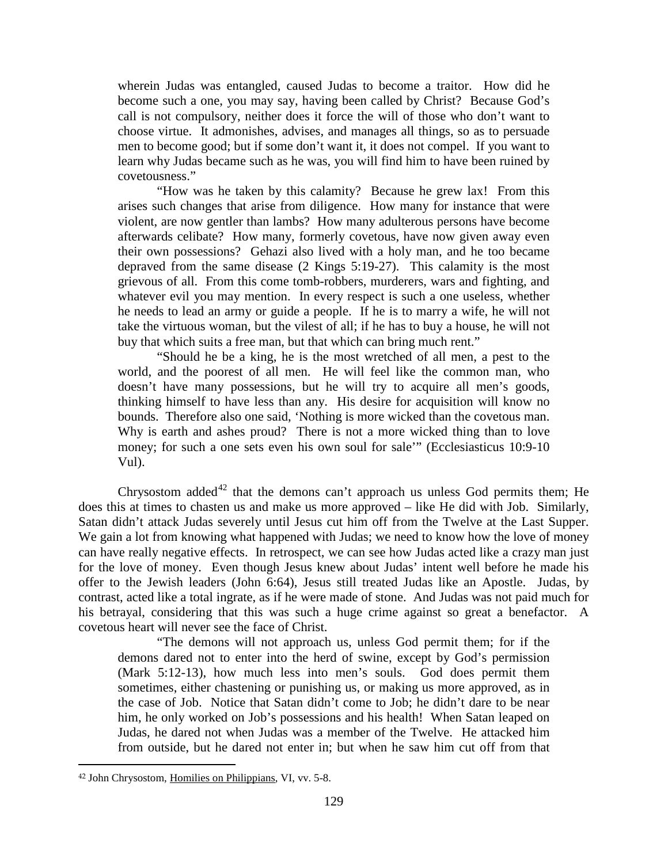wherein Judas was entangled, caused Judas to become a traitor. How did he become such a one, you may say, having been called by Christ? Because God's call is not compulsory, neither does it force the will of those who don't want to choose virtue. It admonishes, advises, and manages all things, so as to persuade men to become good; but if some don't want it, it does not compel. If you want to learn why Judas became such as he was, you will find him to have been ruined by covetousness."

"How was he taken by this calamity? Because he grew lax! From this arises such changes that arise from diligence. How many for instance that were violent, are now gentler than lambs? How many adulterous persons have become afterwards celibate? How many, formerly covetous, have now given away even their own possessions? Gehazi also lived with a holy man, and he too became depraved from the same disease (2 Kings 5:19-27). This calamity is the most grievous of all. From this come tomb-robbers, murderers, wars and fighting, and whatever evil you may mention. In every respect is such a one useless, whether he needs to lead an army or guide a people. If he is to marry a wife, he will not take the virtuous woman, but the vilest of all; if he has to buy a house, he will not buy that which suits a free man, but that which can bring much rent."

"Should he be a king, he is the most wretched of all men, a pest to the world, and the poorest of all men. He will feel like the common man, who doesn't have many possessions, but he will try to acquire all men's goods, thinking himself to have less than any. His desire for acquisition will know no bounds. Therefore also one said, 'Nothing is more wicked than the covetous man. Why is earth and ashes proud? There is not a more wicked thing than to love money; for such a one sets even his own soul for sale'" (Ecclesiasticus 10:9-10 Vul).

Chrysostom added<sup>[42](#page-28-0)</sup> that the demons can't approach us unless God permits them; He does this at times to chasten us and make us more approved – like He did with Job. Similarly, Satan didn't attack Judas severely until Jesus cut him off from the Twelve at the Last Supper. We gain a lot from knowing what happened with Judas; we need to know how the love of money can have really negative effects. In retrospect, we can see how Judas acted like a crazy man just for the love of money. Even though Jesus knew about Judas' intent well before he made his offer to the Jewish leaders (John 6:64), Jesus still treated Judas like an Apostle. Judas, by contrast, acted like a total ingrate, as if he were made of stone. And Judas was not paid much for his betrayal, considering that this was such a huge crime against so great a benefactor. A covetous heart will never see the face of Christ.

"The demons will not approach us, unless God permit them; for if the demons dared not to enter into the herd of swine, except by God's permission (Mark 5:12-13), how much less into men's souls. God does permit them sometimes, either chastening or punishing us, or making us more approved, as in the case of Job. Notice that Satan didn't come to Job; he didn't dare to be near him, he only worked on Job's possessions and his health! When Satan leaped on Judas, he dared not when Judas was a member of the Twelve. He attacked him from outside, but he dared not enter in; but when he saw him cut off from that

<span id="page-28-0"></span> $\overline{a}$ <sup>42</sup> John Chrysostom, Homilies on Philippians, VI, vv. 5-8.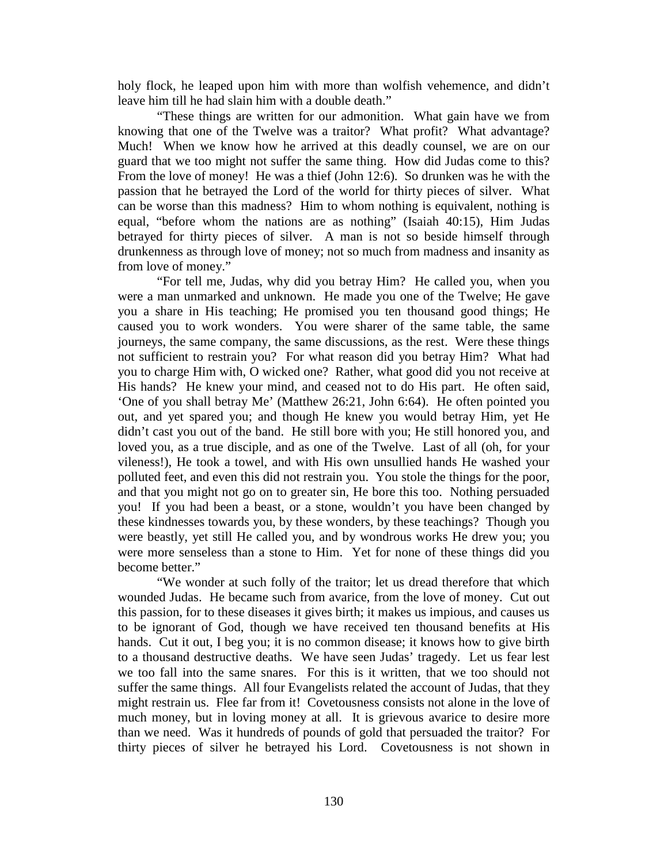holy flock, he leaped upon him with more than wolfish vehemence, and didn't leave him till he had slain him with a double death."

"These things are written for our admonition. What gain have we from knowing that one of the Twelve was a traitor? What profit? What advantage? Much! When we know how he arrived at this deadly counsel, we are on our guard that we too might not suffer the same thing. How did Judas come to this? From the love of money! He was a thief (John 12:6). So drunken was he with the passion that he betrayed the Lord of the world for thirty pieces of silver. What can be worse than this madness? Him to whom nothing is equivalent, nothing is equal, "before whom the nations are as nothing" (Isaiah 40:15), Him Judas betrayed for thirty pieces of silver. A man is not so beside himself through drunkenness as through love of money; not so much from madness and insanity as from love of money."

"For tell me, Judas, why did you betray Him? He called you, when you were a man unmarked and unknown. He made you one of the Twelve; He gave you a share in His teaching; He promised you ten thousand good things; He caused you to work wonders. You were sharer of the same table, the same journeys, the same company, the same discussions, as the rest. Were these things not sufficient to restrain you? For what reason did you betray Him? What had you to charge Him with, O wicked one? Rather, what good did you not receive at His hands? He knew your mind, and ceased not to do His part. He often said, 'One of you shall betray Me' (Matthew 26:21, John 6:64). He often pointed you out, and yet spared you; and though He knew you would betray Him, yet He didn't cast you out of the band. He still bore with you; He still honored you, and loved you, as a true disciple, and as one of the Twelve. Last of all (oh, for your vileness!), He took a towel, and with His own unsullied hands He washed your polluted feet, and even this did not restrain you. You stole the things for the poor, and that you might not go on to greater sin, He bore this too. Nothing persuaded you! If you had been a beast, or a stone, wouldn't you have been changed by these kindnesses towards you, by these wonders, by these teachings? Though you were beastly, yet still He called you, and by wondrous works He drew you; you were more senseless than a stone to Him. Yet for none of these things did you become better."

"We wonder at such folly of the traitor; let us dread therefore that which wounded Judas. He became such from avarice, from the love of money. Cut out this passion, for to these diseases it gives birth; it makes us impious, and causes us to be ignorant of God, though we have received ten thousand benefits at His hands. Cut it out, I beg you; it is no common disease; it knows how to give birth to a thousand destructive deaths. We have seen Judas' tragedy. Let us fear lest we too fall into the same snares. For this is it written, that we too should not suffer the same things. All four Evangelists related the account of Judas, that they might restrain us. Flee far from it! Covetousness consists not alone in the love of much money, but in loving money at all. It is grievous avarice to desire more than we need. Was it hundreds of pounds of gold that persuaded the traitor? For thirty pieces of silver he betrayed his Lord. Covetousness is not shown in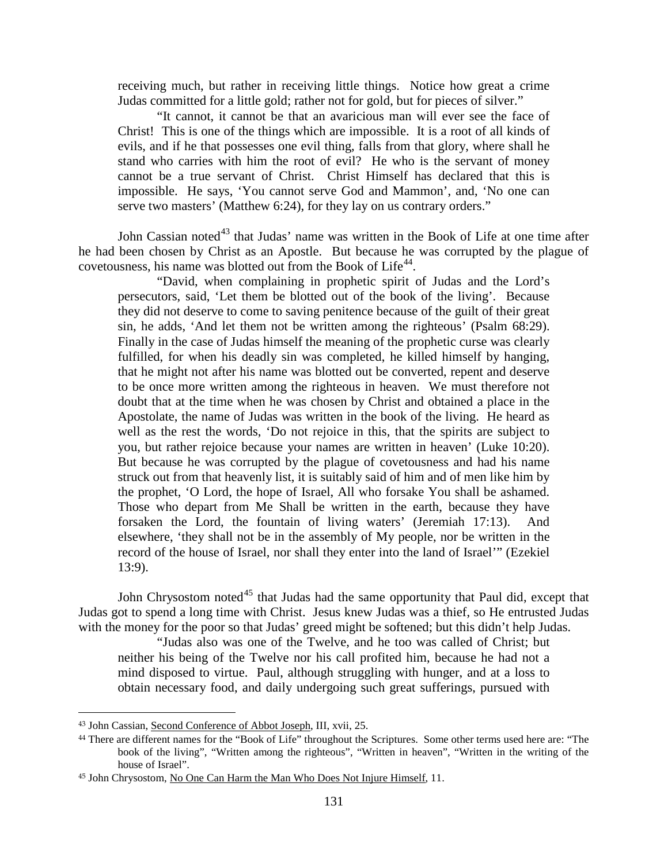receiving much, but rather in receiving little things. Notice how great a crime Judas committed for a little gold; rather not for gold, but for pieces of silver."

"It cannot, it cannot be that an avaricious man will ever see the face of Christ! This is one of the things which are impossible. It is a root of all kinds of evils, and if he that possesses one evil thing, falls from that glory, where shall he stand who carries with him the root of evil? He who is the servant of money cannot be a true servant of Christ. Christ Himself has declared that this is impossible. He says, 'You cannot serve God and Mammon', and, 'No one can serve two masters' (Matthew 6:24), for they lay on us contrary orders."

John Cassian noted<sup>[43](#page-30-0)</sup> that Judas' name was written in the Book of Life at one time after he had been chosen by Christ as an Apostle. But because he was corrupted by the plague of covetousness, his name was blotted out from the Book of Life<sup>[44](#page-30-1)</sup>.

"David, when complaining in prophetic spirit of Judas and the Lord's persecutors, said, 'Let them be blotted out of the book of the living'. Because they did not deserve to come to saving penitence because of the guilt of their great sin, he adds, 'And let them not be written among the righteous' (Psalm 68:29). Finally in the case of Judas himself the meaning of the prophetic curse was clearly fulfilled, for when his deadly sin was completed, he killed himself by hanging, that he might not after his name was blotted out be converted, repent and deserve to be once more written among the righteous in heaven. We must therefore not doubt that at the time when he was chosen by Christ and obtained a place in the Apostolate, the name of Judas was written in the book of the living. He heard as well as the rest the words, 'Do not rejoice in this, that the spirits are subject to you, but rather rejoice because your names are written in heaven' (Luke 10:20). But because he was corrupted by the plague of covetousness and had his name struck out from that heavenly list, it is suitably said of him and of men like him by the prophet, 'O Lord, the hope of Israel, All who forsake You shall be ashamed. Those who depart from Me Shall be written in the earth, because they have forsaken the Lord, the fountain of living waters' (Jeremiah 17:13). And elsewhere, 'they shall not be in the assembly of My people, nor be written in the record of the house of Israel, nor shall they enter into the land of Israel'" (Ezekiel 13:9).

John Chrysostom noted<sup>[45](#page-30-2)</sup> that Judas had the same opportunity that Paul did, except that Judas got to spend a long time with Christ. Jesus knew Judas was a thief, so He entrusted Judas with the money for the poor so that Judas' greed might be softened; but this didn't help Judas.

"Judas also was one of the Twelve, and he too was called of Christ; but neither his being of the Twelve nor his call profited him, because he had not a mind disposed to virtue. Paul, although struggling with hunger, and at a loss to obtain necessary food, and daily undergoing such great sufferings, pursued with

<span id="page-30-0"></span><sup>43</sup> John Cassian, Second Conference of Abbot Joseph, III, xvii, 25.

<span id="page-30-1"></span><sup>44</sup> There are different names for the "Book of Life" throughout the Scriptures. Some other terms used here are: "The book of the living", "Written among the righteous", "Written in heaven", "Written in the writing of the house of Israel".

<span id="page-30-2"></span><sup>45</sup> John Chrysostom, No One Can Harm the Man Who Does Not Injure Himself, 11.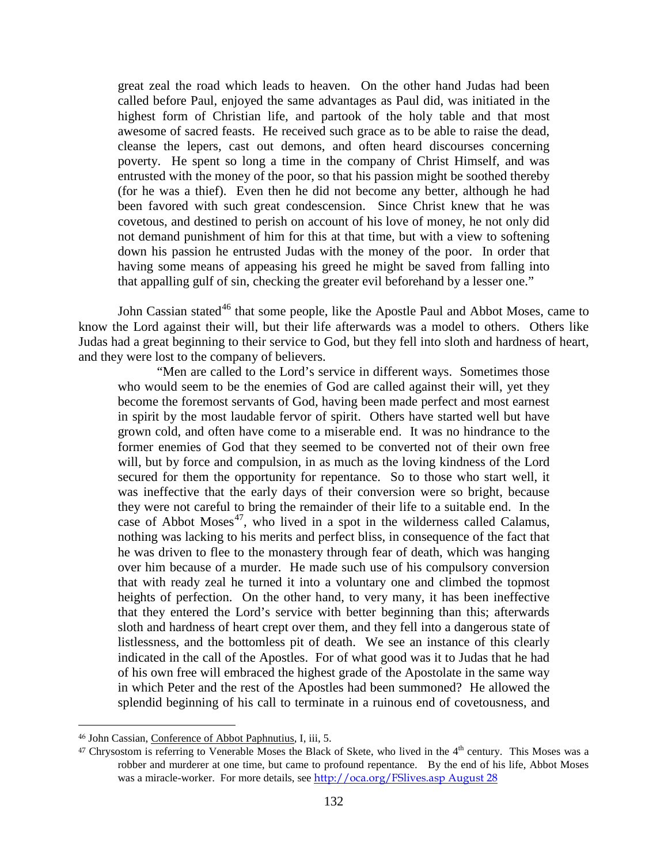great zeal the road which leads to heaven. On the other hand Judas had been called before Paul, enjoyed the same advantages as Paul did, was initiated in the highest form of Christian life, and partook of the holy table and that most awesome of sacred feasts. He received such grace as to be able to raise the dead, cleanse the lepers, cast out demons, and often heard discourses concerning poverty. He spent so long a time in the company of Christ Himself, and was entrusted with the money of the poor, so that his passion might be soothed thereby (for he was a thief). Even then he did not become any better, although he had been favored with such great condescension. Since Christ knew that he was covetous, and destined to perish on account of his love of money, he not only did not demand punishment of him for this at that time, but with a view to softening down his passion he entrusted Judas with the money of the poor. In order that having some means of appeasing his greed he might be saved from falling into that appalling gulf of sin, checking the greater evil beforehand by a lesser one."

John Cassian stated<sup>[46](#page-31-0)</sup> that some people, like the Apostle Paul and Abbot Moses, came to know the Lord against their will, but their life afterwards was a model to others. Others like Judas had a great beginning to their service to God, but they fell into sloth and hardness of heart, and they were lost to the company of believers.

"Men are called to the Lord's service in different ways. Sometimes those who would seem to be the enemies of God are called against their will, yet they become the foremost servants of God, having been made perfect and most earnest in spirit by the most laudable fervor of spirit. Others have started well but have grown cold, and often have come to a miserable end. It was no hindrance to the former enemies of God that they seemed to be converted not of their own free will, but by force and compulsion, in as much as the loving kindness of the Lord secured for them the opportunity for repentance. So to those who start well, it was ineffective that the early days of their conversion were so bright, because they were not careful to bring the remainder of their life to a suitable end. In the case of Abbot Moses $47$ , who lived in a spot in the wilderness called Calamus, nothing was lacking to his merits and perfect bliss, in consequence of the fact that he was driven to flee to the monastery through fear of death, which was hanging over him because of a murder. He made such use of his compulsory conversion that with ready zeal he turned it into a voluntary one and climbed the topmost heights of perfection. On the other hand, to very many, it has been ineffective that they entered the Lord's service with better beginning than this; afterwards sloth and hardness of heart crept over them, and they fell into a dangerous state of listlessness, and the bottomless pit of death. We see an instance of this clearly indicated in the call of the Apostles. For of what good was it to Judas that he had of his own free will embraced the highest grade of the Apostolate in the same way in which Peter and the rest of the Apostles had been summoned? He allowed the splendid beginning of his call to terminate in a ruinous end of covetousness, and

<span id="page-31-0"></span><sup>46</sup> John Cassian, Conference of Abbot Paphnutius, I, iii, 5.

<span id="page-31-1"></span> $47$  Chrysostom is referring to Venerable Moses the Black of Skete, who lived in the  $4<sup>th</sup>$  century. This Moses was a robber and murderer at one time, but came to profound repentance. By the end of his life, Abbot Moses was a miracle-worker. For more details, see [http://oca.org/FSlives.asp August 28](http://oca.org/FSlives.asp%20August%2028)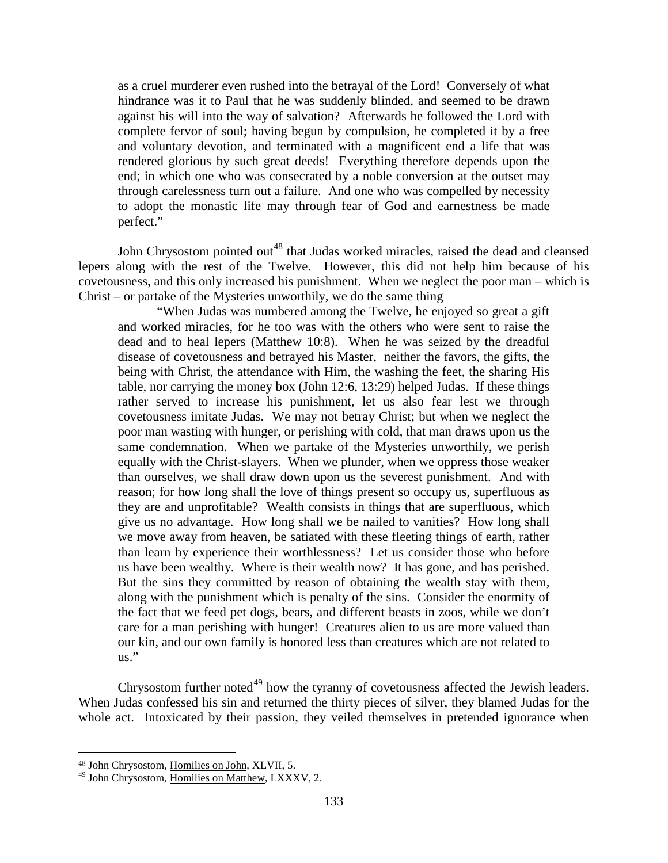as a cruel murderer even rushed into the betrayal of the Lord! Conversely of what hindrance was it to Paul that he was suddenly blinded, and seemed to be drawn against his will into the way of salvation? Afterwards he followed the Lord with complete fervor of soul; having begun by compulsion, he completed it by a free and voluntary devotion, and terminated with a magnificent end a life that was rendered glorious by such great deeds! Everything therefore depends upon the end; in which one who was consecrated by a noble conversion at the outset may through carelessness turn out a failure. And one who was compelled by necessity to adopt the monastic life may through fear of God and earnestness be made perfect."

John Chrysostom pointed out<sup>[48](#page-32-0)</sup> that Judas worked miracles, raised the dead and cleansed lepers along with the rest of the Twelve. However, this did not help him because of his covetousness, and this only increased his punishment. When we neglect the poor man – which is Christ – or partake of the Mysteries unworthily, we do the same thing

"When Judas was numbered among the Twelve, he enjoyed so great a gift and worked miracles, for he too was with the others who were sent to raise the dead and to heal lepers (Matthew 10:8). When he was seized by the dreadful disease of covetousness and betrayed his Master, neither the favors, the gifts, the being with Christ, the attendance with Him, the washing the feet, the sharing His table, nor carrying the money box (John 12:6, 13:29) helped Judas. If these things rather served to increase his punishment, let us also fear lest we through covetousness imitate Judas. We may not betray Christ; but when we neglect the poor man wasting with hunger, or perishing with cold, that man draws upon us the same condemnation. When we partake of the Mysteries unworthily, we perish equally with the Christ-slayers. When we plunder, when we oppress those weaker than ourselves, we shall draw down upon us the severest punishment. And with reason; for how long shall the love of things present so occupy us, superfluous as they are and unprofitable? Wealth consists in things that are superfluous, which give us no advantage. How long shall we be nailed to vanities? How long shall we move away from heaven, be satiated with these fleeting things of earth, rather than learn by experience their worthlessness? Let us consider those who before us have been wealthy. Where is their wealth now? It has gone, and has perished. But the sins they committed by reason of obtaining the wealth stay with them, along with the punishment which is penalty of the sins. Consider the enormity of the fact that we feed pet dogs, bears, and different beasts in zoos, while we don't care for a man perishing with hunger! Creatures alien to us are more valued than our kin, and our own family is honored less than creatures which are not related to us."

Chrysostom further noted<sup>[49](#page-32-1)</sup> how the tyranny of covetousness affected the Jewish leaders. When Judas confessed his sin and returned the thirty pieces of silver, they blamed Judas for the whole act. Intoxicated by their passion, they veiled themselves in pretended ignorance when

<span id="page-32-0"></span><sup>48</sup> John Chrysostom, Homilies on John, XLVII, 5.

<span id="page-32-1"></span><sup>&</sup>lt;sup>49</sup> John Chrysostom, Homilies on Matthew, LXXXV, 2.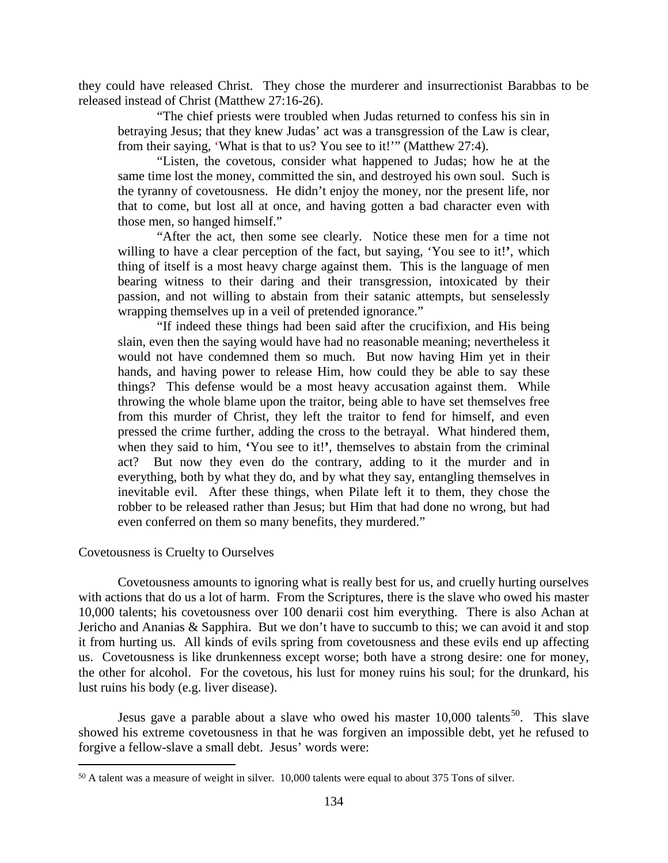they could have released Christ. They chose the murderer and insurrectionist Barabbas to be released instead of Christ (Matthew 27:16-26).

"The chief priests were troubled when Judas returned to confess his sin in betraying Jesus; that they knew Judas' act was a transgression of the Law is clear, from their saying, 'What is that to us? You see to it!'" (Matthew 27:4).

"Listen, the covetous, consider what happened to Judas; how he at the same time lost the money, committed the sin, and destroyed his own soul. Such is the tyranny of covetousness. He didn't enjoy the money, nor the present life, nor that to come, but lost all at once, and having gotten a bad character even with those men, so hanged himself."

"After the act, then some see clearly. Notice these men for a time not willing to have a clear perception of the fact, but saying, 'You see to it!**'**, which thing of itself is a most heavy charge against them. This is the language of men bearing witness to their daring and their transgression, intoxicated by their passion, and not willing to abstain from their satanic attempts, but senselessly wrapping themselves up in a veil of pretended ignorance."

"If indeed these things had been said after the crucifixion, and His being slain, even then the saying would have had no reasonable meaning; nevertheless it would not have condemned them so much. But now having Him yet in their hands, and having power to release Him, how could they be able to say these things? This defense would be a most heavy accusation against them. While throwing the whole blame upon the traitor, being able to have set themselves free from this murder of Christ, they left the traitor to fend for himself, and even pressed the crime further, adding the cross to the betrayal. What hindered them, when they said to him, **'**You see to it!**'**, themselves to abstain from the criminal act? But now they even do the contrary, adding to it the murder and in everything, both by what they do, and by what they say, entangling themselves in inevitable evil. After these things, when Pilate left it to them, they chose the robber to be released rather than Jesus; but Him that had done no wrong, but had even conferred on them so many benefits, they murdered."

# <span id="page-33-0"></span>Covetousness is Cruelty to Ourselves

 $\overline{a}$ 

Covetousness amounts to ignoring what is really best for us, and cruelly hurting ourselves with actions that do us a lot of harm. From the Scriptures, there is the slave who owed his master 10,000 talents; his covetousness over 100 denarii cost him everything. There is also Achan at Jericho and Ananias & Sapphira. But we don't have to succumb to this; we can avoid it and stop it from hurting us. All kinds of evils spring from covetousness and these evils end up affecting us. Covetousness is like drunkenness except worse; both have a strong desire: one for money, the other for alcohol. For the covetous, his lust for money ruins his soul; for the drunkard, his lust ruins his body (e.g. liver disease).

Jesus gave a parable about a slave who owed his master  $10,000$  talents<sup>50</sup>. This slave showed his extreme covetousness in that he was forgiven an impossible debt, yet he refused to forgive a fellow-slave a small debt. Jesus' words were:

<span id="page-33-1"></span><sup>50</sup> A talent was a measure of weight in silver. 10,000 talents were equal to about 375 Tons of silver.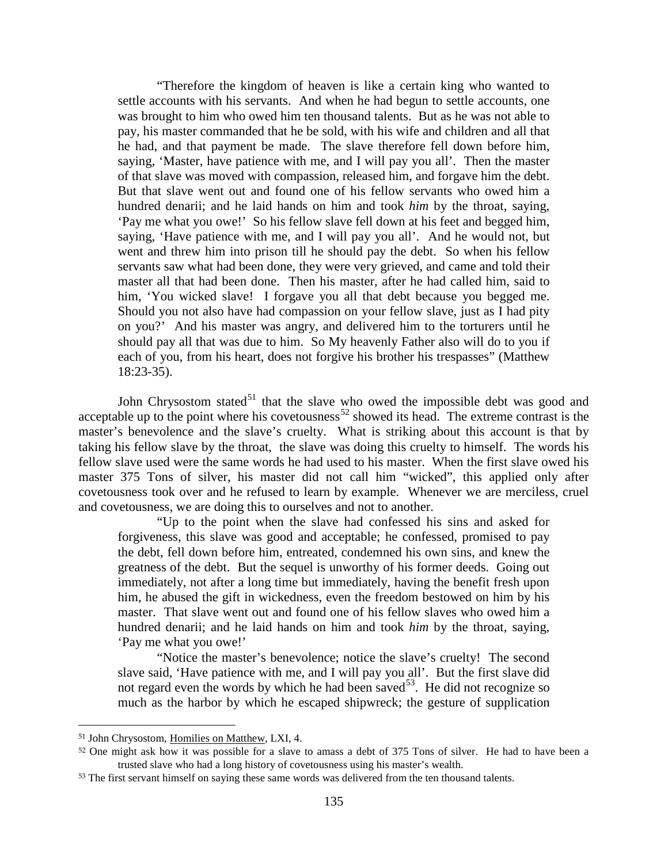"Therefore the kingdom of heaven is like a certain king who wanted to settle accounts with his servants. And when he had begun to settle accounts, one was brought to him who owed him ten thousand talents. But as he was not able to pay, his master commanded that he be sold, with his wife and children and all that he had, and that payment be made. The slave therefore fell down before him, saying, 'Master, have patience with me, and I will pay you all'. Then the master of that slave was moved with compassion, released him, and forgave him the debt. But that slave went out and found one of his fellow servants who owed him a hundred denarii; and he laid hands on him and took *him* by the throat, saying, 'Pay me what you owe!' So his fellow slave fell down at his feet and begged him, saying, 'Have patience with me, and I will pay you all'. And he would not, but went and threw him into prison till he should pay the debt. So when his fellow servants saw what had been done, they were very grieved, and came and told their master all that had been done. Then his master, after he had called him, said to him, 'You wicked slave! I forgave you all that debt because you begged me. Should you not also have had compassion on your fellow slave, just as I had pity on you?' And his master was angry, and delivered him to the torturers until he should pay all that was due to him. So My heavenly Father also will do to you if each of you, from his heart, does not forgive his brother his trespasses" (Matthew 18:23-35).

John Chrysostom stated $51$  that the slave who owed the impossible debt was good and acceptable up to the point where his covetousness<sup>[52](#page-34-1)</sup> showed its head. The extreme contrast is the master's benevolence and the slave's cruelty. What is striking about this account is that by taking his fellow slave by the throat, the slave was doing this cruelty to himself. The words his fellow slave used were the same words he had used to his master. When the first slave owed his master 375 Tons of silver, his master did not call him "wicked", this applied only after covetousness took over and he refused to learn by example. Whenever we are merciless, cruel and covetousness, we are doing this to ourselves and not to another.

"Up to the point when the slave had confessed his sins and asked for forgiveness, this slave was good and acceptable; he confessed, promised to pay the debt, fell down before him, entreated, condemned his own sins, and knew the greatness of the debt. But the sequel is unworthy of his former deeds. Going out immediately, not after a long time but immediately, having the benefit fresh upon him, he abused the gift in wickedness, even the freedom bestowed on him by his master. That slave went out and found one of his fellow slaves who owed him a hundred denarii; and he laid hands on him and took *him* by the throat, saying, 'Pay me what you owe!'

"Notice the master's benevolence; notice the slave's cruelty! The second slave said, 'Have patience with me, and I will pay you all'. But the first slave did not regard even the words by which he had been saved  $53$ . He did not recognize so much as the harbor by which he escaped shipwreck; the gesture of supplication

<span id="page-34-0"></span><sup>51</sup> John Chrysostom, Homilies on Matthew, LXI, 4.

<span id="page-34-1"></span><sup>52</sup> One might ask how it was possible for a slave to amass a debt of 375 Tons of silver. He had to have been a trusted slave who had a long history of covetousness using his master's wealth.

<span id="page-34-2"></span><sup>53</sup> The first servant himself on saying these same words was delivered from the ten thousand talents.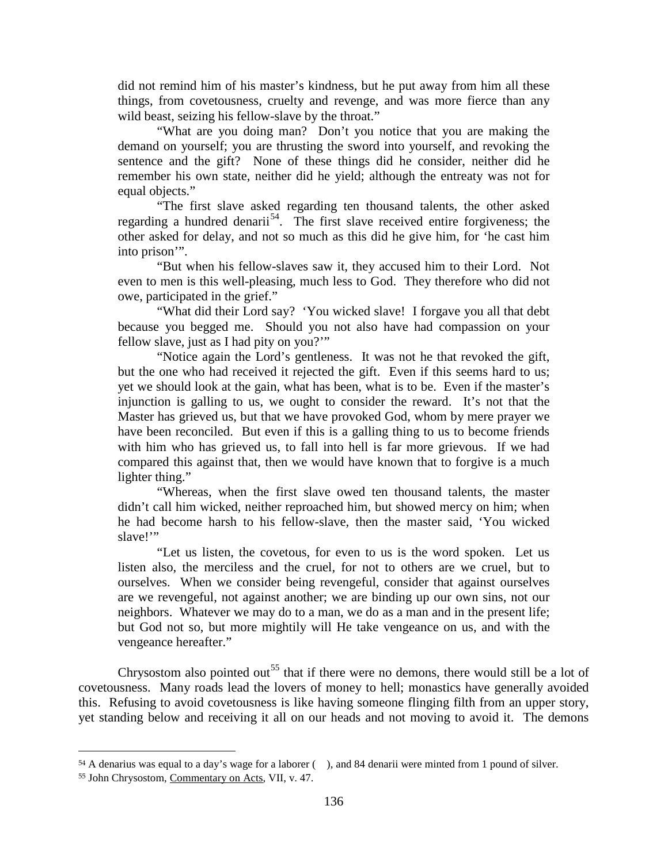did not remind him of his master's kindness, but he put away from him all these things, from covetousness, cruelty and revenge, and was more fierce than any wild beast, seizing his fellow-slave by the throat."

"What are you doing man? Don't you notice that you are making the demand on yourself; you are thrusting the sword into yourself, and revoking the sentence and the gift? None of these things did he consider, neither did he remember his own state, neither did he yield; although the entreaty was not for equal objects."

"The first slave asked regarding ten thousand talents, the other asked regarding a hundred denarii<sup>[54](#page-35-0)</sup>. The first slave received entire forgiveness; the other asked for delay, and not so much as this did he give him, for 'he cast him into prison'".

"But when his fellow-slaves saw it, they accused him to their Lord. Not even to men is this well-pleasing, much less to God. They therefore who did not owe, participated in the grief."

"What did their Lord say? 'You wicked slave! I forgave you all that debt because you begged me. Should you not also have had compassion on your fellow slave, just as I had pity on you?"

"Notice again the Lord's gentleness. It was not he that revoked the gift, but the one who had received it rejected the gift. Even if this seems hard to us; yet we should look at the gain, what has been, what is to be. Even if the master's injunction is galling to us, we ought to consider the reward. It's not that the Master has grieved us, but that we have provoked God, whom by mere prayer we have been reconciled. But even if this is a galling thing to us to become friends with him who has grieved us, to fall into hell is far more grievous. If we had compared this against that, then we would have known that to forgive is a much lighter thing."

"Whereas, when the first slave owed ten thousand talents, the master didn't call him wicked, neither reproached him, but showed mercy on him; when he had become harsh to his fellow-slave, then the master said, 'You wicked slave!"

"Let us listen, the covetous, for even to us is the word spoken. Let us listen also, the merciless and the cruel, for not to others are we cruel, but to ourselves. When we consider being revengeful, consider that against ourselves are we revengeful, not against another; we are binding up our own sins, not our neighbors. Whatever we may do to a man, we do as a man and in the present life; but God not so, but more mightily will He take vengeance on us, and with the vengeance hereafter."

Chrysostom also pointed out<sup>[55](#page-35-1)</sup> that if there were no demons, there would still be a lot of covetousness. Many roads lead the lovers of money to hell; monastics have generally avoided this. Refusing to avoid covetousness is like having someone flinging filth from an upper story, yet standing below and receiving it all on our heads and not moving to avoid it. The demons

<span id="page-35-0"></span><sup>54</sup> A denarius was equal to a day's wage for a laborer ( ), and 84 denarii were minted from 1 pound of silver.

<span id="page-35-1"></span><sup>55</sup> John Chrysostom, Commentary on Acts, VII, v. 47.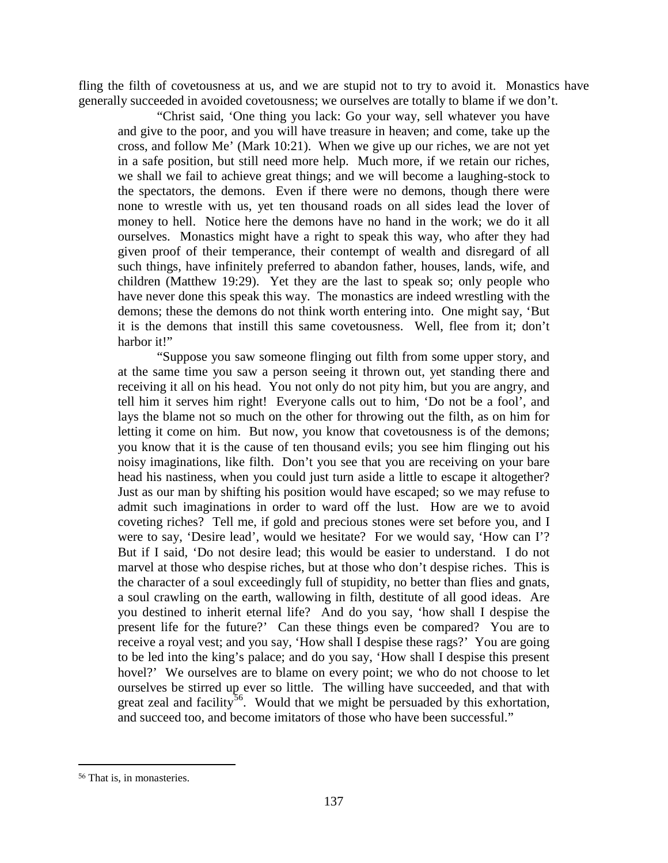fling the filth of covetousness at us, and we are stupid not to try to avoid it. Monastics have generally succeeded in avoided covetousness; we ourselves are totally to blame if we don't.

"Christ said, 'One thing you lack: Go your way, sell whatever you have and give to the poor, and you will have treasure in heaven; and come, take up the cross, and follow Me' (Mark 10:21). When we give up our riches, we are not yet in a safe position, but still need more help. Much more, if we retain our riches, we shall we fail to achieve great things; and we will become a laughing-stock to the spectators, the demons. Even if there were no demons, though there were none to wrestle with us, yet ten thousand roads on all sides lead the lover of money to hell. Notice here the demons have no hand in the work; we do it all ourselves. Monastics might have a right to speak this way, who after they had given proof of their temperance, their contempt of wealth and disregard of all such things, have infinitely preferred to abandon father, houses, lands, wife, and children (Matthew 19:29). Yet they are the last to speak so; only people who have never done this speak this way. The monastics are indeed wrestling with the demons; these the demons do not think worth entering into. One might say, 'But it is the demons that instill this same covetousness. Well, flee from it; don't harbor it!"

"Suppose you saw someone flinging out filth from some upper story, and at the same time you saw a person seeing it thrown out, yet standing there and receiving it all on his head. You not only do not pity him, but you are angry, and tell him it serves him right! Everyone calls out to him, 'Do not be a fool', and lays the blame not so much on the other for throwing out the filth, as on him for letting it come on him. But now, you know that covetousness is of the demons; you know that it is the cause of ten thousand evils; you see him flinging out his noisy imaginations, like filth. Don't you see that you are receiving on your bare head his nastiness, when you could just turn aside a little to escape it altogether? Just as our man by shifting his position would have escaped; so we may refuse to admit such imaginations in order to ward off the lust. How are we to avoid coveting riches? Tell me, if gold and precious stones were set before you, and I were to say, 'Desire lead', would we hesitate? For we would say, 'How can I'? But if I said, 'Do not desire lead; this would be easier to understand. I do not marvel at those who despise riches, but at those who don't despise riches. This is the character of a soul exceedingly full of stupidity, no better than flies and gnats, a soul crawling on the earth, wallowing in filth, destitute of all good ideas. Are you destined to inherit eternal life? And do you say, 'how shall I despise the present life for the future?' Can these things even be compared? You are to receive a royal vest; and you say, 'How shall I despise these rags?' You are going to be led into the king's palace; and do you say, 'How shall I despise this present hovel?' We ourselves are to blame on every point; we who do not choose to let ourselves be stirred up ever so little. The willing have succeeded, and that with great zeal and facility<sup>56</sup>. Would that we might be persuaded by this exhortation, and succeed too, and become imitators of those who have been successful."

<span id="page-36-0"></span><sup>56</sup> That is, in monasteries.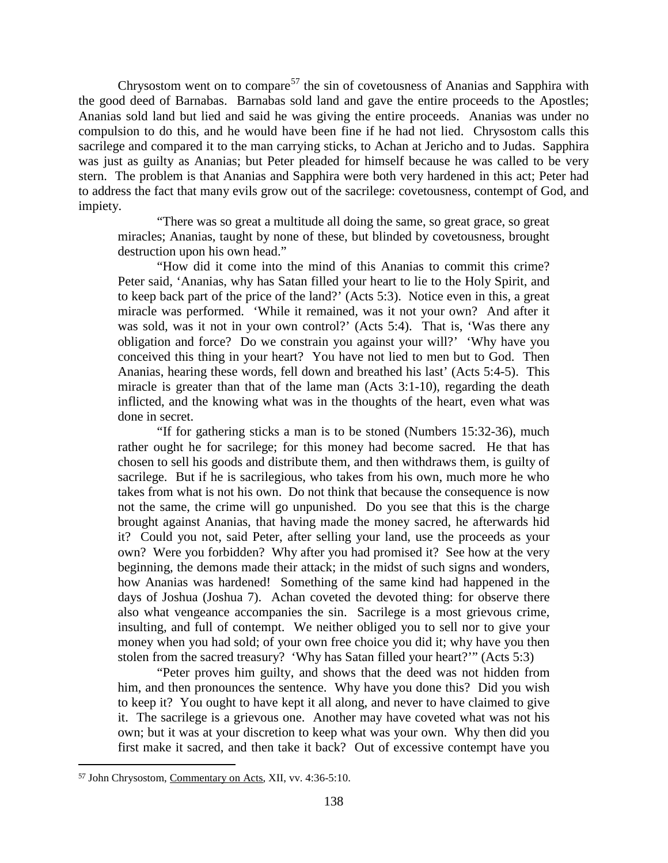Chrysostom went on to compare<sup>[57](#page-37-0)</sup> the sin of covetousness of Ananias and Sapphira with the good deed of Barnabas. Barnabas sold land and gave the entire proceeds to the Apostles; Ananias sold land but lied and said he was giving the entire proceeds. Ananias was under no compulsion to do this, and he would have been fine if he had not lied. Chrysostom calls this sacrilege and compared it to the man carrying sticks, to Achan at Jericho and to Judas. Sapphira was just as guilty as Ananias; but Peter pleaded for himself because he was called to be very stern. The problem is that Ananias and Sapphira were both very hardened in this act; Peter had to address the fact that many evils grow out of the sacrilege: covetousness, contempt of God, and impiety.

"There was so great a multitude all doing the same, so great grace, so great miracles; Ananias, taught by none of these, but blinded by covetousness, brought destruction upon his own head."

"How did it come into the mind of this Ananias to commit this crime? Peter said, 'Ananias, why has Satan filled your heart to lie to the Holy Spirit, and to keep back part of the price of the land?' (Acts 5:3). Notice even in this, a great miracle was performed. 'While it remained, was it not your own? And after it was sold, was it not in your own control?' (Acts 5:4). That is, 'Was there any obligation and force? Do we constrain you against your will?' 'Why have you conceived this thing in your heart? You have not lied to men but to God. Then Ananias, hearing these words, fell down and breathed his last' (Acts 5:4-5). This miracle is greater than that of the lame man (Acts 3:1-10), regarding the death inflicted, and the knowing what was in the thoughts of the heart, even what was done in secret.

"If for gathering sticks a man is to be stoned (Numbers 15:32-36), much rather ought he for sacrilege; for this money had become sacred. He that has chosen to sell his goods and distribute them, and then withdraws them, is guilty of sacrilege. But if he is sacrilegious, who takes from his own, much more he who takes from what is not his own. Do not think that because the consequence is now not the same, the crime will go unpunished. Do you see that this is the charge brought against Ananias, that having made the money sacred, he afterwards hid it? Could you not, said Peter, after selling your land, use the proceeds as your own? Were you forbidden? Why after you had promised it? See how at the very beginning, the demons made their attack; in the midst of such signs and wonders, how Ananias was hardened! Something of the same kind had happened in the days of Joshua (Joshua 7). Achan coveted the devoted thing: for observe there also what vengeance accompanies the sin. Sacrilege is a most grievous crime, insulting, and full of contempt. We neither obliged you to sell nor to give your money when you had sold; of your own free choice you did it; why have you then stolen from the sacred treasury? 'Why has Satan filled your heart?'" (Acts 5:3)

"Peter proves him guilty, and shows that the deed was not hidden from him, and then pronounces the sentence. Why have you done this? Did you wish to keep it? You ought to have kept it all along, and never to have claimed to give it. The sacrilege is a grievous one. Another may have coveted what was not his own; but it was at your discretion to keep what was your own. Why then did you first make it sacred, and then take it back? Out of excessive contempt have you

<span id="page-37-0"></span><sup>57</sup> John Chrysostom, Commentary on Acts, XII, vv. 4:36-5:10.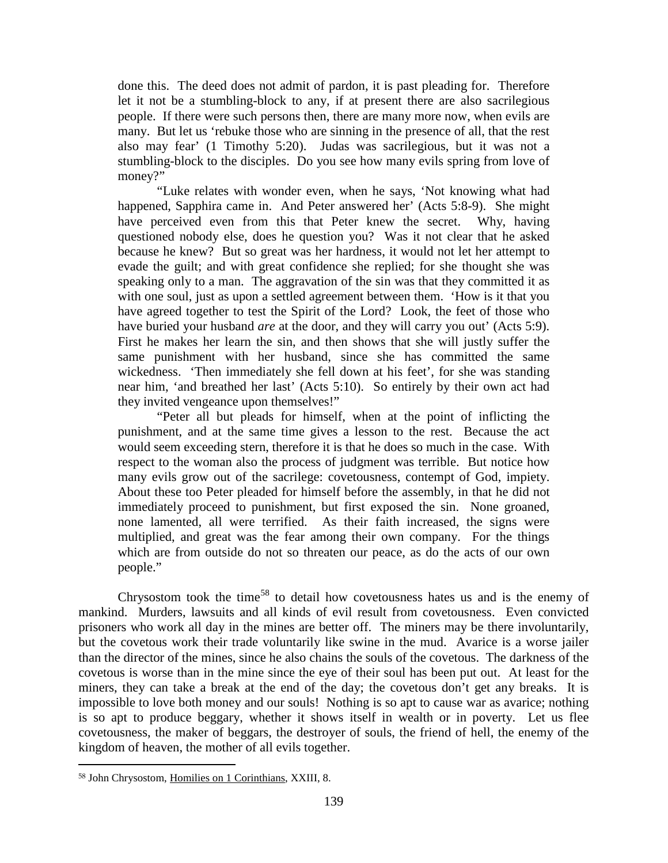done this. The deed does not admit of pardon, it is past pleading for. Therefore let it not be a stumbling-block to any, if at present there are also sacrilegious people. If there were such persons then, there are many more now, when evils are many. But let us 'rebuke those who are sinning in the presence of all, that the rest also may fear' (1 Timothy 5:20). Judas was sacrilegious, but it was not a stumbling-block to the disciples. Do you see how many evils spring from love of money?"

"Luke relates with wonder even, when he says, 'Not knowing what had happened, Sapphira came in. And Peter answered her' (Acts 5:8-9). She might have perceived even from this that Peter knew the secret. Why, having questioned nobody else, does he question you? Was it not clear that he asked because he knew? But so great was her hardness, it would not let her attempt to evade the guilt; and with great confidence she replied; for she thought she was speaking only to a man. The aggravation of the sin was that they committed it as with one soul, just as upon a settled agreement between them. 'How is it that you have agreed together to test the Spirit of the Lord? Look, the feet of those who have buried your husband *are* at the door, and they will carry you out' (Acts 5:9). First he makes her learn the sin, and then shows that she will justly suffer the same punishment with her husband, since she has committed the same wickedness. 'Then immediately she fell down at his feet', for she was standing near him, 'and breathed her last' (Acts 5:10). So entirely by their own act had they invited vengeance upon themselves!"

"Peter all but pleads for himself, when at the point of inflicting the punishment, and at the same time gives a lesson to the rest. Because the act would seem exceeding stern, therefore it is that he does so much in the case. With respect to the woman also the process of judgment was terrible. But notice how many evils grow out of the sacrilege: covetousness, contempt of God, impiety. About these too Peter pleaded for himself before the assembly, in that he did not immediately proceed to punishment, but first exposed the sin. None groaned, none lamented, all were terrified. As their faith increased, the signs were multiplied, and great was the fear among their own company. For the things which are from outside do not so threaten our peace, as do the acts of our own people."

Chrysostom took the time<sup>[58](#page-38-0)</sup> to detail how covetousness hates us and is the enemy of mankind. Murders, lawsuits and all kinds of evil result from covetousness. Even convicted prisoners who work all day in the mines are better off. The miners may be there involuntarily, but the covetous work their trade voluntarily like swine in the mud. Avarice is a worse jailer than the director of the mines, since he also chains the souls of the covetous. The darkness of the covetous is worse than in the mine since the eye of their soul has been put out. At least for the miners, they can take a break at the end of the day; the covetous don't get any breaks. It is impossible to love both money and our souls! Nothing is so apt to cause war as avarice; nothing is so apt to produce beggary, whether it shows itself in wealth or in poverty. Let us flee covetousness, the maker of beggars, the destroyer of souls, the friend of hell, the enemy of the kingdom of heaven, the mother of all evils together.

<span id="page-38-0"></span> $\overline{a}$ <sup>58</sup> John Chrysostom, Homilies on 1 Corinthians, XXIII, 8.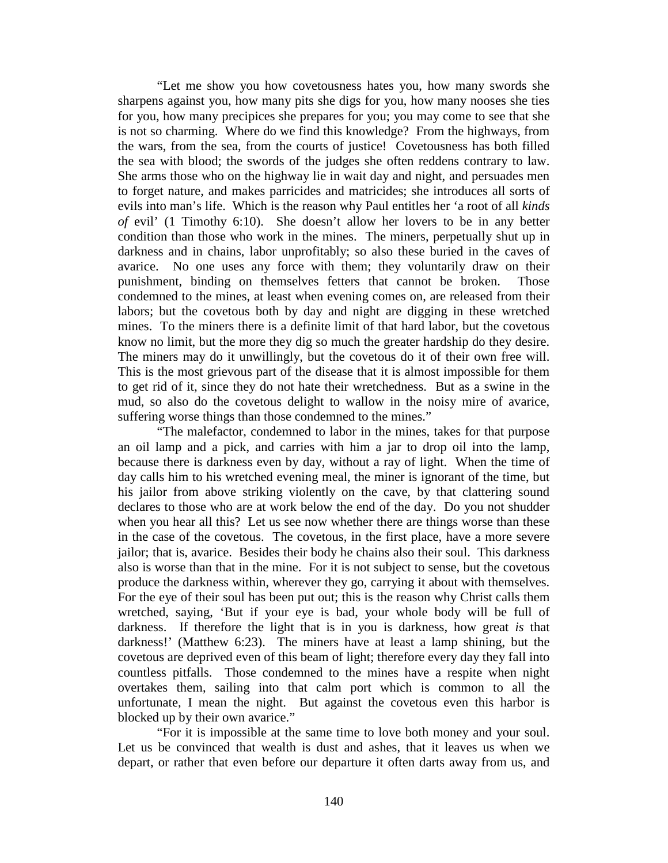"Let me show you how covetousness hates you, how many swords she sharpens against you, how many pits she digs for you, how many nooses she ties for you, how many precipices she prepares for you; you may come to see that she is not so charming. Where do we find this knowledge? From the highways, from the wars, from the sea, from the courts of justice! Covetousness has both filled the sea with blood; the swords of the judges she often reddens contrary to law. She arms those who on the highway lie in wait day and night, and persuades men to forget nature, and makes parricides and matricides; she introduces all sorts of evils into man's life. Which is the reason why Paul entitles her 'a root of all *kinds of* evil' (1 Timothy 6:10). She doesn't allow her lovers to be in any better condition than those who work in the mines. The miners, perpetually shut up in darkness and in chains, labor unprofitably; so also these buried in the caves of avarice. No one uses any force with them; they voluntarily draw on their punishment, binding on themselves fetters that cannot be broken. Those condemned to the mines, at least when evening comes on, are released from their labors; but the covetous both by day and night are digging in these wretched mines. To the miners there is a definite limit of that hard labor, but the covetous know no limit, but the more they dig so much the greater hardship do they desire. The miners may do it unwillingly, but the covetous do it of their own free will. This is the most grievous part of the disease that it is almost impossible for them to get rid of it, since they do not hate their wretchedness. But as a swine in the mud, so also do the covetous delight to wallow in the noisy mire of avarice, suffering worse things than those condemned to the mines."

"The malefactor, condemned to labor in the mines, takes for that purpose an oil lamp and a pick, and carries with him a jar to drop oil into the lamp, because there is darkness even by day, without a ray of light. When the time of day calls him to his wretched evening meal, the miner is ignorant of the time, but his jailor from above striking violently on the cave, by that clattering sound declares to those who are at work below the end of the day. Do you not shudder when you hear all this? Let us see now whether there are things worse than these in the case of the covetous. The covetous, in the first place, have a more severe jailor; that is, avarice. Besides their body he chains also their soul. This darkness also is worse than that in the mine. For it is not subject to sense, but the covetous produce the darkness within, wherever they go, carrying it about with themselves. For the eye of their soul has been put out; this is the reason why Christ calls them wretched, saying, 'But if your eye is bad, your whole body will be full of darkness. If therefore the light that is in you is darkness, how great *is* that darkness!' (Matthew 6:23). The miners have at least a lamp shining, but the covetous are deprived even of this beam of light; therefore every day they fall into countless pitfalls. Those condemned to the mines have a respite when night overtakes them, sailing into that calm port which is common to all the unfortunate, I mean the night. But against the covetous even this harbor is blocked up by their own avarice."

"For it is impossible at the same time to love both money and your soul. Let us be convinced that wealth is dust and ashes, that it leaves us when we depart, or rather that even before our departure it often darts away from us, and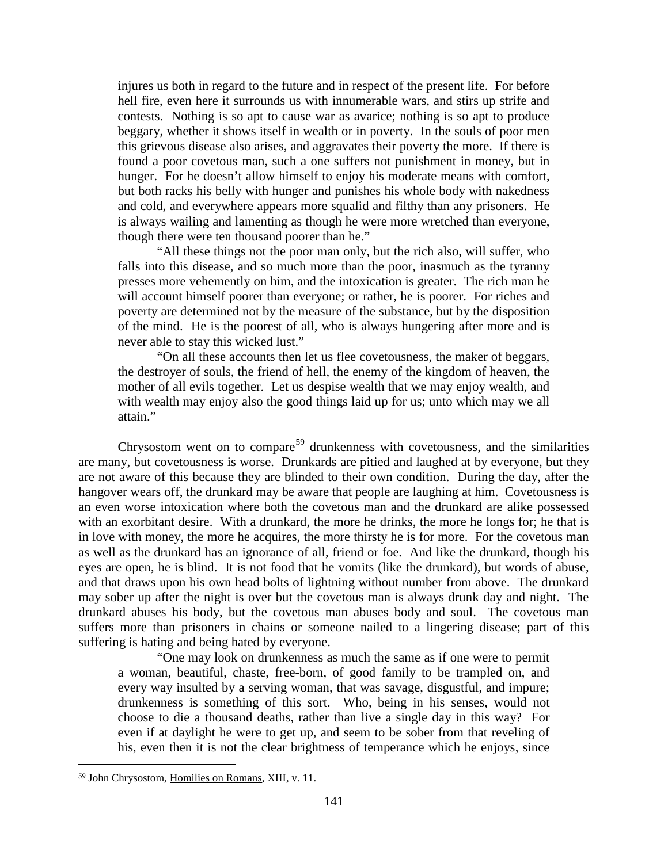injures us both in regard to the future and in respect of the present life. For before hell fire, even here it surrounds us with innumerable wars, and stirs up strife and contests. Nothing is so apt to cause war as avarice; nothing is so apt to produce beggary, whether it shows itself in wealth or in poverty. In the souls of poor men this grievous disease also arises, and aggravates their poverty the more. If there is found a poor covetous man, such a one suffers not punishment in money, but in hunger. For he doesn't allow himself to enjoy his moderate means with comfort, but both racks his belly with hunger and punishes his whole body with nakedness and cold, and everywhere appears more squalid and filthy than any prisoners. He is always wailing and lamenting as though he were more wretched than everyone, though there were ten thousand poorer than he."

"All these things not the poor man only, but the rich also, will suffer, who falls into this disease, and so much more than the poor, inasmuch as the tyranny presses more vehemently on him, and the intoxication is greater. The rich man he will account himself poorer than everyone; or rather, he is poorer. For riches and poverty are determined not by the measure of the substance, but by the disposition of the mind. He is the poorest of all, who is always hungering after more and is never able to stay this wicked lust."

"On all these accounts then let us flee covetousness, the maker of beggars, the destroyer of souls, the friend of hell, the enemy of the kingdom of heaven, the mother of all evils together. Let us despise wealth that we may enjoy wealth, and with wealth may enjoy also the good things laid up for us; unto which may we all attain."

Chrysostom went on to compare<sup>[59](#page-40-0)</sup> drunkenness with covetousness, and the similarities are many, but covetousness is worse. Drunkards are pitied and laughed at by everyone, but they are not aware of this because they are blinded to their own condition. During the day, after the hangover wears off, the drunkard may be aware that people are laughing at him. Covetousness is an even worse intoxication where both the covetous man and the drunkard are alike possessed with an exorbitant desire. With a drunkard, the more he drinks, the more he longs for; he that is in love with money, the more he acquires, the more thirsty he is for more. For the covetous man as well as the drunkard has an ignorance of all, friend or foe. And like the drunkard, though his eyes are open, he is blind. It is not food that he vomits (like the drunkard), but words of abuse, and that draws upon his own head bolts of lightning without number from above. The drunkard may sober up after the night is over but the covetous man is always drunk day and night. The drunkard abuses his body, but the covetous man abuses body and soul. The covetous man suffers more than prisoners in chains or someone nailed to a lingering disease; part of this suffering is hating and being hated by everyone.

"One may look on drunkenness as much the same as if one were to permit a woman, beautiful, chaste, free-born, of good family to be trampled on, and every way insulted by a serving woman, that was savage, disgustful, and impure; drunkenness is something of this sort. Who, being in his senses, would not choose to die a thousand deaths, rather than live a single day in this way? For even if at daylight he were to get up, and seem to be sober from that reveling of his, even then it is not the clear brightness of temperance which he enjoys, since

<span id="page-40-0"></span><sup>59</sup> John Chrysostom, Homilies on Romans, XIII, v. 11.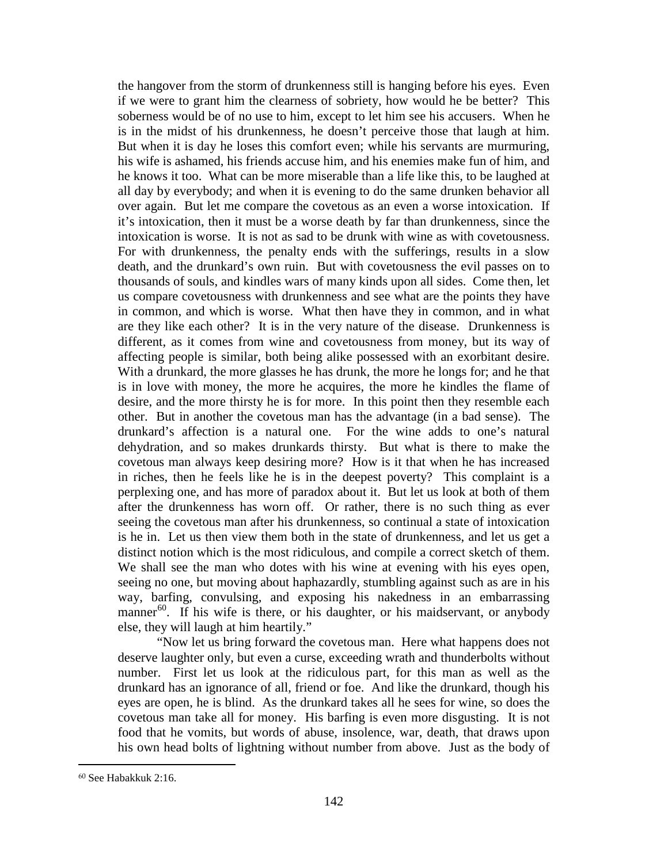the hangover from the storm of drunkenness still is hanging before his eyes. Even if we were to grant him the clearness of sobriety, how would he be better? This soberness would be of no use to him, except to let him see his accusers. When he is in the midst of his drunkenness, he doesn't perceive those that laugh at him. But when it is day he loses this comfort even; while his servants are murmuring, his wife is ashamed, his friends accuse him, and his enemies make fun of him, and he knows it too. What can be more miserable than a life like this, to be laughed at all day by everybody; and when it is evening to do the same drunken behavior all over again. But let me compare the covetous as an even a worse intoxication. If it's intoxication, then it must be a worse death by far than drunkenness, since the intoxication is worse. It is not as sad to be drunk with wine as with covetousness. For with drunkenness, the penalty ends with the sufferings, results in a slow death, and the drunkard's own ruin. But with covetousness the evil passes on to thousands of souls, and kindles wars of many kinds upon all sides. Come then, let us compare covetousness with drunkenness and see what are the points they have in common, and which is worse. What then have they in common, and in what are they like each other? It is in the very nature of the disease. Drunkenness is different, as it comes from wine and covetousness from money, but its way of affecting people is similar, both being alike possessed with an exorbitant desire. With a drunkard, the more glasses he has drunk, the more he longs for; and he that is in love with money, the more he acquires, the more he kindles the flame of desire, and the more thirsty he is for more. In this point then they resemble each other. But in another the covetous man has the advantage (in a bad sense). The drunkard's affection is a natural one. For the wine adds to one's natural dehydration, and so makes drunkards thirsty. But what is there to make the covetous man always keep desiring more? How is it that when he has increased in riches, then he feels like he is in the deepest poverty? This complaint is a perplexing one, and has more of paradox about it. But let us look at both of them after the drunkenness has worn off. Or rather, there is no such thing as ever seeing the covetous man after his drunkenness, so continual a state of intoxication is he in. Let us then view them both in the state of drunkenness, and let us get a distinct notion which is the most ridiculous, and compile a correct sketch of them. We shall see the man who dotes with his wine at evening with his eyes open, seeing no one, but moving about haphazardly, stumbling against such as are in his way, barfing, convulsing, and exposing his nakedness in an embarrassing manner $^{60}$ . If his wife is there, or his daughter, or his maidservant, or anybody else, they will laugh at him heartily."

"Now let us bring forward the covetous man. Here what happens does not deserve laughter only, but even a curse, exceeding wrath and thunderbolts without number. First let us look at the ridiculous part, for this man as well as the drunkard has an ignorance of all, friend or foe. And like the drunkard, though his eyes are open, he is blind. As the drunkard takes all he sees for wine, so does the covetous man take all for money. His barfing is even more disgusting. It is not food that he vomits, but words of abuse, insolence, war, death, that draws upon his own head bolts of lightning without number from above. Just as the body of

<span id="page-41-0"></span><sup>60</sup> See Habakkuk 2:16.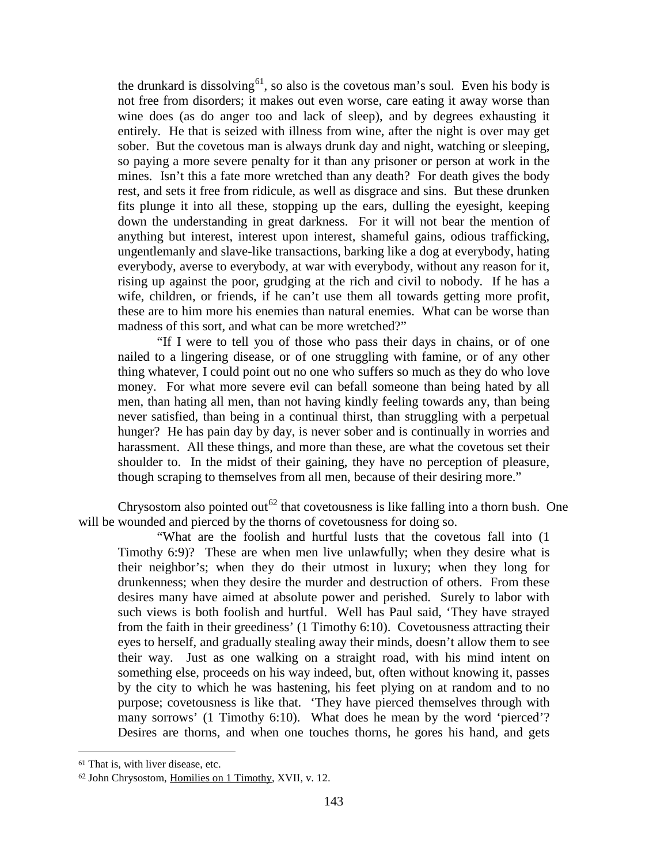the drunkard is dissolving<sup>[61](#page-42-0)</sup>, so also is the covetous man's soul. Even his body is not free from disorders; it makes out even worse, care eating it away worse than wine does (as do anger too and lack of sleep), and by degrees exhausting it entirely. He that is seized with illness from wine, after the night is over may get sober. But the covetous man is always drunk day and night, watching or sleeping, so paying a more severe penalty for it than any prisoner or person at work in the mines. Isn't this a fate more wretched than any death? For death gives the body rest, and sets it free from ridicule, as well as disgrace and sins. But these drunken fits plunge it into all these, stopping up the ears, dulling the eyesight, keeping down the understanding in great darkness. For it will not bear the mention of anything but interest, interest upon interest, shameful gains, odious trafficking, ungentlemanly and slave-like transactions, barking like a dog at everybody, hating everybody, averse to everybody, at war with everybody, without any reason for it, rising up against the poor, grudging at the rich and civil to nobody. If he has a wife, children, or friends, if he can't use them all towards getting more profit, these are to him more his enemies than natural enemies. What can be worse than madness of this sort, and what can be more wretched?"

"If I were to tell you of those who pass their days in chains, or of one nailed to a lingering disease, or of one struggling with famine, or of any other thing whatever, I could point out no one who suffers so much as they do who love money. For what more severe evil can befall someone than being hated by all men, than hating all men, than not having kindly feeling towards any, than being never satisfied, than being in a continual thirst, than struggling with a perpetual hunger? He has pain day by day, is never sober and is continually in worries and harassment. All these things, and more than these, are what the covetous set their shoulder to. In the midst of their gaining, they have no perception of pleasure, though scraping to themselves from all men, because of their desiring more."

Chrysostom also pointed out<sup>[62](#page-42-1)</sup> that covetousness is like falling into a thorn bush. One will be wounded and pierced by the thorns of covetousness for doing so.

"What are the foolish and hurtful lusts that the covetous fall into (1 Timothy 6:9)? These are when men live unlawfully; when they desire what is their neighbor's; when they do their utmost in luxury; when they long for drunkenness; when they desire the murder and destruction of others. From these desires many have aimed at absolute power and perished. Surely to labor with such views is both foolish and hurtful. Well has Paul said, 'They have strayed from the faith in their greediness' (1 Timothy 6:10). Covetousness attracting their eyes to herself, and gradually stealing away their minds, doesn't allow them to see their way. Just as one walking on a straight road, with his mind intent on something else, proceeds on his way indeed, but, often without knowing it, passes by the city to which he was hastening, his feet plying on at random and to no purpose; covetousness is like that. 'They have pierced themselves through with many sorrows' (1 Timothy 6:10). What does he mean by the word 'pierced'? Desires are thorns, and when one touches thorns, he gores his hand, and gets

<span id="page-42-0"></span><sup>61</sup> That is, with liver disease, etc.

<span id="page-42-1"></span><sup>62</sup> John Chrysostom, Homilies on 1 Timothy, XVII, v. 12.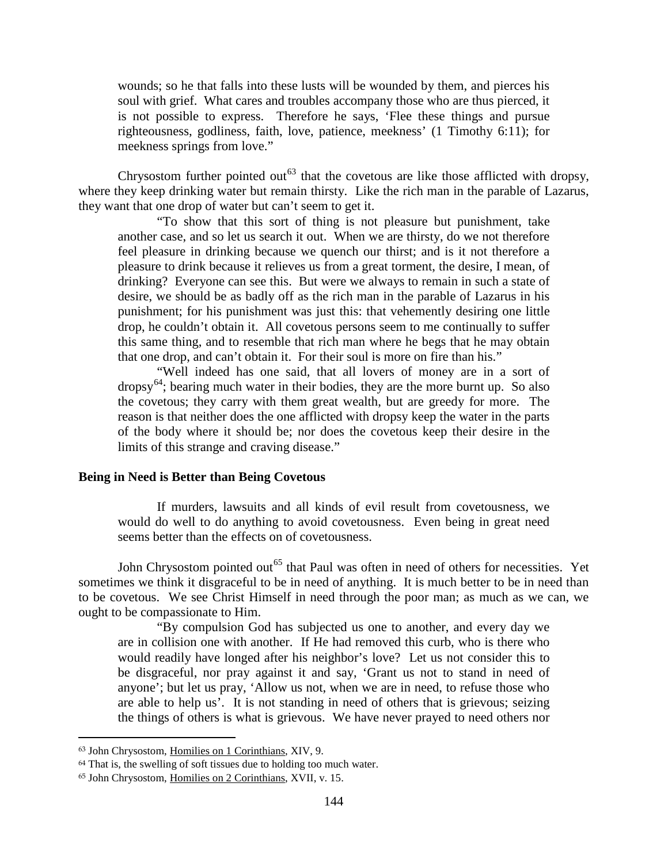wounds; so he that falls into these lusts will be wounded by them, and pierces his soul with grief. What cares and troubles accompany those who are thus pierced, it is not possible to express. Therefore he says, 'Flee these things and pursue righteousness, godliness, faith, love, patience, meekness' (1 Timothy 6:11); for meekness springs from love."

Chrysostom further pointed out<sup>[63](#page-43-0)</sup> that the covetous are like those afflicted with dropsy, where they keep drinking water but remain thirsty. Like the rich man in the parable of Lazarus, they want that one drop of water but can't seem to get it.

"To show that this sort of thing is not pleasure but punishment, take another case, and so let us search it out. When we are thirsty, do we not therefore feel pleasure in drinking because we quench our thirst; and is it not therefore a pleasure to drink because it relieves us from a great torment, the desire, I mean, of drinking? Everyone can see this. But were we always to remain in such a state of desire, we should be as badly off as the rich man in the parable of Lazarus in his punishment; for his punishment was just this: that vehemently desiring one little drop, he couldn't obtain it. All covetous persons seem to me continually to suffer this same thing, and to resemble that rich man where he begs that he may obtain that one drop, and can't obtain it. For their soul is more on fire than his."

"Well indeed has one said, that all lovers of money are in a sort of dropsy<sup>[64](#page-43-1)</sup>; bearing much water in their bodies, they are the more burnt up. So also the covetous; they carry with them great wealth, but are greedy for more. The reason is that neither does the one afflicted with dropsy keep the water in the parts of the body where it should be; nor does the covetous keep their desire in the limits of this strange and craving disease."

## **Being in Need is Better than Being Covetous**

If murders, lawsuits and all kinds of evil result from covetousness, we would do well to do anything to avoid covetousness. Even being in great need seems better than the effects on of covetousness.

John Chrysostom pointed out<sup>[65](#page-43-2)</sup> that Paul was often in need of others for necessities. Yet sometimes we think it disgraceful to be in need of anything. It is much better to be in need than to be covetous. We see Christ Himself in need through the poor man; as much as we can, we ought to be compassionate to Him.

"By compulsion God has subjected us one to another, and every day we are in collision one with another. If He had removed this curb, who is there who would readily have longed after his neighbor's love? Let us not consider this to be disgraceful, nor pray against it and say, 'Grant us not to stand in need of anyone'; but let us pray, 'Allow us not, when we are in need, to refuse those who are able to help us'. It is not standing in need of others that is grievous; seizing the things of others is what is grievous. We have never prayed to need others nor

<span id="page-43-0"></span><sup>63</sup> John Chrysostom, Homilies on 1 Corinthians, XIV, 9.

<span id="page-43-1"></span><sup>64</sup> That is, the swelling of soft tissues due to holding too much water.

<span id="page-43-2"></span><sup>65</sup> John Chrysostom, Homilies on 2 Corinthians, XVII, v. 15.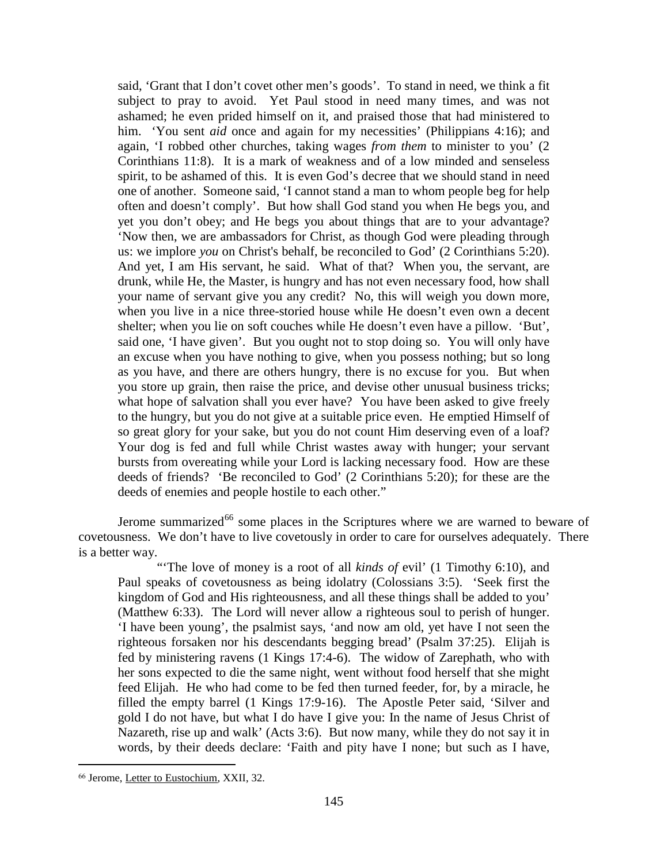said, 'Grant that I don't covet other men's goods'. To stand in need, we think a fit subject to pray to avoid. Yet Paul stood in need many times, and was not ashamed; he even prided himself on it, and praised those that had ministered to him. 'You sent *aid* once and again for my necessities' (Philippians 4:16); and again, 'I robbed other churches, taking wages *from them* to minister to you' (2 Corinthians 11:8). It is a mark of weakness and of a low minded and senseless spirit, to be ashamed of this. It is even God's decree that we should stand in need one of another. Someone said, 'I cannot stand a man to whom people beg for help often and doesn't comply'. But how shall God stand you when He begs you, and yet you don't obey; and He begs you about things that are to your advantage? 'Now then, we are ambassadors for Christ, as though God were pleading through us: we implore *you* on Christ's behalf, be reconciled to God' (2 Corinthians 5:20). And yet, I am His servant, he said. What of that? When you, the servant, are drunk, while He, the Master, is hungry and has not even necessary food, how shall your name of servant give you any credit? No, this will weigh you down more, when you live in a nice three-storied house while He doesn't even own a decent shelter; when you lie on soft couches while He doesn't even have a pillow. 'But', said one, 'I have given'. But you ought not to stop doing so. You will only have an excuse when you have nothing to give, when you possess nothing; but so long as you have, and there are others hungry, there is no excuse for you. But when you store up grain, then raise the price, and devise other unusual business tricks; what hope of salvation shall you ever have? You have been asked to give freely to the hungry, but you do not give at a suitable price even. He emptied Himself of so great glory for your sake, but you do not count Him deserving even of a loaf? Your dog is fed and full while Christ wastes away with hunger; your servant bursts from overeating while your Lord is lacking necessary food. How are these deeds of friends? 'Be reconciled to God' (2 Corinthians 5:20); for these are the deeds of enemies and people hostile to each other."

Jerome summarized<sup>[66](#page-44-0)</sup> some places in the Scriptures where we are warned to beware of covetousness. We don't have to live covetously in order to care for ourselves adequately. There is a better way.

"The love of money is a root of all *kinds of* evil' (1 Timothy 6:10), and Paul speaks of covetousness as being idolatry (Colossians 3:5). 'Seek first the kingdom of God and His righteousness, and all these things shall be added to you' (Matthew 6:33). The Lord will never allow a righteous soul to perish of hunger. 'I have been young', the psalmist says, 'and now am old, yet have I not seen the righteous forsaken nor his descendants begging bread' (Psalm 37:25). Elijah is fed by ministering ravens (1 Kings 17:4-6). The widow of Zarephath, who with her sons expected to die the same night, went without food herself that she might feed Elijah. He who had come to be fed then turned feeder, for, by a miracle, he filled the empty barrel (1 Kings 17:9-16). The Apostle Peter said, 'Silver and gold I do not have, but what I do have I give you: In the name of Jesus Christ of Nazareth, rise up and walk' (Acts 3:6). But now many, while they do not say it in words, by their deeds declare: 'Faith and pity have I none; but such as I have,

<span id="page-44-0"></span><sup>66</sup> Jerome, Letter to Eustochium, XXII, 32.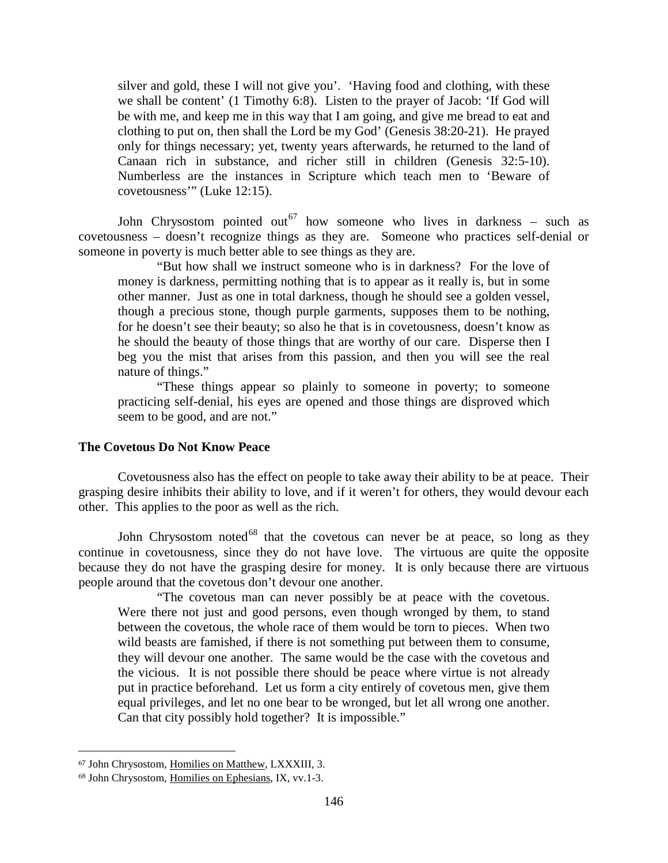silver and gold, these I will not give you'. 'Having food and clothing, with these we shall be content' (1 Timothy 6:8). Listen to the prayer of Jacob: 'If God will be with me, and keep me in this way that I am going, and give me bread to eat and clothing to put on, then shall the Lord be my God' (Genesis 38:20-21). He prayed only for things necessary; yet, twenty years afterwards, he returned to the land of Canaan rich in substance, and richer still in children (Genesis 32:5-10). Numberless are the instances in Scripture which teach men to 'Beware of covetousness'" (Luke 12:15).

John Chrysostom pointed out<sup>[67](#page-45-0)</sup> how someone who lives in darkness – such as covetousness – doesn't recognize things as they are. Someone who practices self-denial or someone in poverty is much better able to see things as they are.

"But how shall we instruct someone who is in darkness? For the love of money is darkness, permitting nothing that is to appear as it really is, but in some other manner. Just as one in total darkness, though he should see a golden vessel, though a precious stone, though purple garments, supposes them to be nothing, for he doesn't see their beauty; so also he that is in covetousness, doesn't know as he should the beauty of those things that are worthy of our care. Disperse then I beg you the mist that arises from this passion, and then you will see the real nature of things."

"These things appear so plainly to someone in poverty; to someone practicing self-denial, his eyes are opened and those things are disproved which seem to be good, and are not."

## **The Covetous Do Not Know Peace**

Covetousness also has the effect on people to take away their ability to be at peace. Their grasping desire inhibits their ability to love, and if it weren't for others, they would devour each other. This applies to the poor as well as the rich.

John Chrysostom noted<sup>[68](#page-45-1)</sup> that the covetous can never be at peace, so long as they continue in covetousness, since they do not have love. The virtuous are quite the opposite because they do not have the grasping desire for money. It is only because there are virtuous people around that the covetous don't devour one another.

"The covetous man can never possibly be at peace with the covetous. Were there not just and good persons, even though wronged by them, to stand between the covetous, the whole race of them would be torn to pieces. When two wild beasts are famished, if there is not something put between them to consume, they will devour one another. The same would be the case with the covetous and the vicious. It is not possible there should be peace where virtue is not already put in practice beforehand. Let us form a city entirely of covetous men, give them equal privileges, and let no one bear to be wronged, but let all wrong one another. Can that city possibly hold together? It is impossible."

<span id="page-45-0"></span><sup>67</sup> John Chrysostom, Homilies on Matthew, LXXXIII, 3.

<span id="page-45-1"></span><sup>68</sup> John Chrysostom, Homilies on Ephesians, IX, vv.1-3.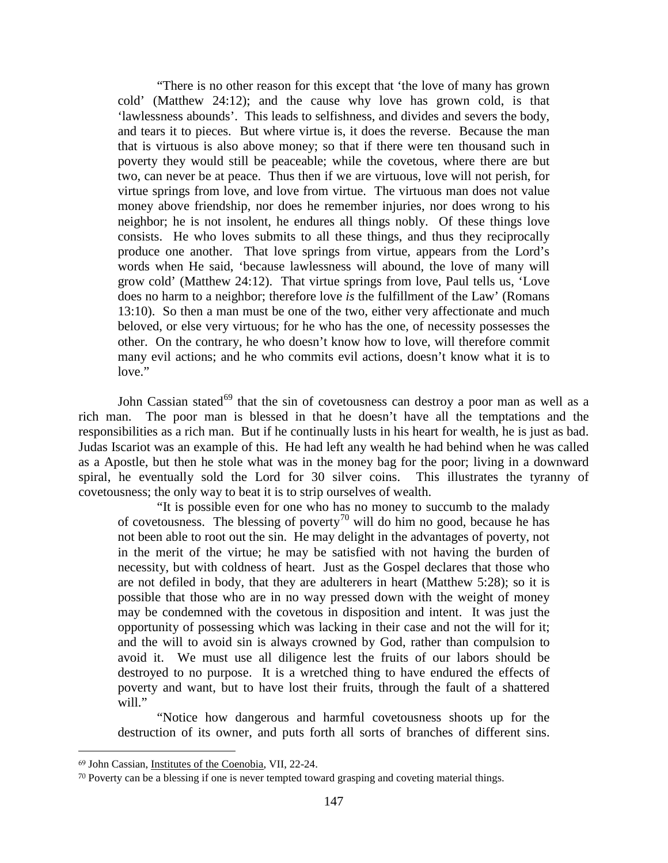"There is no other reason for this except that 'the love of many has grown cold' (Matthew 24:12); and the cause why love has grown cold, is that 'lawlessness abounds'. This leads to selfishness, and divides and severs the body, and tears it to pieces. But where virtue is, it does the reverse. Because the man that is virtuous is also above money; so that if there were ten thousand such in poverty they would still be peaceable; while the covetous, where there are but two, can never be at peace. Thus then if we are virtuous, love will not perish, for virtue springs from love, and love from virtue. The virtuous man does not value money above friendship, nor does he remember injuries, nor does wrong to his neighbor; he is not insolent, he endures all things nobly. Of these things love consists. He who loves submits to all these things, and thus they reciprocally produce one another. That love springs from virtue, appears from the Lord's words when He said, 'because lawlessness will abound, the love of many will grow cold' (Matthew 24:12). That virtue springs from love, Paul tells us, 'Love does no harm to a neighbor; therefore love *is* the fulfillment of the Law' (Romans 13:10). So then a man must be one of the two, either very affectionate and much beloved, or else very virtuous; for he who has the one, of necessity possesses the other. On the contrary, he who doesn't know how to love, will therefore commit many evil actions; and he who commits evil actions, doesn't know what it is to love."

John Cassian stated $^{69}$  $^{69}$  $^{69}$  that the sin of covetousness can destroy a poor man as well as a rich man. The poor man is blessed in that he doesn't have all the temptations and the responsibilities as a rich man. But if he continually lusts in his heart for wealth, he is just as bad. Judas Iscariot was an example of this. He had left any wealth he had behind when he was called as a Apostle, but then he stole what was in the money bag for the poor; living in a downward spiral, he eventually sold the Lord for 30 silver coins. This illustrates the tyranny of covetousness; the only way to beat it is to strip ourselves of wealth.

"It is possible even for one who has no money to succumb to the malady of covetousness. The blessing of poverty<sup>[70](#page-46-1)</sup> will do him no good, because he has not been able to root out the sin. He may delight in the advantages of poverty, not in the merit of the virtue; he may be satisfied with not having the burden of necessity, but with coldness of heart. Just as the Gospel declares that those who are not defiled in body, that they are adulterers in heart (Matthew 5:28); so it is possible that those who are in no way pressed down with the weight of money may be condemned with the covetous in disposition and intent. It was just the opportunity of possessing which was lacking in their case and not the will for it; and the will to avoid sin is always crowned by God, rather than compulsion to avoid it. We must use all diligence lest the fruits of our labors should be destroyed to no purpose. It is a wretched thing to have endured the effects of poverty and want, but to have lost their fruits, through the fault of a shattered will."

"Notice how dangerous and harmful covetousness shoots up for the destruction of its owner, and puts forth all sorts of branches of different sins.

<span id="page-46-0"></span><sup>69</sup> John Cassian, Institutes of the Coenobia, VII, 22-24.

<span id="page-46-1"></span><sup>70</sup> Poverty can be a blessing if one is never tempted toward grasping and coveting material things.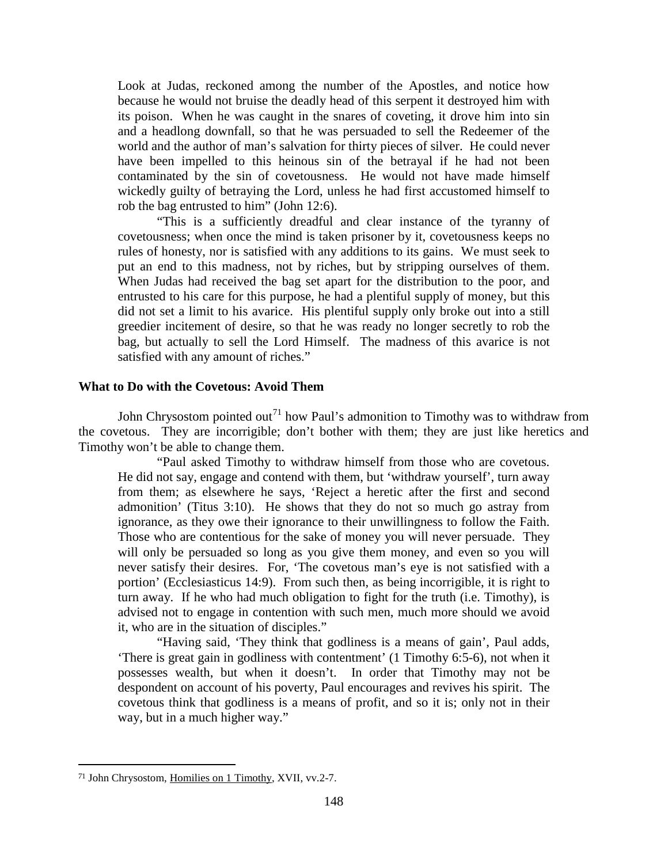Look at Judas, reckoned among the number of the Apostles, and notice how because he would not bruise the deadly head of this serpent it destroyed him with its poison. When he was caught in the snares of coveting, it drove him into sin and a headlong downfall, so that he was persuaded to sell the Redeemer of the world and the author of man's salvation for thirty pieces of silver. He could never have been impelled to this heinous sin of the betrayal if he had not been contaminated by the sin of covetousness. He would not have made himself wickedly guilty of betraying the Lord, unless he had first accustomed himself to rob the bag entrusted to him" (John 12:6).

"This is a sufficiently dreadful and clear instance of the tyranny of covetousness; when once the mind is taken prisoner by it, covetousness keeps no rules of honesty, nor is satisfied with any additions to its gains. We must seek to put an end to this madness, not by riches, but by stripping ourselves of them. When Judas had received the bag set apart for the distribution to the poor, and entrusted to his care for this purpose, he had a plentiful supply of money, but this did not set a limit to his avarice. His plentiful supply only broke out into a still greedier incitement of desire, so that he was ready no longer secretly to rob the bag, but actually to sell the Lord Himself. The madness of this avarice is not satisfied with any amount of riches."

### **What to Do with the Covetous: Avoid Them**

John Chrysostom pointed out<sup>[71](#page-47-0)</sup> how Paul's admonition to Timothy was to withdraw from the covetous. They are incorrigible; don't bother with them; they are just like heretics and Timothy won't be able to change them.

"Paul asked Timothy to withdraw himself from those who are covetous. He did not say, engage and contend with them, but 'withdraw yourself', turn away from them; as elsewhere he says, 'Reject a heretic after the first and second admonition' (Titus 3:10). He shows that they do not so much go astray from ignorance, as they owe their ignorance to their unwillingness to follow the Faith. Those who are contentious for the sake of money you will never persuade. They will only be persuaded so long as you give them money, and even so you will never satisfy their desires. For, 'The covetous man's eye is not satisfied with a portion' (Ecclesiasticus 14:9). From such then, as being incorrigible, it is right to turn away. If he who had much obligation to fight for the truth (i.e. Timothy), is advised not to engage in contention with such men, much more should we avoid it, who are in the situation of disciples."

"Having said, 'They think that godliness is a means of gain', Paul adds, 'There is great gain in godliness with contentment' (1 Timothy 6:5-6), not when it possesses wealth, but when it doesn't. In order that Timothy may not be despondent on account of his poverty, Paul encourages and revives his spirit. The covetous think that godliness is a means of profit, and so it is; only not in their way, but in a much higher way."

<span id="page-47-0"></span><sup>71</sup> John Chrysostom, Homilies on 1 Timothy, XVII, vv.2-7.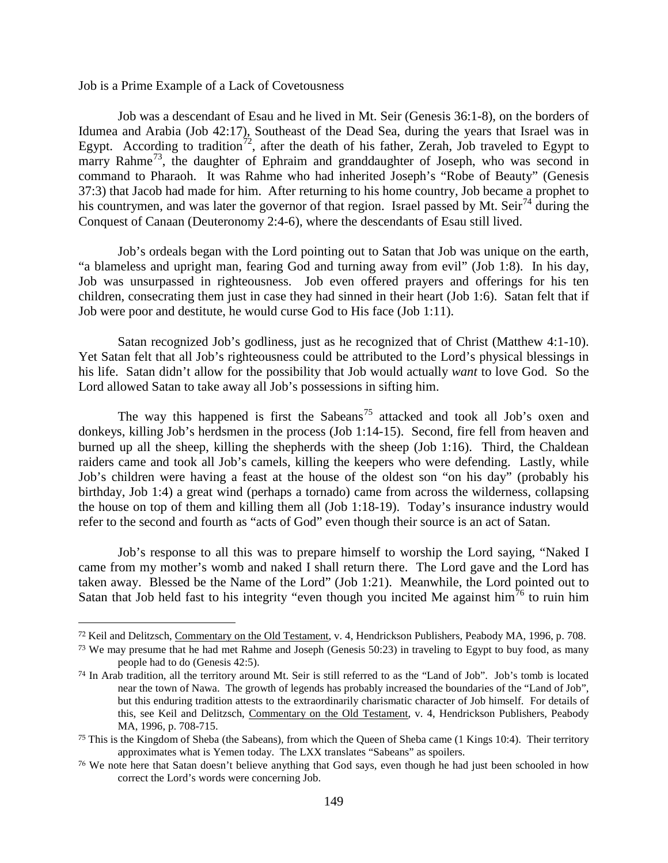Job is a Prime Example of a Lack of Covetousness

 $\overline{a}$ 

Job was a descendant of Esau and he lived in Mt. Seir (Genesis 36:1-8), on the borders of Idumea and Arabia (Job 42:17), Southeast of the Dead Sea, during the years that Israel was in Egypt. According to tradition<sup>[72](#page-48-0)</sup>, after the death of his father, Zerah, Job traveled to Egypt to marry Rahme<sup>73</sup>, the daughter of Ephraim and granddaughter of Joseph, who was second in command to Pharaoh. It was Rahme who had inherited Joseph's "Robe of Beauty" (Genesis 37:3) that Jacob had made for him. After returning to his home country, Job became a prophet to his countrymen, and was later the governor of that region. Israel passed by Mt. Seir<sup>[74](#page-48-2)</sup> during the Conquest of Canaan (Deuteronomy 2:4-6), where the descendants of Esau still lived.

Job's ordeals began with the Lord pointing out to Satan that Job was unique on the earth, "a blameless and upright man, fearing God and turning away from evil" (Job 1:8). In his day, Job was unsurpassed in righteousness. Job even offered prayers and offerings for his ten children, consecrating them just in case they had sinned in their heart (Job 1:6). Satan felt that if Job were poor and destitute, he would curse God to His face (Job 1:11).

Satan recognized Job's godliness, just as he recognized that of Christ (Matthew 4:1-10). Yet Satan felt that all Job's righteousness could be attributed to the Lord's physical blessings in his life. Satan didn't allow for the possibility that Job would actually *want* to love God. So the Lord allowed Satan to take away all Job's possessions in sifting him.

The way this happened is first the Sabeans<sup>[75](#page-48-3)</sup> attacked and took all Job's oxen and donkeys, killing Job's herdsmen in the process (Job 1:14-15). Second, fire fell from heaven and burned up all the sheep, killing the shepherds with the sheep (Job 1:16). Third, the Chaldean raiders came and took all Job's camels, killing the keepers who were defending. Lastly, while Job's children were having a feast at the house of the oldest son "on his day" (probably his birthday, Job 1:4) a great wind (perhaps a tornado) came from across the wilderness, collapsing the house on top of them and killing them all (Job 1:18-19). Today's insurance industry would refer to the second and fourth as "acts of God" even though their source is an act of Satan.

Job's response to all this was to prepare himself to worship the Lord saying, "Naked I came from my mother's womb and naked I shall return there. The Lord gave and the Lord has taken away. Blessed be the Name of the Lord" (Job 1:21). Meanwhile, the Lord pointed out to Satan that Job held fast to his integrity "even though you incited Me against him<sup>[76](#page-48-4)</sup> to ruin him

<span id="page-48-0"></span><sup>72</sup> Keil and Delitzsch, Commentary on the Old Testament, v. 4, Hendrickson Publishers, Peabody MA, 1996, p. 708.

<span id="page-48-1"></span><sup>73</sup> We may presume that he had met Rahme and Joseph (Genesis 50:23) in traveling to Egypt to buy food, as many people had to do (Genesis 42:5).

<span id="page-48-2"></span><sup>74</sup> In Arab tradition, all the territory around Mt. Seir is still referred to as the "Land of Job". Job's tomb is located near the town of Nawa. The growth of legends has probably increased the boundaries of the "Land of Job", but this enduring tradition attests to the extraordinarily charismatic character of Job himself. For details of this, see Keil and Delitzsch, Commentary on the Old Testament, v. 4, Hendrickson Publishers, Peabody MA, 1996, p. 708-715.

<span id="page-48-3"></span> $75$  This is the Kingdom of Sheba (the Sabeans), from which the Queen of Sheba came (1 Kings 10:4). Their territory approximates what is Yemen today. The LXX translates "Sabeans" as spoilers.

<span id="page-48-4"></span><sup>76</sup> We note here that Satan doesn't believe anything that God says, even though he had just been schooled in how correct the Lord's words were concerning Job.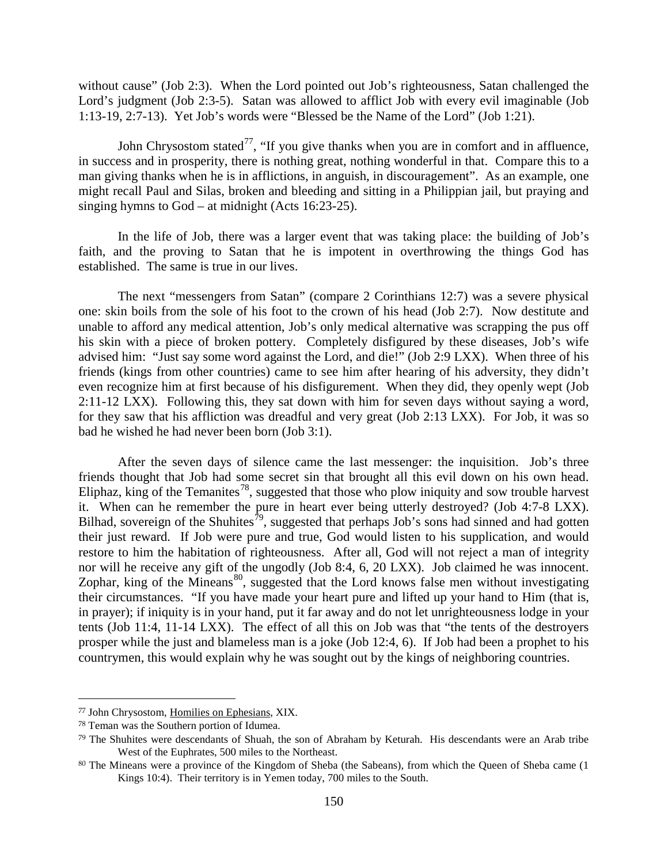without cause" (Job 2:3). When the Lord pointed out Job's righteousness, Satan challenged the Lord's judgment (Job 2:3-5). Satan was allowed to afflict Job with every evil imaginable (Job 1:13-19, 2:7-13). Yet Job's words were "Blessed be the Name of the Lord" (Job 1:21).

John Chrysostom stated<sup>[77](#page-49-0)</sup>, "If you give thanks when you are in comfort and in affluence, in success and in prosperity, there is nothing great, nothing wonderful in that. Compare this to a man giving thanks when he is in afflictions, in anguish, in discouragement". As an example, one might recall Paul and Silas, broken and bleeding and sitting in a Philippian jail, but praying and singing hymns to God – at midnight (Acts 16:23-25).

In the life of Job, there was a larger event that was taking place: the building of Job's faith, and the proving to Satan that he is impotent in overthrowing the things God has established. The same is true in our lives.

The next "messengers from Satan" (compare 2 Corinthians 12:7) was a severe physical one: skin boils from the sole of his foot to the crown of his head (Job 2:7). Now destitute and unable to afford any medical attention, Job's only medical alternative was scrapping the pus off his skin with a piece of broken pottery. Completely disfigured by these diseases, Job's wife advised him: "Just say some word against the Lord, and die!" (Job 2:9 LXX). When three of his friends (kings from other countries) came to see him after hearing of his adversity, they didn't even recognize him at first because of his disfigurement. When they did, they openly wept (Job 2:11-12 LXX). Following this, they sat down with him for seven days without saying a word, for they saw that his affliction was dreadful and very great (Job 2:13 LXX). For Job, it was so bad he wished he had never been born (Job 3:1).

After the seven days of silence came the last messenger: the inquisition. Job's three friends thought that Job had some secret sin that brought all this evil down on his own head. Eliphaz, king of the Temanites<sup>78</sup>, suggested that those who plow iniquity and sow trouble harvest it. When can he remember the pure in heart ever being utterly destroyed? (Job 4:7-8 LXX). Bilhad, sovereign of the Shuhites<sup>79</sup>, suggested that perhaps Job's sons had sinned and had gotten their just reward. If Job were pure and true, God would listen to his supplication, and would restore to him the habitation of righteousness. After all, God will not reject a man of integrity nor will he receive any gift of the ungodly (Job 8:4, 6, 20 LXX). Job claimed he was innocent. Zophar, king of the Mineans<sup>80</sup>, suggested that the Lord knows false men without investigating their circumstances. "If you have made your heart pure and lifted up your hand to Him (that is, in prayer); if iniquity is in your hand, put it far away and do not let unrighteousness lodge in your tents (Job 11:4, 11-14 LXX). The effect of all this on Job was that "the tents of the destroyers prosper while the just and blameless man is a joke (Job 12:4, 6). If Job had been a prophet to his countrymen, this would explain why he was sought out by the kings of neighboring countries.

<span id="page-49-0"></span><sup>77</sup> John Chrysostom, Homilies on Ephesians, XIX.

<span id="page-49-1"></span><sup>78</sup> Teman was the Southern portion of Idumea.

<span id="page-49-2"></span><sup>79</sup> The Shuhites were descendants of Shuah, the son of Abraham by Keturah. His descendants were an Arab tribe West of the Euphrates, 500 miles to the Northeast.

<span id="page-49-3"></span><sup>80</sup> The Mineans were a province of the Kingdom of Sheba (the Sabeans), from which the Queen of Sheba came (1 Kings 10:4). Their territory is in Yemen today, 700 miles to the South.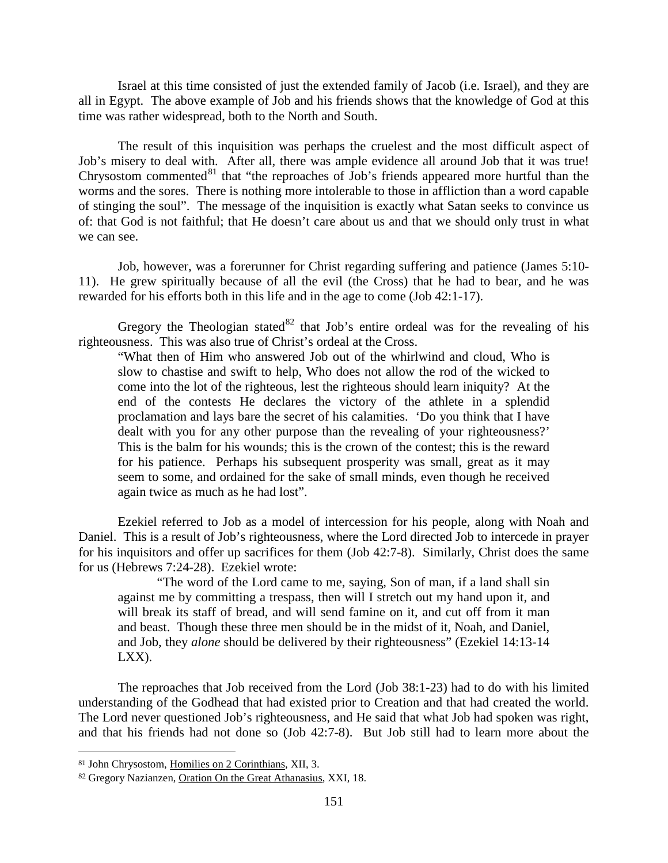Israel at this time consisted of just the extended family of Jacob (i.e. Israel), and they are all in Egypt. The above example of Job and his friends shows that the knowledge of God at this time was rather widespread, both to the North and South.

The result of this inquisition was perhaps the cruelest and the most difficult aspect of Job's misery to deal with. After all, there was ample evidence all around Job that it was true! Chrysostom commented $81$  that "the reproaches of Job's friends appeared more hurtful than the worms and the sores. There is nothing more intolerable to those in affliction than a word capable of stinging the soul". The message of the inquisition is exactly what Satan seeks to convince us of: that God is not faithful; that He doesn't care about us and that we should only trust in what we can see.

Job, however, was a forerunner for Christ regarding suffering and patience (James 5:10- 11). He grew spiritually because of all the evil (the Cross) that he had to bear, and he was rewarded for his efforts both in this life and in the age to come (Job 42:1-17).

Gregory the Theologian stated  $82$  that Job's entire ordeal was for the revealing of his righteousness. This was also true of Christ's ordeal at the Cross.

"What then of Him who answered Job out of the whirlwind and cloud, Who is slow to chastise and swift to help, Who does not allow the rod of the wicked to come into the lot of the righteous, lest the righteous should learn iniquity? At the end of the contests He declares the victory of the athlete in a splendid proclamation and lays bare the secret of his calamities. 'Do you think that I have dealt with you for any other purpose than the revealing of your righteousness?' This is the balm for his wounds; this is the crown of the contest; this is the reward for his patience. Perhaps his subsequent prosperity was small, great as it may seem to some, and ordained for the sake of small minds, even though he received again twice as much as he had lost".

Ezekiel referred to Job as a model of intercession for his people, along with Noah and Daniel. This is a result of Job's righteousness, where the Lord directed Job to intercede in prayer for his inquisitors and offer up sacrifices for them (Job 42:7-8). Similarly, Christ does the same for us (Hebrews 7:24-28). Ezekiel wrote:

"The word of the Lord came to me, saying, Son of man, if a land shall sin against me by committing a trespass, then will I stretch out my hand upon it, and will break its staff of bread, and will send famine on it, and cut off from it man and beast. Though these three men should be in the midst of it, Noah, and Daniel, and Job, they *alone* should be delivered by their righteousness" (Ezekiel 14:13-14 LXX).

The reproaches that Job received from the Lord (Job 38:1-23) had to do with his limited understanding of the Godhead that had existed prior to Creation and that had created the world. The Lord never questioned Job's righteousness, and He said that what Job had spoken was right, and that his friends had not done so (Job 42:7-8). But Job still had to learn more about the

<span id="page-50-0"></span><sup>81</sup> John Chrysostom, Homilies on 2 Corinthians, XII, 3.

<span id="page-50-1"></span><sup>82</sup> Gregory Nazianzen, Oration On the Great Athanasius, XXI, 18.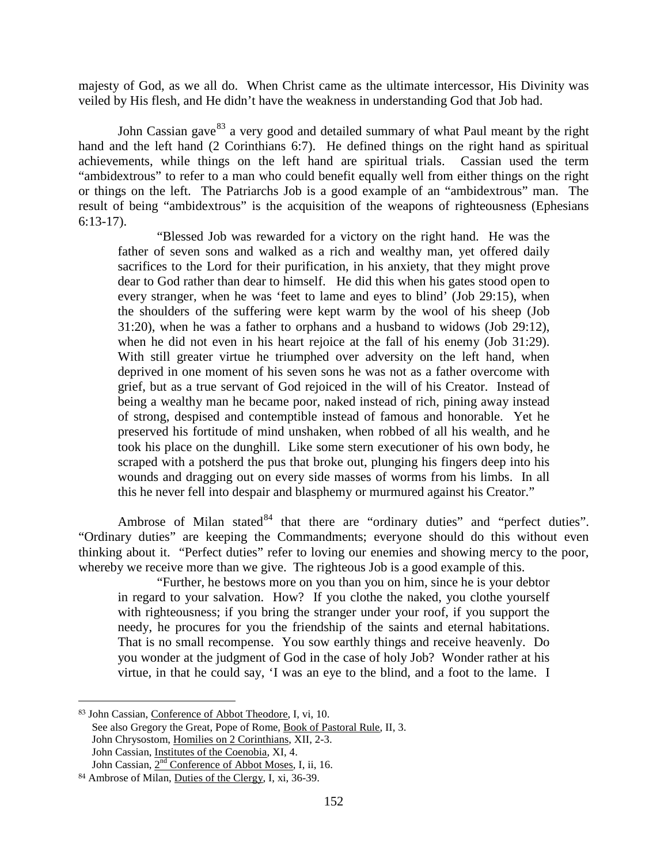majesty of God, as we all do. When Christ came as the ultimate intercessor, His Divinity was veiled by His flesh, and He didn't have the weakness in understanding God that Job had.

John Cassian gave<sup>[83](#page-51-0)</sup> a very good and detailed summary of what Paul meant by the right hand and the left hand (2 Corinthians 6:7). He defined things on the right hand as spiritual achievements, while things on the left hand are spiritual trials. Cassian used the term "ambidextrous" to refer to a man who could benefit equally well from either things on the right or things on the left. The Patriarchs Job is a good example of an "ambidextrous" man. The result of being "ambidextrous" is the acquisition of the weapons of righteousness (Ephesians 6:13-17).

"Blessed Job was rewarded for a victory on the right hand. He was the father of seven sons and walked as a rich and wealthy man, yet offered daily sacrifices to the Lord for their purification, in his anxiety, that they might prove dear to God rather than dear to himself. He did this when his gates stood open to every stranger, when he was 'feet to lame and eyes to blind' (Job 29:15), when the shoulders of the suffering were kept warm by the wool of his sheep (Job 31:20), when he was a father to orphans and a husband to widows (Job 29:12), when he did not even in his heart rejoice at the fall of his enemy (Job 31:29). With still greater virtue he triumphed over adversity on the left hand, when deprived in one moment of his seven sons he was not as a father overcome with grief, but as a true servant of God rejoiced in the will of his Creator. Instead of being a wealthy man he became poor, naked instead of rich, pining away instead of strong, despised and contemptible instead of famous and honorable. Yet he preserved his fortitude of mind unshaken, when robbed of all his wealth, and he took his place on the dunghill. Like some stern executioner of his own body, he scraped with a potsherd the pus that broke out, plunging his fingers deep into his wounds and dragging out on every side masses of worms from his limbs. In all this he never fell into despair and blasphemy or murmured against his Creator."

Ambrose of Milan stated  $84$  that there are "ordinary duties" and "perfect duties". "Ordinary duties" are keeping the Commandments; everyone should do this without even thinking about it. "Perfect duties" refer to loving our enemies and showing mercy to the poor, whereby we receive more than we give. The righteous Job is a good example of this.

"Further, he bestows more on you than you on him, since he is your debtor in regard to your salvation. How? If you clothe the naked, you clothe yourself with righteousness; if you bring the stranger under your roof, if you support the needy, he procures for you the friendship of the saints and eternal habitations. That is no small recompense. You sow earthly things and receive heavenly. Do you wonder at the judgment of God in the case of holy Job? Wonder rather at his virtue, in that he could say, 'I was an eye to the blind, and a foot to the lame. I

<span id="page-51-0"></span><sup>83</sup> John Cassian, Conference of Abbot Theodore, I, vi, 10. See also Gregory the Great, Pope of Rome, Book of Pastoral Rule, II, 3. John Chrysostom, Homilies on 2 Corinthians, XII, 2-3. John Cassian, Institutes of the Coenobia, XI, 4. John Cassian,  $2<sup>nd</sup>$  Conference of Abbot Moses, I, ii, 16.

<span id="page-51-1"></span><sup>84</sup> Ambrose of Milan, Duties of the Clergy, I, xi, 36-39.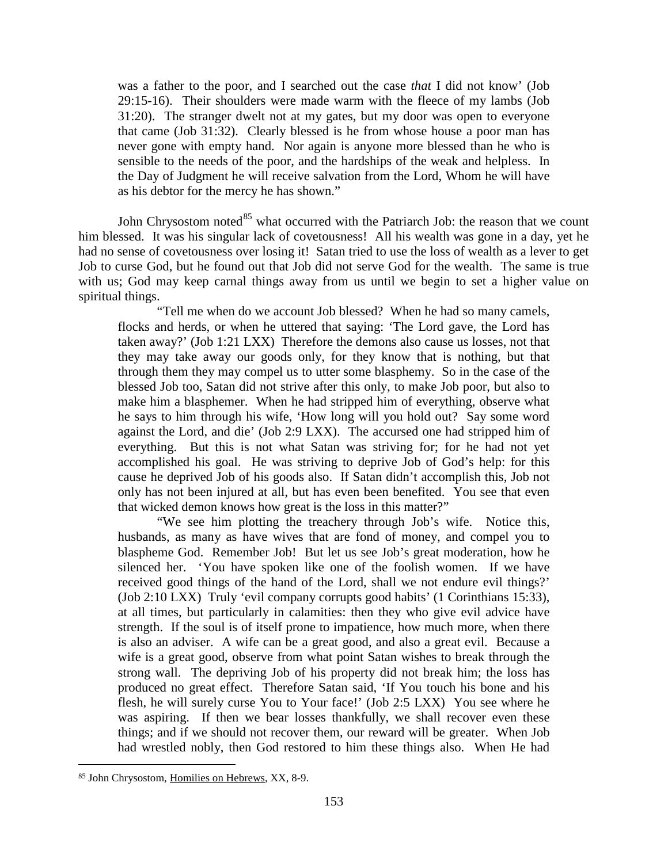was a father to the poor, and I searched out the case *that* I did not know' (Job 29:15-16). Their shoulders were made warm with the fleece of my lambs (Job 31:20). The stranger dwelt not at my gates, but my door was open to everyone that came (Job 31:32). Clearly blessed is he from whose house a poor man has never gone with empty hand. Nor again is anyone more blessed than he who is sensible to the needs of the poor, and the hardships of the weak and helpless. In the Day of Judgment he will receive salvation from the Lord, Whom he will have as his debtor for the mercy he has shown."

John Chrysostom noted $85$  what occurred with the Patriarch Job: the reason that we count him blessed. It was his singular lack of covetousness! All his wealth was gone in a day, yet he had no sense of covetousness over losing it! Satan tried to use the loss of wealth as a lever to get Job to curse God, but he found out that Job did not serve God for the wealth. The same is true with us; God may keep carnal things away from us until we begin to set a higher value on spiritual things.

"Tell me when do we account Job blessed? When he had so many camels, flocks and herds, or when he uttered that saying: 'The Lord gave, the Lord has taken away?' (Job 1:21 LXX) Therefore the demons also cause us losses, not that they may take away our goods only, for they know that is nothing, but that through them they may compel us to utter some blasphemy. So in the case of the blessed Job too, Satan did not strive after this only, to make Job poor, but also to make him a blasphemer. When he had stripped him of everything, observe what he says to him through his wife, 'How long will you hold out? Say some word against the Lord, and die' (Job 2:9 LXX). The accursed one had stripped him of everything. But this is not what Satan was striving for; for he had not yet accomplished his goal. He was striving to deprive Job of God's help: for this cause he deprived Job of his goods also. If Satan didn't accomplish this, Job not only has not been injured at all, but has even been benefited. You see that even that wicked demon knows how great is the loss in this matter?"

"We see him plotting the treachery through Job's wife. Notice this, husbands, as many as have wives that are fond of money, and compel you to blaspheme God. Remember Job! But let us see Job's great moderation, how he silenced her. 'You have spoken like one of the foolish women. If we have received good things of the hand of the Lord, shall we not endure evil things?' (Job 2:10 LXX) Truly 'evil company corrupts good habits' (1 Corinthians 15:33), at all times, but particularly in calamities: then they who give evil advice have strength. If the soul is of itself prone to impatience, how much more, when there is also an adviser. A wife can be a great good, and also a great evil. Because a wife is a great good, observe from what point Satan wishes to break through the strong wall. The depriving Job of his property did not break him; the loss has produced no great effect. Therefore Satan said, 'If You touch his bone and his flesh, he will surely curse You to Your face!' (Job 2:5 LXX) You see where he was aspiring. If then we bear losses thankfully, we shall recover even these things; and if we should not recover them, our reward will be greater. When Job had wrestled nobly, then God restored to him these things also. When He had

<span id="page-52-0"></span><sup>85</sup> John Chrysostom, Homilies on Hebrews, XX, 8-9.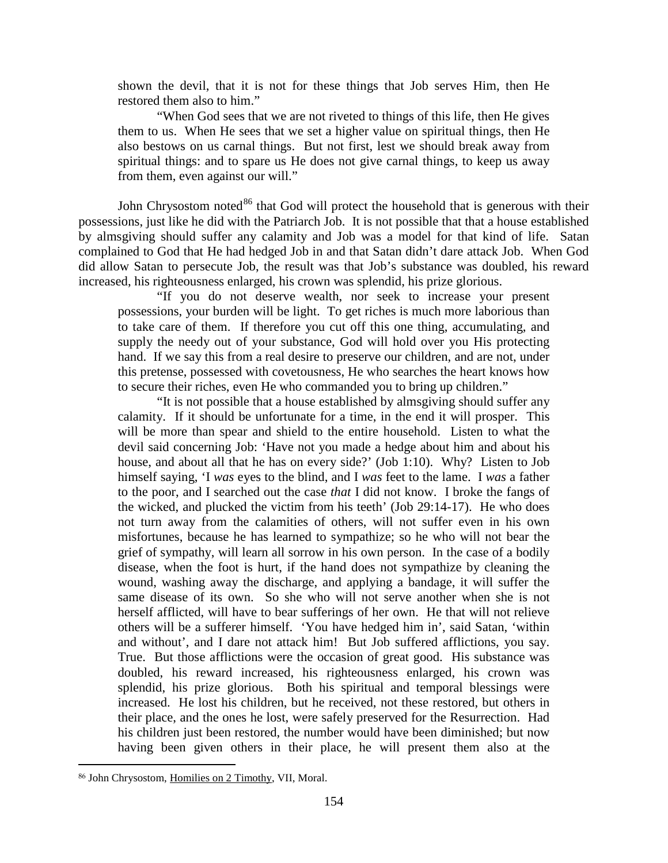shown the devil, that it is not for these things that Job serves Him, then He restored them also to him."

"When God sees that we are not riveted to things of this life, then He gives them to us. When He sees that we set a higher value on spiritual things, then He also bestows on us carnal things. But not first, lest we should break away from spiritual things: and to spare us He does not give carnal things, to keep us away from them, even against our will."

John Chrysostom noted $86$  that God will protect the household that is generous with their possessions, just like he did with the Patriarch Job. It is not possible that that a house established by almsgiving should suffer any calamity and Job was a model for that kind of life. Satan complained to God that He had hedged Job in and that Satan didn't dare attack Job. When God did allow Satan to persecute Job, the result was that Job's substance was doubled, his reward increased, his righteousness enlarged, his crown was splendid, his prize glorious.

"If you do not deserve wealth, nor seek to increase your present possessions, your burden will be light. To get riches is much more laborious than to take care of them. If therefore you cut off this one thing, accumulating, and supply the needy out of your substance, God will hold over you His protecting hand. If we say this from a real desire to preserve our children, and are not, under this pretense, possessed with covetousness, He who searches the heart knows how to secure their riches, even He who commanded you to bring up children."

"It is not possible that a house established by almsgiving should suffer any calamity. If it should be unfortunate for a time, in the end it will prosper. This will be more than spear and shield to the entire household. Listen to what the devil said concerning Job: 'Have not you made a hedge about him and about his house, and about all that he has on every side?' (Job 1:10). Why? Listen to Job himself saying, 'I *was* eyes to the blind, and I *was* feet to the lame. I *was* a father to the poor, and I searched out the case *that* I did not know. I broke the fangs of the wicked, and plucked the victim from his teeth' (Job 29:14-17). He who does not turn away from the calamities of others, will not suffer even in his own misfortunes, because he has learned to sympathize; so he who will not bear the grief of sympathy, will learn all sorrow in his own person. In the case of a bodily disease, when the foot is hurt, if the hand does not sympathize by cleaning the wound, washing away the discharge, and applying a bandage, it will suffer the same disease of its own. So she who will not serve another when she is not herself afflicted, will have to bear sufferings of her own. He that will not relieve others will be a sufferer himself. 'You have hedged him in', said Satan, 'within and without', and I dare not attack him! But Job suffered afflictions, you say. True. But those afflictions were the occasion of great good. His substance was doubled, his reward increased, his righteousness enlarged, his crown was splendid, his prize glorious. Both his spiritual and temporal blessings were increased. He lost his children, but he received, not these restored, but others in their place, and the ones he lost, were safely preserved for the Resurrection. Had his children just been restored, the number would have been diminished; but now having been given others in their place, he will present them also at the

<span id="page-53-0"></span><sup>86</sup> John Chrysostom, Homilies on 2 Timothy, VII, Moral.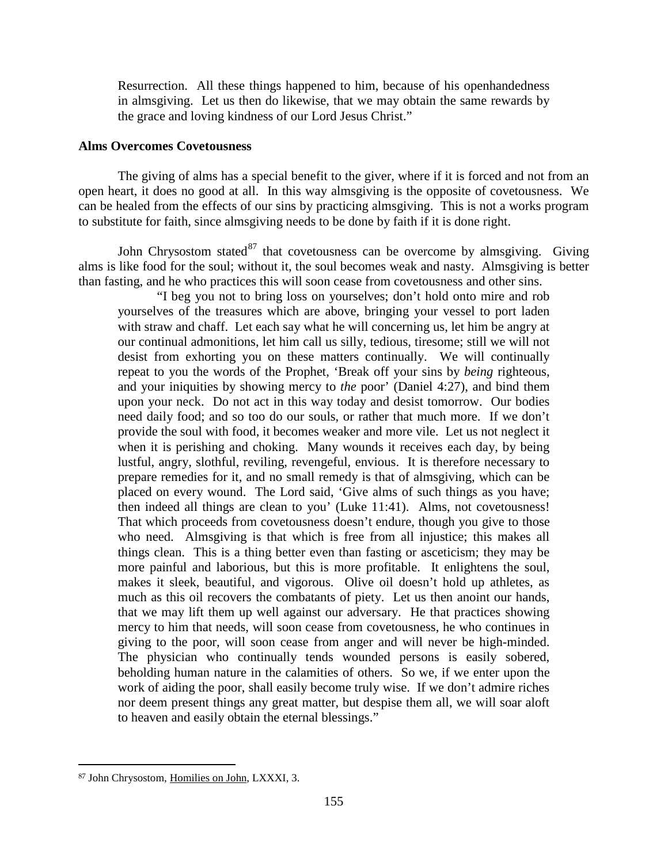Resurrection. All these things happened to him, because of his openhandedness in almsgiving. Let us then do likewise, that we may obtain the same rewards by the grace and loving kindness of our Lord Jesus Christ."

## **Alms Overcomes Covetousness**

The giving of alms has a special benefit to the giver, where if it is forced and not from an open heart, it does no good at all. In this way almsgiving is the opposite of covetousness. We can be healed from the effects of our sins by practicing almsgiving. This is not a works program to substitute for faith, since almsgiving needs to be done by faith if it is done right.

John Chrysostom stated $87$  that covetousness can be overcome by almsgiving. Giving alms is like food for the soul; without it, the soul becomes weak and nasty. Almsgiving is better than fasting, and he who practices this will soon cease from covetousness and other sins.

"I beg you not to bring loss on yourselves; don't hold onto mire and rob yourselves of the treasures which are above, bringing your vessel to port laden with straw and chaff. Let each say what he will concerning us, let him be angry at our continual admonitions, let him call us silly, tedious, tiresome; still we will not desist from exhorting you on these matters continually. We will continually repeat to you the words of the Prophet, 'Break off your sins by *being* righteous, and your iniquities by showing mercy to *the* poor' (Daniel 4:27), and bind them upon your neck. Do not act in this way today and desist tomorrow. Our bodies need daily food; and so too do our souls, or rather that much more. If we don't provide the soul with food, it becomes weaker and more vile. Let us not neglect it when it is perishing and choking. Many wounds it receives each day, by being lustful, angry, slothful, reviling, revengeful, envious. It is therefore necessary to prepare remedies for it, and no small remedy is that of almsgiving, which can be placed on every wound. The Lord said, 'Give alms of such things as you have; then indeed all things are clean to you' (Luke 11:41). Alms, not covetousness! That which proceeds from covetousness doesn't endure, though you give to those who need. Almsgiving is that which is free from all injustice; this makes all things clean. This is a thing better even than fasting or asceticism; they may be more painful and laborious, but this is more profitable. It enlightens the soul, makes it sleek, beautiful, and vigorous. Olive oil doesn't hold up athletes, as much as this oil recovers the combatants of piety. Let us then anoint our hands, that we may lift them up well against our adversary. He that practices showing mercy to him that needs, will soon cease from covetousness, he who continues in giving to the poor, will soon cease from anger and will never be high-minded. The physician who continually tends wounded persons is easily sobered, beholding human nature in the calamities of others. So we, if we enter upon the work of aiding the poor, shall easily become truly wise. If we don't admire riches nor deem present things any great matter, but despise them all, we will soar aloft to heaven and easily obtain the eternal blessings."

<span id="page-54-0"></span><sup>87</sup> John Chrysostom, Homilies on John, LXXXI, 3.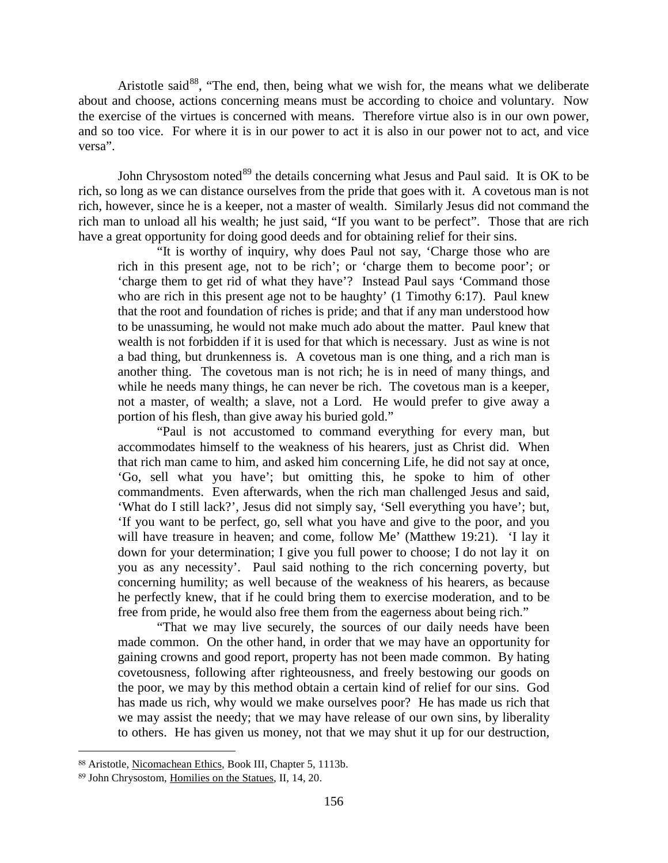Aristotle said $^{88}$  $^{88}$  $^{88}$ , "The end, then, being what we wish for, the means what we deliberate about and choose, actions concerning means must be according to choice and voluntary. Now the exercise of the virtues is concerned with means. Therefore virtue also is in our own power, and so too vice. For where it is in our power to act it is also in our power not to act, and vice versa".

John Chrysostom noted<sup>[89](#page-55-1)</sup> the details concerning what Jesus and Paul said. It is OK to be rich, so long as we can distance ourselves from the pride that goes with it. A covetous man is not rich, however, since he is a keeper, not a master of wealth. Similarly Jesus did not command the rich man to unload all his wealth; he just said, "If you want to be perfect". Those that are rich have a great opportunity for doing good deeds and for obtaining relief for their sins.

"It is worthy of inquiry, why does Paul not say, 'Charge those who are rich in this present age, not to be rich'; or 'charge them to become poor'; or 'charge them to get rid of what they have'? Instead Paul says 'Command those who are rich in this present age not to be haughty' (1 Timothy 6:17). Paul knew that the root and foundation of riches is pride; and that if any man understood how to be unassuming, he would not make much ado about the matter. Paul knew that wealth is not forbidden if it is used for that which is necessary. Just as wine is not a bad thing, but drunkenness is. A covetous man is one thing, and a rich man is another thing. The covetous man is not rich; he is in need of many things, and while he needs many things, he can never be rich. The covetous man is a keeper, not a master, of wealth; a slave, not a Lord. He would prefer to give away a portion of his flesh, than give away his buried gold."

"Paul is not accustomed to command everything for every man, but accommodates himself to the weakness of his hearers, just as Christ did. When that rich man came to him, and asked him concerning Life, he did not say at once, 'Go, sell what you have'; but omitting this, he spoke to him of other commandments. Even afterwards, when the rich man challenged Jesus and said, 'What do I still lack?', Jesus did not simply say, 'Sell everything you have'; but, 'If you want to be perfect, go, sell what you have and give to the poor, and you will have treasure in heaven; and come, follow Me' (Matthew 19:21). 'I lay it down for your determination; I give you full power to choose; I do not lay it on you as any necessity'. Paul said nothing to the rich concerning poverty, but concerning humility; as well because of the weakness of his hearers, as because he perfectly knew, that if he could bring them to exercise moderation, and to be free from pride, he would also free them from the eagerness about being rich."

"That we may live securely, the sources of our daily needs have been made common. On the other hand, in order that we may have an opportunity for gaining crowns and good report, property has not been made common. By hating covetousness, following after righteousness, and freely bestowing our goods on the poor, we may by this method obtain a certain kind of relief for our sins. God has made us rich, why would we make ourselves poor? He has made us rich that we may assist the needy; that we may have release of our own sins, by liberality to others. He has given us money, not that we may shut it up for our destruction,

<span id="page-55-0"></span><sup>88</sup> Aristotle, Nicomachean Ethics, Book III, Chapter 5, 1113b.

<span id="page-55-1"></span><sup>89</sup> John Chrysostom, Homilies on the Statues, II, 14, 20.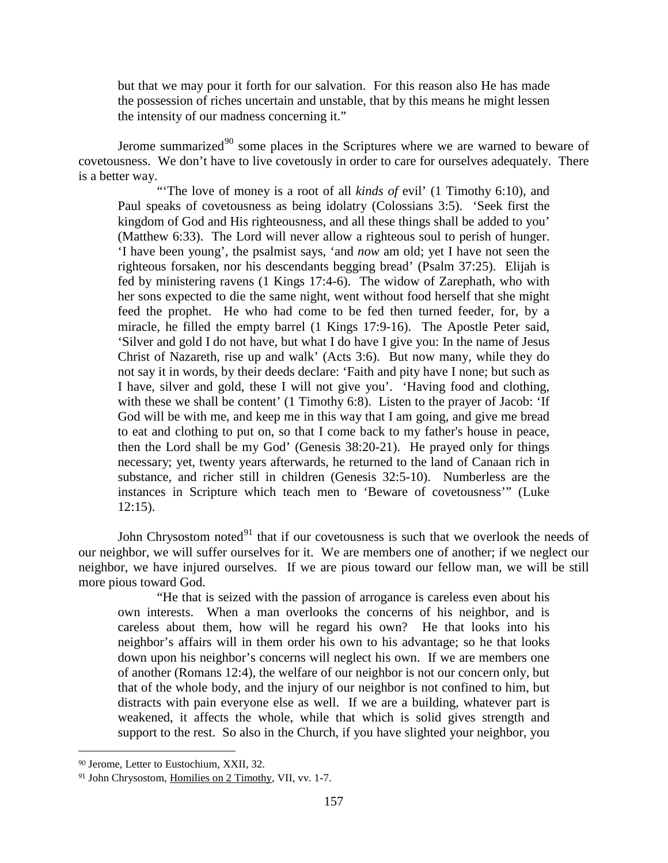but that we may pour it forth for our salvation. For this reason also He has made the possession of riches uncertain and unstable, that by this means he might lessen the intensity of our madness concerning it."

Jerome summarized $90$  some places in the Scriptures where we are warned to beware of covetousness. We don't have to live covetously in order to care for ourselves adequately. There is a better way.

"The love of money is a root of all *kinds of* evil' (1 Timothy 6:10), and Paul speaks of covetousness as being idolatry (Colossians 3:5). 'Seek first the kingdom of God and His righteousness, and all these things shall be added to you' (Matthew 6:33). The Lord will never allow a righteous soul to perish of hunger. 'I have been young', the psalmist says, 'and *now* am old; yet I have not seen the righteous forsaken, nor his descendants begging bread' (Psalm 37:25). Elijah is fed by ministering ravens (1 Kings 17:4-6). The widow of Zarephath, who with her sons expected to die the same night, went without food herself that she might feed the prophet. He who had come to be fed then turned feeder, for, by a miracle, he filled the empty barrel (1 Kings 17:9-16). The Apostle Peter said, 'Silver and gold I do not have, but what I do have I give you: In the name of Jesus Christ of Nazareth, rise up and walk' (Acts 3:6). But now many, while they do not say it in words, by their deeds declare: 'Faith and pity have I none; but such as I have, silver and gold, these I will not give you'. 'Having food and clothing, with these we shall be content' (1 Timothy 6:8). Listen to the prayer of Jacob: 'If God will be with me, and keep me in this way that I am going, and give me bread to eat and clothing to put on, so that I come back to my father's house in peace, then the Lord shall be my God' (Genesis 38:20-21). He prayed only for things necessary; yet, twenty years afterwards, he returned to the land of Canaan rich in substance, and richer still in children (Genesis 32:5-10). Numberless are the instances in Scripture which teach men to 'Beware of covetousness'" (Luke 12:15).

John Chrysostom noted $91$  that if our covetousness is such that we overlook the needs of our neighbor, we will suffer ourselves for it. We are members one of another; if we neglect our neighbor, we have injured ourselves. If we are pious toward our fellow man, we will be still more pious toward God.

"He that is seized with the passion of arrogance is careless even about his own interests. When a man overlooks the concerns of his neighbor, and is careless about them, how will he regard his own? He that looks into his neighbor's affairs will in them order his own to his advantage; so he that looks down upon his neighbor's concerns will neglect his own. If we are members one of another (Romans 12:4), the welfare of our neighbor is not our concern only, but that of the whole body, and the injury of our neighbor is not confined to him, but distracts with pain everyone else as well. If we are a building, whatever part is weakened, it affects the whole, while that which is solid gives strength and support to the rest. So also in the Church, if you have slighted your neighbor, you

<span id="page-56-0"></span><sup>90</sup> Jerome, Letter to Eustochium, XXII, 32.

<span id="page-56-1"></span><sup>91</sup> John Chrysostom, Homilies on 2 Timothy, VII, vv. 1-7.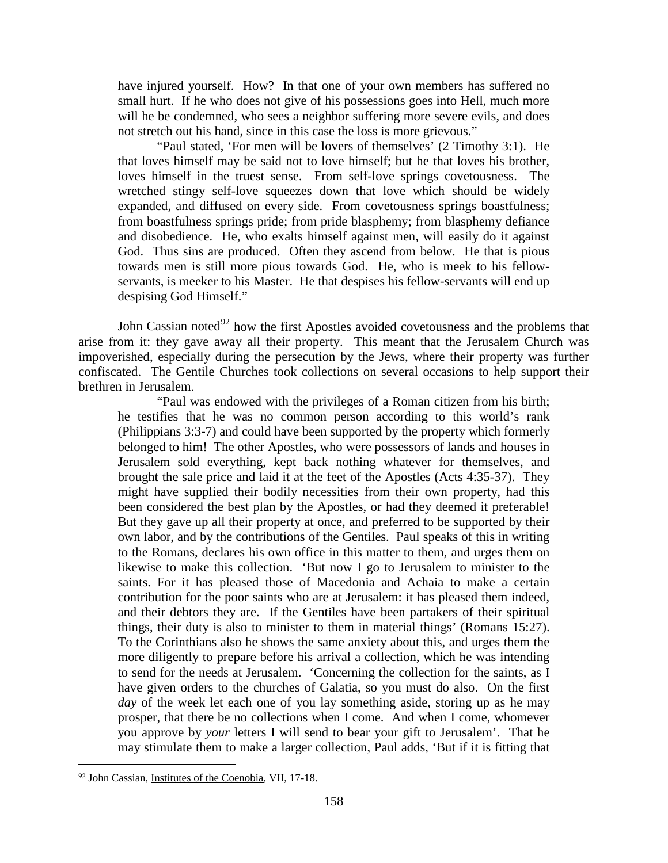have injured yourself. How? In that one of your own members has suffered no small hurt. If he who does not give of his possessions goes into Hell, much more will he be condemned, who sees a neighbor suffering more severe evils, and does not stretch out his hand, since in this case the loss is more grievous."

"Paul stated, 'For men will be lovers of themselves' (2 Timothy 3:1). He that loves himself may be said not to love himself; but he that loves his brother, loves himself in the truest sense. From self-love springs covetousness. The wretched stingy self-love squeezes down that love which should be widely expanded, and diffused on every side. From covetousness springs boastfulness; from boastfulness springs pride; from pride blasphemy; from blasphemy defiance and disobedience. He, who exalts himself against men, will easily do it against God. Thus sins are produced. Often they ascend from below. He that is pious towards men is still more pious towards God. He, who is meek to his fellowservants, is meeker to his Master. He that despises his fellow-servants will end up despising God Himself."

John Cassian noted<sup>[92](#page-57-0)</sup> how the first Apostles avoided covetousness and the problems that arise from it: they gave away all their property. This meant that the Jerusalem Church was impoverished, especially during the persecution by the Jews, where their property was further confiscated. The Gentile Churches took collections on several occasions to help support their brethren in Jerusalem.

"Paul was endowed with the privileges of a Roman citizen from his birth; he testifies that he was no common person according to this world's rank (Philippians 3:3-7) and could have been supported by the property which formerly belonged to him! The other Apostles, who were possessors of lands and houses in Jerusalem sold everything, kept back nothing whatever for themselves, and brought the sale price and laid it at the feet of the Apostles (Acts 4:35-37). They might have supplied their bodily necessities from their own property, had this been considered the best plan by the Apostles, or had they deemed it preferable! But they gave up all their property at once, and preferred to be supported by their own labor, and by the contributions of the Gentiles. Paul speaks of this in writing to the Romans, declares his own office in this matter to them, and urges them on likewise to make this collection. 'But now I go to Jerusalem to minister to the saints. For it has pleased those of Macedonia and Achaia to make a certain contribution for the poor saints who are at Jerusalem: it has pleased them indeed, and their debtors they are. If the Gentiles have been partakers of their spiritual things, their duty is also to minister to them in material things' (Romans 15:27). To the Corinthians also he shows the same anxiety about this, and urges them the more diligently to prepare before his arrival a collection, which he was intending to send for the needs at Jerusalem. 'Concerning the collection for the saints, as I have given orders to the churches of Galatia, so you must do also. On the first *day* of the week let each one of you lay something aside, storing up as he may prosper, that there be no collections when I come. And when I come, whomever you approve by *your* letters I will send to bear your gift to Jerusalem'. That he may stimulate them to make a larger collection, Paul adds, 'But if it is fitting that

<span id="page-57-0"></span><sup>92</sup> John Cassian, Institutes of the Coenobia, VII, 17-18.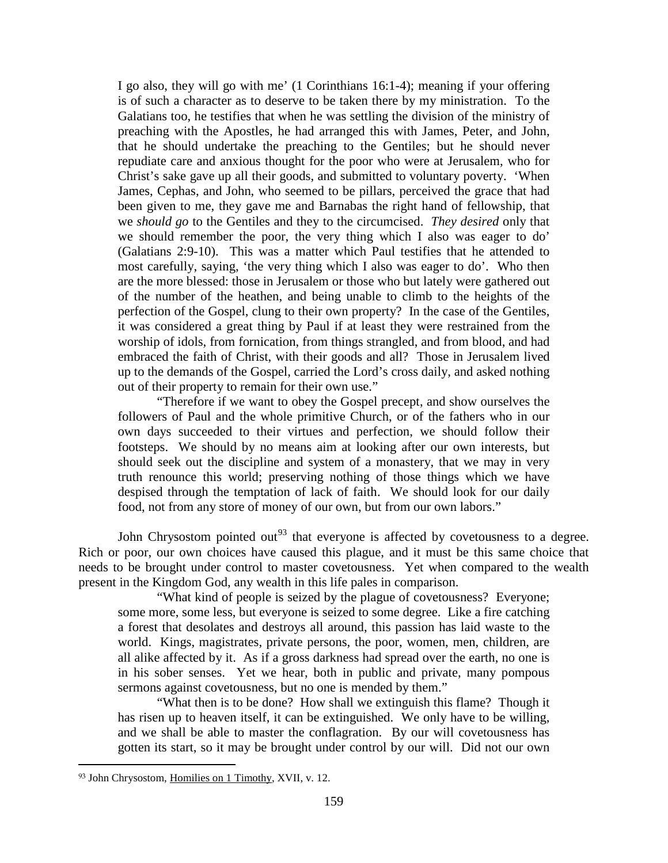I go also, they will go with me' (1 Corinthians 16:1-4); meaning if your offering is of such a character as to deserve to be taken there by my ministration. To the Galatians too, he testifies that when he was settling the division of the ministry of preaching with the Apostles, he had arranged this with James, Peter, and John, that he should undertake the preaching to the Gentiles; but he should never repudiate care and anxious thought for the poor who were at Jerusalem, who for Christ's sake gave up all their goods, and submitted to voluntary poverty. 'When James, Cephas, and John, who seemed to be pillars, perceived the grace that had been given to me, they gave me and Barnabas the right hand of fellowship, that we *should go* to the Gentiles and they to the circumcised. *They desired* only that we should remember the poor, the very thing which I also was eager to do' (Galatians 2:9-10). This was a matter which Paul testifies that he attended to most carefully, saying, 'the very thing which I also was eager to do'. Who then are the more blessed: those in Jerusalem or those who but lately were gathered out of the number of the heathen, and being unable to climb to the heights of the perfection of the Gospel, clung to their own property? In the case of the Gentiles, it was considered a great thing by Paul if at least they were restrained from the worship of idols, from fornication, from things strangled, and from blood, and had embraced the faith of Christ, with their goods and all? Those in Jerusalem lived up to the demands of the Gospel, carried the Lord's cross daily, and asked nothing out of their property to remain for their own use."

"Therefore if we want to obey the Gospel precept, and show ourselves the followers of Paul and the whole primitive Church, or of the fathers who in our own days succeeded to their virtues and perfection, we should follow their footsteps. We should by no means aim at looking after our own interests, but should seek out the discipline and system of a monastery, that we may in very truth renounce this world; preserving nothing of those things which we have despised through the temptation of lack of faith. We should look for our daily food, not from any store of money of our own, but from our own labors."

John Chrysostom pointed out<sup>[93](#page-58-0)</sup> that everyone is affected by covetousness to a degree. Rich or poor, our own choices have caused this plague, and it must be this same choice that needs to be brought under control to master covetousness. Yet when compared to the wealth present in the Kingdom God, any wealth in this life pales in comparison.

"What kind of people is seized by the plague of covetousness? Everyone; some more, some less, but everyone is seized to some degree. Like a fire catching a forest that desolates and destroys all around, this passion has laid waste to the world. Kings, magistrates, private persons, the poor, women, men, children, are all alike affected by it. As if a gross darkness had spread over the earth, no one is in his sober senses. Yet we hear, both in public and private, many pompous sermons against covetousness, but no one is mended by them."

"What then is to be done? How shall we extinguish this flame? Though it has risen up to heaven itself, it can be extinguished. We only have to be willing, and we shall be able to master the conflagration. By our will covetousness has gotten its start, so it may be brought under control by our will. Did not our own

<span id="page-58-0"></span><sup>93</sup> John Chrysostom, Homilies on 1 Timothy, XVII, v. 12.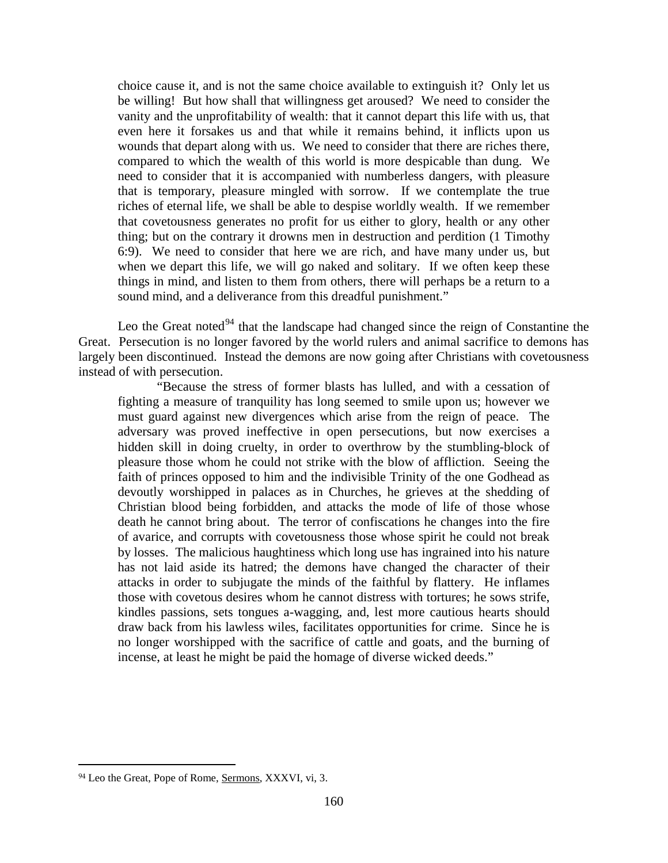choice cause it, and is not the same choice available to extinguish it? Only let us be willing! But how shall that willingness get aroused? We need to consider the vanity and the unprofitability of wealth: that it cannot depart this life with us, that even here it forsakes us and that while it remains behind, it inflicts upon us wounds that depart along with us. We need to consider that there are riches there, compared to which the wealth of this world is more despicable than dung. We need to consider that it is accompanied with numberless dangers, with pleasure that is temporary, pleasure mingled with sorrow. If we contemplate the true riches of eternal life, we shall be able to despise worldly wealth. If we remember that covetousness generates no profit for us either to glory, health or any other thing; but on the contrary it drowns men in destruction and perdition (1 Timothy 6:9). We need to consider that here we are rich, and have many under us, but when we depart this life, we will go naked and solitary. If we often keep these things in mind, and listen to them from others, there will perhaps be a return to a sound mind, and a deliverance from this dreadful punishment."

Leo the Great noted<sup>[94](#page-59-0)</sup> that the landscape had changed since the reign of Constantine the Great. Persecution is no longer favored by the world rulers and animal sacrifice to demons has largely been discontinued. Instead the demons are now going after Christians with covetousness instead of with persecution.

"Because the stress of former blasts has lulled, and with a cessation of fighting a measure of tranquility has long seemed to smile upon us; however we must guard against new divergences which arise from the reign of peace. The adversary was proved ineffective in open persecutions, but now exercises a hidden skill in doing cruelty, in order to overthrow by the stumbling-block of pleasure those whom he could not strike with the blow of affliction. Seeing the faith of princes opposed to him and the indivisible Trinity of the one Godhead as devoutly worshipped in palaces as in Churches, he grieves at the shedding of Christian blood being forbidden, and attacks the mode of life of those whose death he cannot bring about. The terror of confiscations he changes into the fire of avarice, and corrupts with covetousness those whose spirit he could not break by losses. The malicious haughtiness which long use has ingrained into his nature has not laid aside its hatred; the demons have changed the character of their attacks in order to subjugate the minds of the faithful by flattery. He inflames those with covetous desires whom he cannot distress with tortures; he sows strife, kindles passions, sets tongues a-wagging, and, lest more cautious hearts should draw back from his lawless wiles, facilitates opportunities for crime. Since he is no longer worshipped with the sacrifice of cattle and goats, and the burning of incense, at least he might be paid the homage of diverse wicked deeds."

<span id="page-59-0"></span><sup>94</sup> Leo the Great, Pope of Rome, Sermons, XXXVI, vi, 3.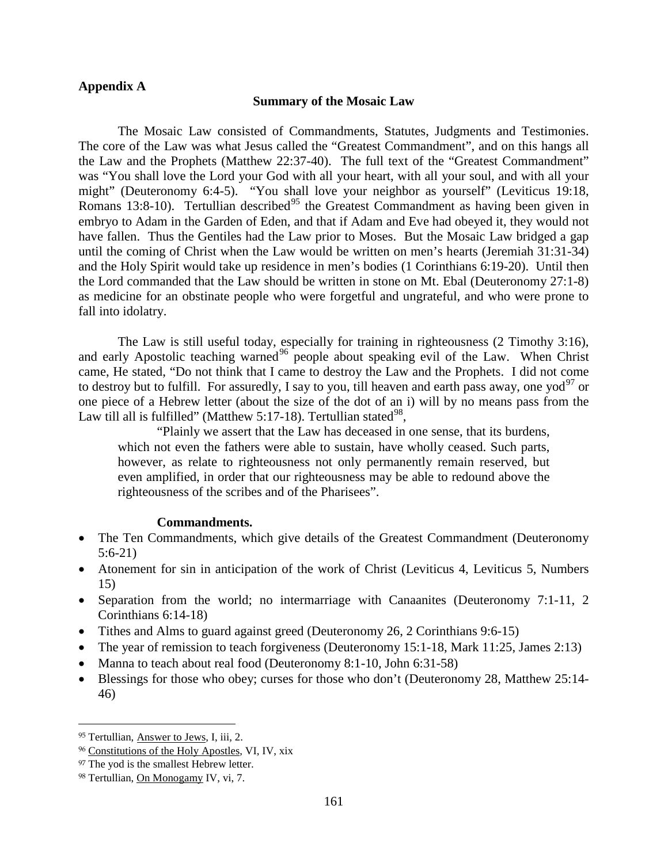# **Appendix A**

## **Summary of the Mosaic Law**

The Mosaic Law consisted of Commandments, Statutes, Judgments and Testimonies. The core of the Law was what Jesus called the "Greatest Commandment", and on this hangs all the Law and the Prophets (Matthew 22:37-40). The full text of the "Greatest Commandment" was "You shall love the Lord your God with all your heart, with all your soul, and with all your might" (Deuteronomy 6:4-5). "You shall love your neighbor as yourself" (Leviticus 19:18, Romans 13:8-10). Tertullian described<sup>[95](#page-60-0)</sup> the Greatest Commandment as having been given in embryo to Adam in the Garden of Eden, and that if Adam and Eve had obeyed it, they would not have fallen. Thus the Gentiles had the Law prior to Moses. But the Mosaic Law bridged a gap until the coming of Christ when the Law would be written on men's hearts (Jeremiah 31:31-34) and the Holy Spirit would take up residence in men's bodies (1 Corinthians 6:19-20). Until then the Lord commanded that the Law should be written in stone on Mt. Ebal (Deuteronomy 27:1-8) as medicine for an obstinate people who were forgetful and ungrateful, and who were prone to fall into idolatry.

The Law is still useful today, especially for training in righteousness (2 Timothy 3:16), and early Apostolic teaching warned<sup>[96](#page-60-1)</sup> people about speaking evil of the Law. When Christ came, He stated, "Do not think that I came to destroy the Law and the Prophets. I did not come to destroy but to fulfill. For assuredly, I say to you, till heaven and earth pass away, one yod<sup>[97](#page-60-2)</sup> or one piece of a Hebrew letter (about the size of the dot of an i) will by no means pass from the Law till all is fulfilled" (Matthew 5:17-18). Tertullian stated  $98$ ,

"Plainly we assert that the Law has deceased in one sense, that its burdens, which not even the fathers were able to sustain, have wholly ceased. Such parts, however, as relate to righteousness not only permanently remain reserved, but even amplified, in order that our righteousness may be able to redound above the righteousness of the scribes and of the Pharisees".

## **Commandments.**

- The Ten Commandments, which give details of the Greatest Commandment (Deuteronomy 5:6-21)
- Atonement for sin in anticipation of the work of Christ (Leviticus 4, Leviticus 5, Numbers 15)
- Separation from the world; no intermarriage with Canaanites (Deuteronomy 7:1-11, 2) Corinthians 6:14-18)
- Tithes and Alms to guard against greed (Deuteronomy 26, 2 Corinthians 9:6-15)
- The year of remission to teach forgiveness (Deuteronomy 15:1-18, Mark 11:25, James 2:13)
- Manna to teach about real food (Deuteronomy 8:1-10, John 6:31-58)
- Blessings for those who obey; curses for those who don't (Deuteronomy 28, Matthew 25:14- 46)

<span id="page-60-0"></span><sup>95</sup> Tertullian, Answer to Jews, I, iii, 2.

<span id="page-60-1"></span><sup>96</sup> Constitutions of the Holy Apostles, VI, IV, xix

<span id="page-60-2"></span><sup>97</sup> The yod is the smallest Hebrew letter.

<span id="page-60-3"></span><sup>98</sup> Tertullian, On Monogamy IV, vi, 7.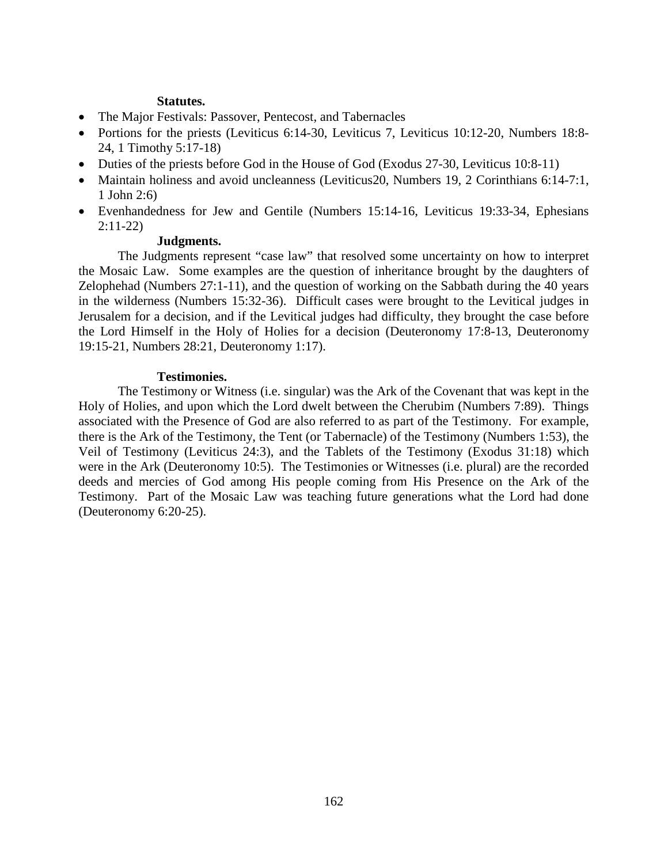# **Statutes.**

- The Major Festivals: Passover, Pentecost, and Tabernacles
- Portions for the priests (Leviticus 6:14-30, Leviticus 7, Leviticus 10:12-20, Numbers 18:8-24, 1 Timothy 5:17-18)
- Duties of the priests before God in the House of God (Exodus 27-30, Leviticus 10:8-11)
- Maintain holiness and avoid uncleanness (Leviticus20, Numbers 19, 2 Corinthians 6:14-7:1, 1 John 2:6)
- Evenhandedness for Jew and Gentile (Numbers 15:14-16, Leviticus 19:33-34, Ephesians 2:11-22)

# **Judgments.**

The Judgments represent "case law" that resolved some uncertainty on how to interpret the Mosaic Law. Some examples are the question of inheritance brought by the daughters of Zelophehad (Numbers 27:1-11), and the question of working on the Sabbath during the 40 years in the wilderness (Numbers 15:32-36). Difficult cases were brought to the Levitical judges in Jerusalem for a decision, and if the Levitical judges had difficulty, they brought the case before the Lord Himself in the Holy of Holies for a decision (Deuteronomy 17:8-13, Deuteronomy 19:15-21, Numbers 28:21, Deuteronomy 1:17).

# **Testimonies.**

The Testimony or Witness (i.e. singular) was the Ark of the Covenant that was kept in the Holy of Holies, and upon which the Lord dwelt between the Cherubim (Numbers 7:89). Things associated with the Presence of God are also referred to as part of the Testimony. For example, there is the Ark of the Testimony, the Tent (or Tabernacle) of the Testimony (Numbers 1:53), the Veil of Testimony (Leviticus 24:3), and the Tablets of the Testimony (Exodus 31:18) which were in the Ark (Deuteronomy 10:5). The Testimonies or Witnesses (i.e. plural) are the recorded deeds and mercies of God among His people coming from His Presence on the Ark of the Testimony. Part of the Mosaic Law was teaching future generations what the Lord had done (Deuteronomy 6:20-25).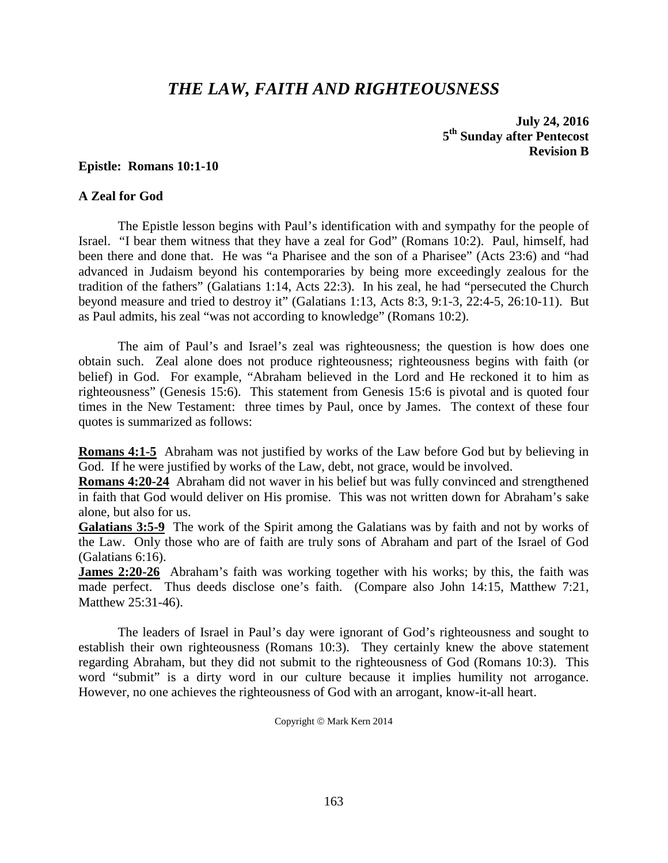# *THE LAW, FAITH AND RIGHTEOUSNESS*

**July 24, 2016 5th Sunday after Pentecost Revision B**

#### **Epistle: Romans 10:1-10**

## **A Zeal for God**

The Epistle lesson begins with Paul's identification with and sympathy for the people of Israel. "I bear them witness that they have a zeal for God" (Romans 10:2). Paul, himself, had been there and done that. He was "a Pharisee and the son of a Pharisee" (Acts 23:6) and "had advanced in Judaism beyond his contemporaries by being more exceedingly zealous for the tradition of the fathers" (Galatians 1:14, Acts 22:3). In his zeal, he had "persecuted the Church beyond measure and tried to destroy it" (Galatians 1:13, Acts 8:3, 9:1-3, 22:4-5, 26:10-11). But as Paul admits, his zeal "was not according to knowledge" (Romans 10:2).

The aim of Paul's and Israel's zeal was righteousness; the question is how does one obtain such. Zeal alone does not produce righteousness; righteousness begins with faith (or belief) in God. For example, "Abraham believed in the Lord and He reckoned it to him as righteousness" (Genesis 15:6). This statement from Genesis 15:6 is pivotal and is quoted four times in the New Testament: three times by Paul, once by James. The context of these four quotes is summarized as follows:

**Romans 4:1-5** Abraham was not justified by works of the Law before God but by believing in God. If he were justified by works of the Law, debt, not grace, would be involved.

**Romans 4:20-24** Abraham did not waver in his belief but was fully convinced and strengthened in faith that God would deliver on His promise. This was not written down for Abraham's sake alone, but also for us.

**Galatians 3:5-9** The work of the Spirit among the Galatians was by faith and not by works of the Law. Only those who are of faith are truly sons of Abraham and part of the Israel of God (Galatians 6:16).

**James 2:20-26** Abraham's faith was working together with his works; by this, the faith was made perfect. Thus deeds disclose one's faith. (Compare also John 14:15, Matthew 7:21, Matthew 25:31-46).

The leaders of Israel in Paul's day were ignorant of God's righteousness and sought to establish their own righteousness (Romans 10:3). They certainly knew the above statement regarding Abraham, but they did not submit to the righteousness of God (Romans 10:3). This word "submit" is a dirty word in our culture because it implies humility not arrogance. However, no one achieves the righteousness of God with an arrogant, know-it-all heart.

Copyright © Mark Kern 2014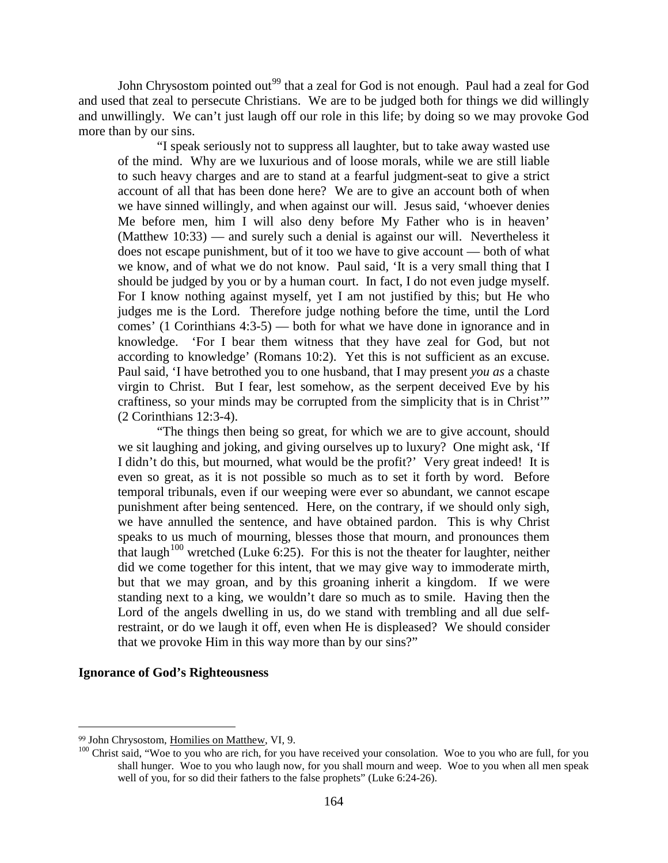John Chrysostom pointed out<sup>[99](#page-63-0)</sup> that a zeal for God is not enough. Paul had a zeal for God and used that zeal to persecute Christians. We are to be judged both for things we did willingly and unwillingly. We can't just laugh off our role in this life; by doing so we may provoke God more than by our sins.

"I speak seriously not to suppress all laughter, but to take away wasted use of the mind. Why are we luxurious and of loose morals, while we are still liable to such heavy charges and are to stand at a fearful judgment-seat to give a strict account of all that has been done here? We are to give an account both of when we have sinned willingly, and when against our will. Jesus said, 'whoever denies Me before men, him I will also deny before My Father who is in heaven' (Matthew 10:33) — and surely such a denial is against our will. Nevertheless it does not escape punishment, but of it too we have to give account — both of what we know, and of what we do not know. Paul said, 'It is a very small thing that I should be judged by you or by a human court. In fact, I do not even judge myself. For I know nothing against myself, yet I am not justified by this; but He who judges me is the Lord. Therefore judge nothing before the time, until the Lord comes' (1 Corinthians 4:3-5) — both for what we have done in ignorance and in knowledge. 'For I bear them witness that they have zeal for God, but not according to knowledge' (Romans 10:2). Yet this is not sufficient as an excuse. Paul said, 'I have betrothed you to one husband, that I may present *you as* a chaste virgin to Christ. But I fear, lest somehow, as the serpent deceived Eve by his craftiness, so your minds may be corrupted from the simplicity that is in Christ'" (2 Corinthians 12:3-4).

"The things then being so great, for which we are to give account, should we sit laughing and joking, and giving ourselves up to luxury? One might ask, 'If I didn't do this, but mourned, what would be the profit?' Very great indeed! It is even so great, as it is not possible so much as to set it forth by word. Before temporal tribunals, even if our weeping were ever so abundant, we cannot escape punishment after being sentenced. Here, on the contrary, if we should only sigh, we have annulled the sentence, and have obtained pardon. This is why Christ speaks to us much of mourning, blesses those that mourn, and pronounces them that laugh<sup>[100](#page-63-1)</sup> wretched (Luke 6:25). For this is not the theater for laughter, neither did we come together for this intent, that we may give way to immoderate mirth, but that we may groan, and by this groaning inherit a kingdom. If we were standing next to a king, we wouldn't dare so much as to smile. Having then the Lord of the angels dwelling in us, do we stand with trembling and all due selfrestraint, or do we laugh it off, even when He is displeased? We should consider that we provoke Him in this way more than by our sins?"

## **Ignorance of God's Righteousness**

<span id="page-63-0"></span><sup>99</sup> John Chrysostom, Homilies on Matthew, VI, 9.

<span id="page-63-1"></span><sup>&</sup>lt;sup>100</sup> Christ said, "Woe to you who are rich, for you have received your consolation. Woe to you who are full, for you shall hunger. Woe to you who laugh now, for you shall mourn and weep. Woe to you when all men speak well of you, for so did their fathers to the false prophets" (Luke 6:24-26).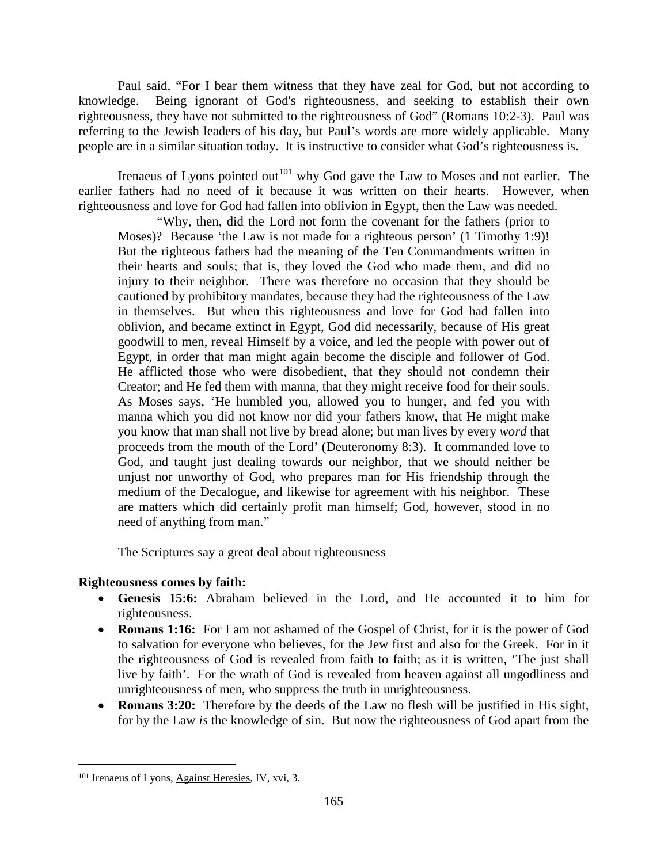Paul said, "For I bear them witness that they have zeal for God, but not according to knowledge. Being ignorant of God's righteousness, and seeking to establish their own righteousness, they have not submitted to the righteousness of God" (Romans 10:2-3). Paul was referring to the Jewish leaders of his day, but Paul's words are more widely applicable. Many people are in a similar situation today. It is instructive to consider what God's righteousness is.

Irenaeus of Lyons pointed out<sup>[101](#page-64-0)</sup> why God gave the Law to Moses and not earlier. The earlier fathers had no need of it because it was written on their hearts. However, when righteousness and love for God had fallen into oblivion in Egypt, then the Law was needed.

"Why, then, did the Lord not form the covenant for the fathers (prior to Moses)? Because 'the Law is not made for a righteous person' (1 Timothy 1:9)! But the righteous fathers had the meaning of the Ten Commandments written in their hearts and souls; that is, they loved the God who made them, and did no injury to their neighbor. There was therefore no occasion that they should be cautioned by prohibitory mandates, because they had the righteousness of the Law in themselves. But when this righteousness and love for God had fallen into oblivion, and became extinct in Egypt, God did necessarily, because of His great goodwill to men, reveal Himself by a voice, and led the people with power out of Egypt, in order that man might again become the disciple and follower of God. He afflicted those who were disobedient, that they should not condemn their Creator; and He fed them with manna, that they might receive food for their souls. As Moses says, 'He humbled you, allowed you to hunger, and fed you with manna which you did not know nor did your fathers know, that He might make you know that man shall not live by bread alone; but man lives by every *word* that proceeds from the mouth of the Lord' (Deuteronomy 8:3). It commanded love to God, and taught just dealing towards our neighbor, that we should neither be unjust nor unworthy of God, who prepares man for His friendship through the medium of the Decalogue, and likewise for agreement with his neighbor. These are matters which did certainly profit man himself; God, however, stood in no need of anything from man."

The Scriptures say a great deal about righteousness

# **Righteousness comes by faith:**

- **Genesis 15:6:** Abraham believed in the Lord, and He accounted it to him for righteousness.
- **Romans 1:16:** For I am not ashamed of the Gospel of Christ, for it is the power of God to salvation for everyone who believes, for the Jew first and also for the Greek. For in it the righteousness of God is revealed from faith to faith; as it is written, 'The just shall live by faith'. For the wrath of God is revealed from heaven against all ungodliness and unrighteousness of men, who suppress the truth in unrighteousness.
- **Romans 3:20:** Therefore by the deeds of the Law no flesh will be justified in His sight, for by the Law *is* the knowledge of sin. But now the righteousness of God apart from the

<span id="page-64-0"></span><sup>101</sup> Irenaeus of Lyons, Against Heresies, IV, xvi, 3.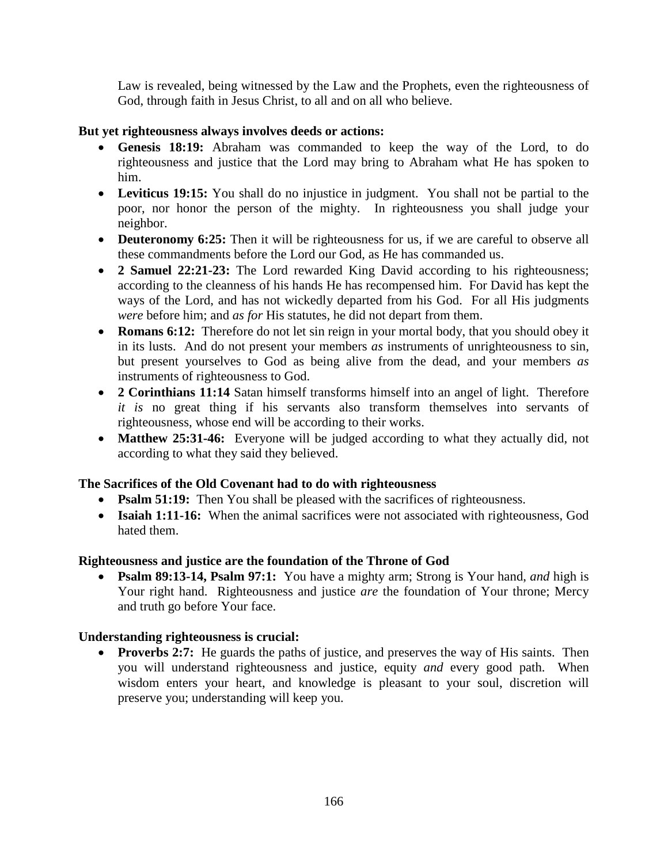Law is revealed, being witnessed by the Law and the Prophets, even the righteousness of God, through faith in Jesus Christ, to all and on all who believe.

# **But yet righteousness always involves deeds or actions:**

- **Genesis 18:19:** Abraham was commanded to keep the way of the Lord, to do righteousness and justice that the Lord may bring to Abraham what He has spoken to him.
- **Leviticus 19:15:** You shall do no injustice in judgment. You shall not be partial to the poor, nor honor the person of the mighty. In righteousness you shall judge your neighbor.
- **Deuteronomy 6:25:** Then it will be righteousness for us, if we are careful to observe all these commandments before the Lord our God, as He has commanded us.
- **2 Samuel 22:21-23:** The Lord rewarded King David according to his righteousness; according to the cleanness of his hands He has recompensed him. For David has kept the ways of the Lord, and has not wickedly departed from his God. For all His judgments *were* before him; and *as for* His statutes, he did not depart from them.
- **Romans 6:12:** Therefore do not let sin reign in your mortal body, that you should obey it in its lusts. And do not present your members *as* instruments of unrighteousness to sin, but present yourselves to God as being alive from the dead, and your members *as*  instruments of righteousness to God.
- **2 Corinthians 11:14** Satan himself transforms himself into an angel of light. Therefore *it is* no great thing if his servants also transform themselves into servants of righteousness, whose end will be according to their works.
- **Matthew 25:31-46:** Everyone will be judged according to what they actually did, not according to what they said they believed.

# **The Sacrifices of the Old Covenant had to do with righteousness**

- **Psalm 51:19:** Then You shall be pleased with the sacrifices of righteousness.
- **Isaiah 1:11-16:** When the animal sacrifices were not associated with righteousness, God hated them.

# **Righteousness and justice are the foundation of the Throne of God**

• **Psalm 89:13-14, Psalm 97:1:** You have a mighty arm; Strong is Your hand, *and* high is Your right hand. Righteousness and justice *are* the foundation of Your throne; Mercy and truth go before Your face.

# **Understanding righteousness is crucial:**

**Proverbs 2:7:** He guards the paths of justice, and preserves the way of His saints. Then you will understand righteousness and justice, equity *and* every good path. When wisdom enters your heart, and knowledge is pleasant to your soul, discretion will preserve you; understanding will keep you.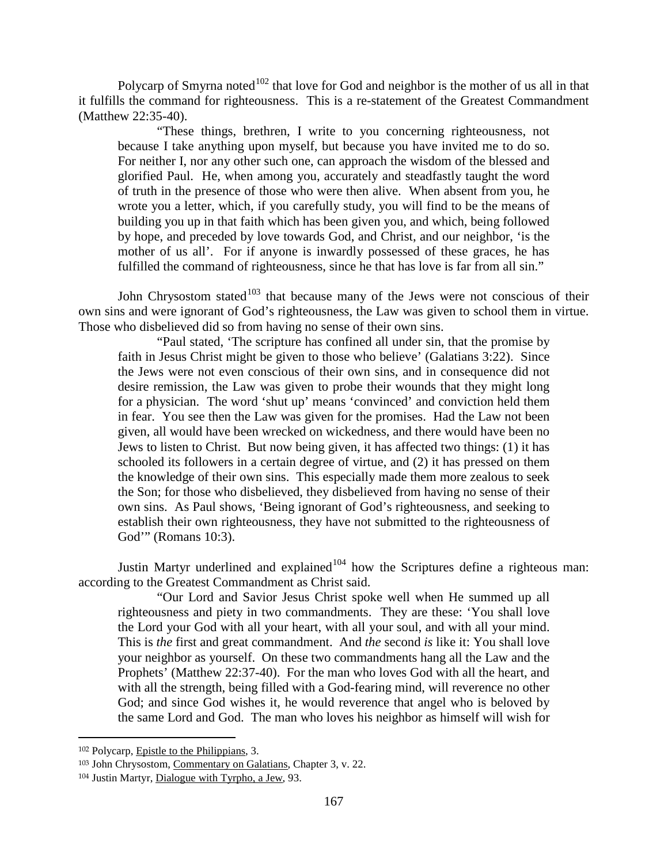Polycarp of Smyrna noted<sup>[102](#page-66-0)</sup> that love for God and neighbor is the mother of us all in that it fulfills the command for righteousness. This is a re-statement of the Greatest Commandment (Matthew 22:35-40).

"These things, brethren, I write to you concerning righteousness, not because I take anything upon myself, but because you have invited me to do so. For neither I, nor any other such one, can approach the wisdom of the blessed and glorified Paul. He, when among you, accurately and steadfastly taught the word of truth in the presence of those who were then alive. When absent from you, he wrote you a letter, which, if you carefully study, you will find to be the means of building you up in that faith which has been given you, and which, being followed by hope, and preceded by love towards God, and Christ, and our neighbor, 'is the mother of us all'. For if anyone is inwardly possessed of these graces, he has fulfilled the command of righteousness, since he that has love is far from all sin."

John Chrysostom stated $103$  that because many of the Jews were not conscious of their own sins and were ignorant of God's righteousness, the Law was given to school them in virtue. Those who disbelieved did so from having no sense of their own sins.

"Paul stated, 'The scripture has confined all under sin, that the promise by faith in Jesus Christ might be given to those who believe' (Galatians 3:22). Since the Jews were not even conscious of their own sins, and in consequence did not desire remission, the Law was given to probe their wounds that they might long for a physician. The word 'shut up' means 'convinced' and conviction held them in fear. You see then the Law was given for the promises. Had the Law not been given, all would have been wrecked on wickedness, and there would have been no Jews to listen to Christ. But now being given, it has affected two things: (1) it has schooled its followers in a certain degree of virtue, and (2) it has pressed on them the knowledge of their own sins. This especially made them more zealous to seek the Son; for those who disbelieved, they disbelieved from having no sense of their own sins. As Paul shows, 'Being ignorant of God's righteousness, and seeking to establish their own righteousness, they have not submitted to the righteousness of God'" (Romans 10:3).

Justin Martyr underlined and explained<sup>[104](#page-66-2)</sup> how the Scriptures define a righteous man: according to the Greatest Commandment as Christ said.

"Our Lord and Savior Jesus Christ spoke well when He summed up all righteousness and piety in two commandments. They are these: 'You shall love the Lord your God with all your heart, with all your soul, and with all your mind. This is *the* first and great commandment. And *the* second *is* like it: You shall love your neighbor as yourself. On these two commandments hang all the Law and the Prophets' (Matthew 22:37-40). For the man who loves God with all the heart, and with all the strength, being filled with a God-fearing mind, will reverence no other God; and since God wishes it, he would reverence that angel who is beloved by the same Lord and God. The man who loves his neighbor as himself will wish for

<span id="page-66-0"></span><sup>102</sup> Polycarp, Epistle to the Philippians, 3.

<span id="page-66-1"></span><sup>103</sup> John Chrysostom, Commentary on Galatians, Chapter 3, v. 22.

<span id="page-66-2"></span><sup>104</sup> Justin Martyr, Dialogue with Tyrpho, a Jew, 93.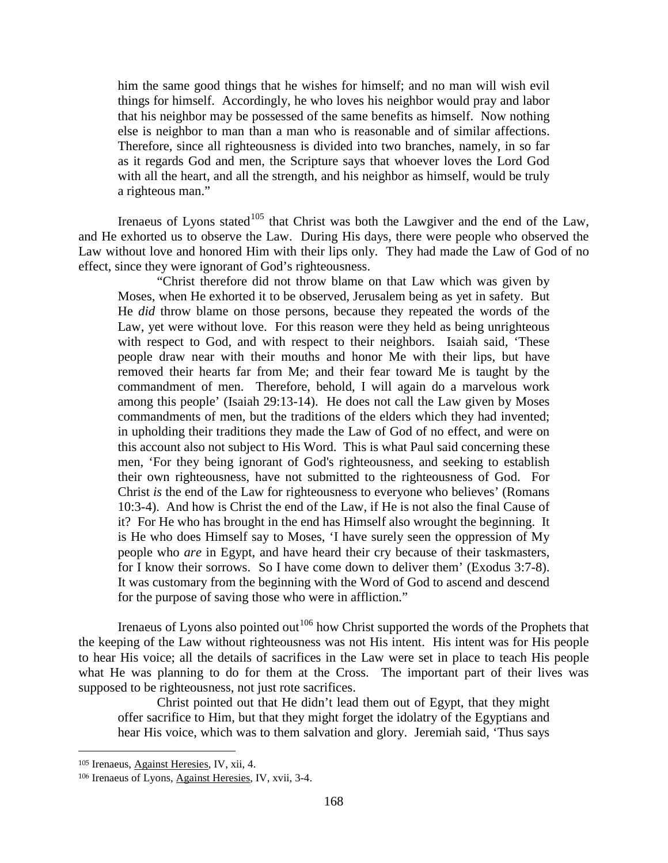him the same good things that he wishes for himself; and no man will wish evil things for himself. Accordingly, he who loves his neighbor would pray and labor that his neighbor may be possessed of the same benefits as himself. Now nothing else is neighbor to man than a man who is reasonable and of similar affections. Therefore, since all righteousness is divided into two branches, namely, in so far as it regards God and men, the Scripture says that whoever loves the Lord God with all the heart, and all the strength, and his neighbor as himself, would be truly a righteous man."

Irenaeus of Lyons stated $105$  that Christ was both the Lawgiver and the end of the Law, and He exhorted us to observe the Law. During His days, there were people who observed the Law without love and honored Him with their lips only. They had made the Law of God of no effect, since they were ignorant of God's righteousness.

"Christ therefore did not throw blame on that Law which was given by Moses, when He exhorted it to be observed, Jerusalem being as yet in safety. But He *did* throw blame on those persons, because they repeated the words of the Law, yet were without love. For this reason were they held as being unrighteous with respect to God, and with respect to their neighbors. Isaiah said, 'These people draw near with their mouths and honor Me with their lips, but have removed their hearts far from Me; and their fear toward Me is taught by the commandment of men. Therefore, behold, I will again do a marvelous work among this people' (Isaiah 29:13-14). He does not call the Law given by Moses commandments of men, but the traditions of the elders which they had invented; in upholding their traditions they made the Law of God of no effect, and were on this account also not subject to His Word. This is what Paul said concerning these men, 'For they being ignorant of God's righteousness, and seeking to establish their own righteousness, have not submitted to the righteousness of God. For Christ *is* the end of the Law for righteousness to everyone who believes' (Romans 10:3-4). And how is Christ the end of the Law, if He is not also the final Cause of it? For He who has brought in the end has Himself also wrought the beginning. It is He who does Himself say to Moses, 'I have surely seen the oppression of My people who *are* in Egypt, and have heard their cry because of their taskmasters, for I know their sorrows. So I have come down to deliver them' (Exodus 3:7-8). It was customary from the beginning with the Word of God to ascend and descend for the purpose of saving those who were in affliction."

Irenaeus of Lyons also pointed out<sup>[106](#page-67-1)</sup> how Christ supported the words of the Prophets that the keeping of the Law without righteousness was not His intent. His intent was for His people to hear His voice; all the details of sacrifices in the Law were set in place to teach His people what He was planning to do for them at the Cross. The important part of their lives was supposed to be righteousness, not just rote sacrifices.

Christ pointed out that He didn't lead them out of Egypt, that they might offer sacrifice to Him, but that they might forget the idolatry of the Egyptians and hear His voice, which was to them salvation and glory. Jeremiah said, 'Thus says

<span id="page-67-0"></span><sup>105</sup> Irenaeus, Against Heresies, IV, xii, 4.

<span id="page-67-1"></span><sup>106</sup> Irenaeus of Lyons, Against Heresies, IV, xvii, 3-4.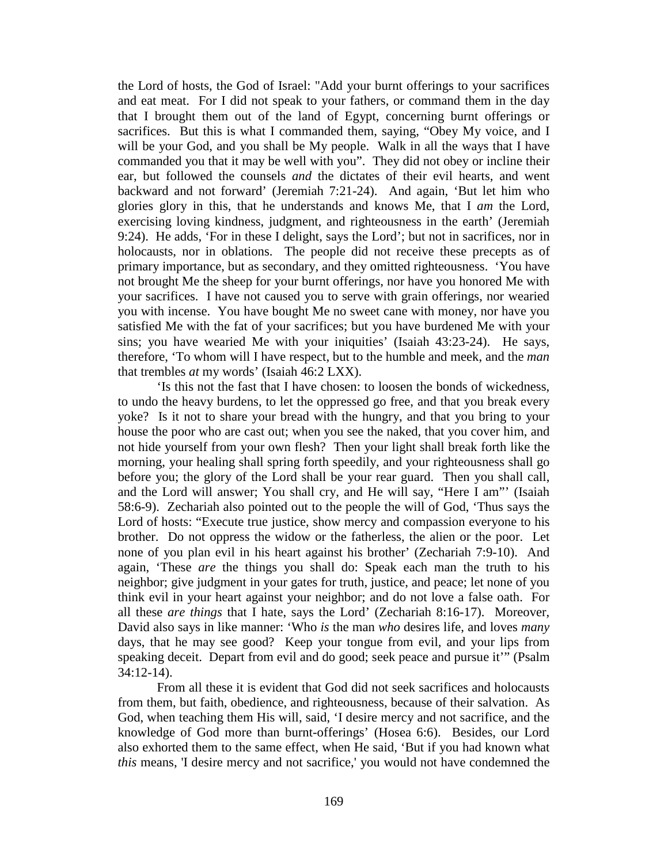the Lord of hosts, the God of Israel: "Add your burnt offerings to your sacrifices and eat meat. For I did not speak to your fathers, or command them in the day that I brought them out of the land of Egypt, concerning burnt offerings or sacrifices. But this is what I commanded them, saying, "Obey My voice, and I will be your God, and you shall be My people. Walk in all the ways that I have commanded you that it may be well with you". They did not obey or incline their ear, but followed the counsels *and* the dictates of their evil hearts, and went backward and not forward' (Jeremiah 7:21-24). And again, 'But let him who glories glory in this, that he understands and knows Me, that I *am* the Lord, exercising loving kindness, judgment, and righteousness in the earth' (Jeremiah 9:24). He adds, 'For in these I delight, says the Lord'; but not in sacrifices, nor in holocausts, nor in oblations. The people did not receive these precepts as of primary importance, but as secondary, and they omitted righteousness. 'You have not brought Me the sheep for your burnt offerings, nor have you honored Me with your sacrifices. I have not caused you to serve with grain offerings, nor wearied you with incense. You have bought Me no sweet cane with money, nor have you satisfied Me with the fat of your sacrifices; but you have burdened Me with your sins; you have wearied Me with your iniquities' (Isaiah 43:23-24). He says, therefore, 'To whom will I have respect, but to the humble and meek, and the *man*  that trembles *at* my words' (Isaiah 46:2 LXX).

'Is this not the fast that I have chosen: to loosen the bonds of wickedness, to undo the heavy burdens, to let the oppressed go free, and that you break every yoke? Is it not to share your bread with the hungry, and that you bring to your house the poor who are cast out; when you see the naked, that you cover him, and not hide yourself from your own flesh? Then your light shall break forth like the morning, your healing shall spring forth speedily, and your righteousness shall go before you; the glory of the Lord shall be your rear guard. Then you shall call, and the Lord will answer; You shall cry, and He will say, "Here I am"' (Isaiah 58:6-9). Zechariah also pointed out to the people the will of God, 'Thus says the Lord of hosts: "Execute true justice, show mercy and compassion everyone to his brother. Do not oppress the widow or the fatherless, the alien or the poor. Let none of you plan evil in his heart against his brother' (Zechariah 7:9-10). And again, 'These *are* the things you shall do: Speak each man the truth to his neighbor; give judgment in your gates for truth, justice, and peace; let none of you think evil in your heart against your neighbor; and do not love a false oath. For all these *are things* that I hate, says the Lord' (Zechariah 8:16-17). Moreover, David also says in like manner: 'Who *is* the man *who* desires life, and loves *many*  days, that he may see good? Keep your tongue from evil, and your lips from speaking deceit. Depart from evil and do good; seek peace and pursue it'" (Psalm 34:12-14).

From all these it is evident that God did not seek sacrifices and holocausts from them, but faith, obedience, and righteousness, because of their salvation. As God, when teaching them His will, said, 'I desire mercy and not sacrifice, and the knowledge of God more than burnt-offerings' (Hosea 6:6). Besides, our Lord also exhorted them to the same effect, when He said, 'But if you had known what *this* means, 'I desire mercy and not sacrifice,' you would not have condemned the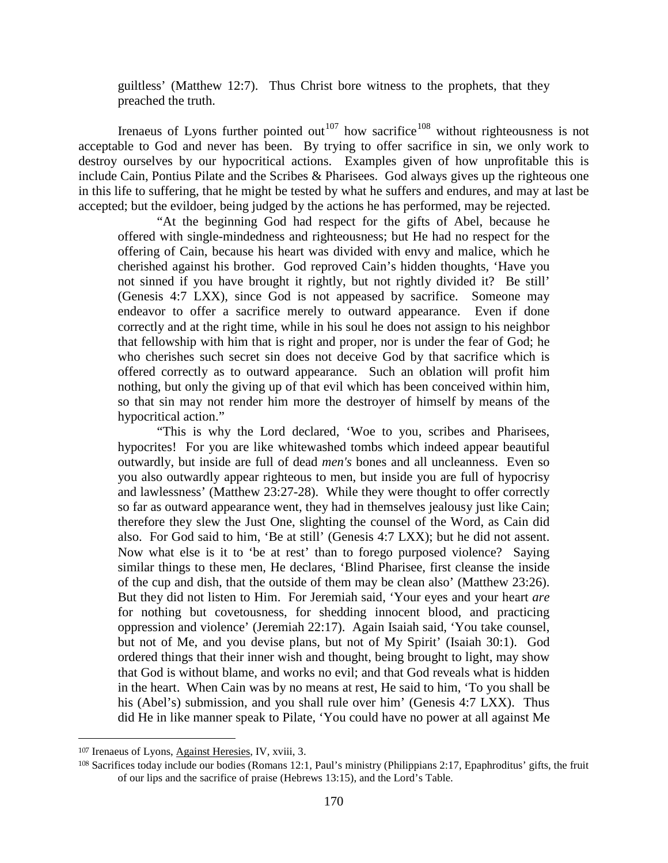guiltless' (Matthew 12:7). Thus Christ bore witness to the prophets, that they preached the truth.

Irenaeus of Lyons further pointed out<sup>[107](#page-69-0)</sup> how sacrifice<sup>[108](#page-69-1)</sup> without righteousness is not acceptable to God and never has been. By trying to offer sacrifice in sin, we only work to destroy ourselves by our hypocritical actions. Examples given of how unprofitable this is include Cain, Pontius Pilate and the Scribes & Pharisees. God always gives up the righteous one in this life to suffering, that he might be tested by what he suffers and endures, and may at last be accepted; but the evildoer, being judged by the actions he has performed, may be rejected.

"At the beginning God had respect for the gifts of Abel, because he offered with single-mindedness and righteousness; but He had no respect for the offering of Cain, because his heart was divided with envy and malice, which he cherished against his brother. God reproved Cain's hidden thoughts, 'Have you not sinned if you have brought it rightly, but not rightly divided it? Be still' (Genesis 4:7 LXX), since God is not appeased by sacrifice. Someone may endeavor to offer a sacrifice merely to outward appearance. Even if done correctly and at the right time, while in his soul he does not assign to his neighbor that fellowship with him that is right and proper, nor is under the fear of God; he who cherishes such secret sin does not deceive God by that sacrifice which is offered correctly as to outward appearance. Such an oblation will profit him nothing, but only the giving up of that evil which has been conceived within him, so that sin may not render him more the destroyer of himself by means of the hypocritical action."

"This is why the Lord declared, 'Woe to you, scribes and Pharisees, hypocrites! For you are like whitewashed tombs which indeed appear beautiful outwardly, but inside are full of dead *men's* bones and all uncleanness. Even so you also outwardly appear righteous to men, but inside you are full of hypocrisy and lawlessness' (Matthew 23:27-28). While they were thought to offer correctly so far as outward appearance went, they had in themselves jealousy just like Cain; therefore they slew the Just One, slighting the counsel of the Word, as Cain did also. For God said to him, 'Be at still' (Genesis 4:7 LXX); but he did not assent. Now what else is it to 'be at rest' than to forego purposed violence? Saying similar things to these men, He declares, 'Blind Pharisee, first cleanse the inside of the cup and dish, that the outside of them may be clean also' (Matthew 23:26). But they did not listen to Him. For Jeremiah said, 'Your eyes and your heart *are*  for nothing but covetousness, for shedding innocent blood, and practicing oppression and violence' (Jeremiah 22:17). Again Isaiah said, 'You take counsel, but not of Me, and you devise plans, but not of My Spirit' (Isaiah 30:1). God ordered things that their inner wish and thought, being brought to light, may show that God is without blame, and works no evil; and that God reveals what is hidden in the heart. When Cain was by no means at rest, He said to him, 'To you shall be his (Abel's) submission, and you shall rule over him' (Genesis 4:7 LXX). Thus did He in like manner speak to Pilate, 'You could have no power at all against Me

<span id="page-69-0"></span><sup>107</sup> Irenaeus of Lyons, Against Heresies, IV, xviii, 3.

<span id="page-69-1"></span><sup>108</sup> Sacrifices today include our bodies (Romans 12:1, Paul's ministry (Philippians 2:17, Epaphroditus' gifts, the fruit of our lips and the sacrifice of praise (Hebrews 13:15), and the Lord's Table.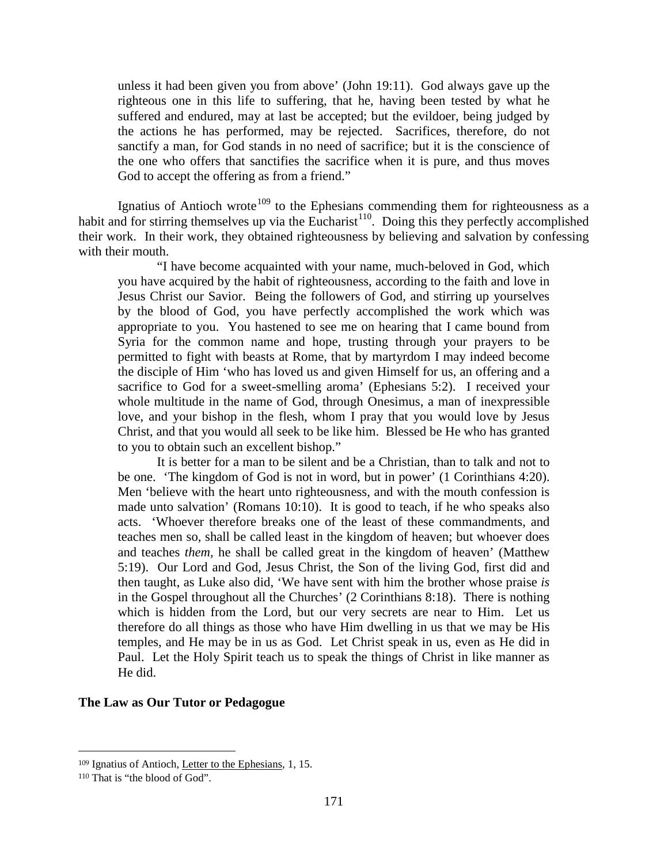unless it had been given you from above' (John 19:11). God always gave up the righteous one in this life to suffering, that he, having been tested by what he suffered and endured, may at last be accepted; but the evildoer, being judged by the actions he has performed, may be rejected. Sacrifices, therefore, do not sanctify a man, for God stands in no need of sacrifice; but it is the conscience of the one who offers that sanctifies the sacrifice when it is pure, and thus moves God to accept the offering as from a friend."

Ignatius of Antioch wrote<sup>[109](#page-70-0)</sup> to the Ephesians commending them for righteousness as a habit and for stirring themselves up via the Eucharist<sup>110</sup>. Doing this they perfectly accomplished their work. In their work, they obtained righteousness by believing and salvation by confessing with their mouth.

"I have become acquainted with your name, much-beloved in God, which you have acquired by the habit of righteousness, according to the faith and love in Jesus Christ our Savior. Being the followers of God, and stirring up yourselves by the blood of God, you have perfectly accomplished the work which was appropriate to you. You hastened to see me on hearing that I came bound from Syria for the common name and hope, trusting through your prayers to be permitted to fight with beasts at Rome, that by martyrdom I may indeed become the disciple of Him 'who has loved us and given Himself for us, an offering and a sacrifice to God for a sweet-smelling aroma' (Ephesians 5:2). I received your whole multitude in the name of God, through Onesimus, a man of inexpressible love, and your bishop in the flesh, whom I pray that you would love by Jesus Christ, and that you would all seek to be like him. Blessed be He who has granted to you to obtain such an excellent bishop."

It is better for a man to be silent and be a Christian, than to talk and not to be one. 'The kingdom of God is not in word, but in power' (1 Corinthians 4:20). Men 'believe with the heart unto righteousness, and with the mouth confession is made unto salvation' (Romans 10:10). It is good to teach, if he who speaks also acts. 'Whoever therefore breaks one of the least of these commandments, and teaches men so, shall be called least in the kingdom of heaven; but whoever does and teaches *them,* he shall be called great in the kingdom of heaven' (Matthew 5:19). Our Lord and God, Jesus Christ, the Son of the living God, first did and then taught, as Luke also did, 'We have sent with him the brother whose praise *is*  in the Gospel throughout all the Churches' (2 Corinthians 8:18). There is nothing which is hidden from the Lord, but our very secrets are near to Him. Let us therefore do all things as those who have Him dwelling in us that we may be His temples, and He may be in us as God. Let Christ speak in us, even as He did in Paul. Let the Holy Spirit teach us to speak the things of Christ in like manner as He did.

## **The Law as Our Tutor or Pedagogue**

<span id="page-70-0"></span><sup>109</sup> Ignatius of Antioch, Letter to the Ephesians, 1, 15.

<span id="page-70-1"></span><sup>110</sup> That is "the blood of God".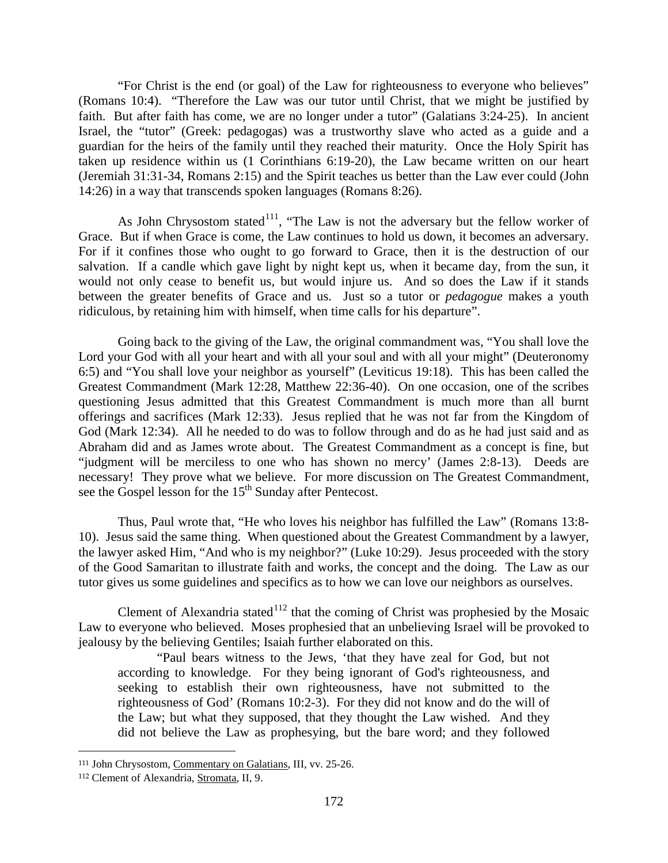"For Christ is the end (or goal) of the Law for righteousness to everyone who believes" (Romans 10:4). "Therefore the Law was our tutor until Christ, that we might be justified by faith. But after faith has come, we are no longer under a tutor" (Galatians 3:24-25). In ancient Israel, the "tutor" (Greek: pedagogas) was a trustworthy slave who acted as a guide and a guardian for the heirs of the family until they reached their maturity. Once the Holy Spirit has taken up residence within us (1 Corinthians 6:19-20), the Law became written on our heart (Jeremiah 31:31-34, Romans 2:15) and the Spirit teaches us better than the Law ever could (John 14:26) in a way that transcends spoken languages (Romans 8:26).

As John Chrysostom stated<sup>111</sup>, "The Law is not the adversary but the fellow worker of Grace. But if when Grace is come, the Law continues to hold us down, it becomes an adversary. For if it confines those who ought to go forward to Grace, then it is the destruction of our salvation. If a candle which gave light by night kept us, when it became day, from the sun, it would not only cease to benefit us, but would injure us. And so does the Law if it stands between the greater benefits of Grace and us. Just so a tutor or *pedagogue* makes a youth ridiculous, by retaining him with himself, when time calls for his departure".

Going back to the giving of the Law, the original commandment was, "You shall love the Lord your God with all your heart and with all your soul and with all your might" (Deuteronomy 6:5) and "You shall love your neighbor as yourself" (Leviticus 19:18). This has been called the Greatest Commandment (Mark 12:28, Matthew 22:36-40). On one occasion, one of the scribes questioning Jesus admitted that this Greatest Commandment is much more than all burnt offerings and sacrifices (Mark 12:33). Jesus replied that he was not far from the Kingdom of God (Mark 12:34). All he needed to do was to follow through and do as he had just said and as Abraham did and as James wrote about. The Greatest Commandment as a concept is fine, but "judgment will be merciless to one who has shown no mercy' (James 2:8-13). Deeds are necessary! They prove what we believe. For more discussion on The Greatest Commandment, see the Gospel lesson for the 15<sup>th</sup> Sunday after Pentecost.

Thus, Paul wrote that, "He who loves his neighbor has fulfilled the Law" (Romans 13:8- 10). Jesus said the same thing. When questioned about the Greatest Commandment by a lawyer, the lawyer asked Him, "And who is my neighbor?" (Luke 10:29). Jesus proceeded with the story of the Good Samaritan to illustrate faith and works, the concept and the doing. The Law as our tutor gives us some guidelines and specifics as to how we can love our neighbors as ourselves.

Clement of Alexandria stated<sup>[112](#page-71-1)</sup> that the coming of Christ was prophesied by the Mosaic Law to everyone who believed. Moses prophesied that an unbelieving Israel will be provoked to jealousy by the believing Gentiles; Isaiah further elaborated on this.

"Paul bears witness to the Jews, 'that they have zeal for God, but not according to knowledge. For they being ignorant of God's righteousness, and seeking to establish their own righteousness, have not submitted to the righteousness of God' (Romans 10:2-3). For they did not know and do the will of the Law; but what they supposed, that they thought the Law wished. And they did not believe the Law as prophesying, but the bare word; and they followed

<span id="page-71-0"></span><sup>111</sup> John Chrysostom, Commentary on Galatians, III, vv. 25-26.

<span id="page-71-1"></span><sup>112</sup> Clement of Alexandria, Stromata, II, 9.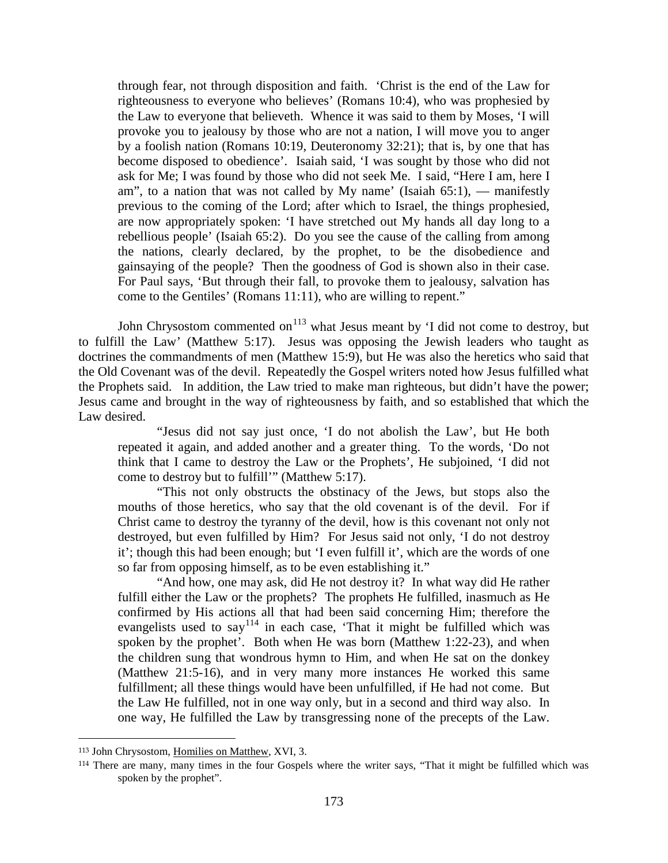through fear, not through disposition and faith. 'Christ is the end of the Law for righteousness to everyone who believes' (Romans 10:4), who was prophesied by the Law to everyone that believeth. Whence it was said to them by Moses, 'I will provoke you to jealousy by those who are not a nation, I will move you to anger by a foolish nation (Romans 10:19, Deuteronomy 32:21); that is, by one that has become disposed to obedience'. Isaiah said, 'I was sought by those who did not ask for Me; I was found by those who did not seek Me. I said, "Here I am, here I am", to a nation that was not called by My name' (Isaiah  $65:1$ ), — manifestly previous to the coming of the Lord; after which to Israel, the things prophesied, are now appropriately spoken: 'I have stretched out My hands all day long to a rebellious people' (Isaiah 65:2). Do you see the cause of the calling from among the nations, clearly declared, by the prophet, to be the disobedience and gainsaying of the people? Then the goodness of God is shown also in their case. For Paul says, 'But through their fall, to provoke them to jealousy, salvation has come to the Gentiles' (Romans 11:11), who are willing to repent."

John Chrysostom commented on $^{113}$  $^{113}$  $^{113}$  what Jesus meant by 'I did not come to destroy, but to fulfill the Law' (Matthew 5:17). Jesus was opposing the Jewish leaders who taught as doctrines the commandments of men (Matthew 15:9), but He was also the heretics who said that the Old Covenant was of the devil. Repeatedly the Gospel writers noted how Jesus fulfilled what the Prophets said. In addition, the Law tried to make man righteous, but didn't have the power; Jesus came and brought in the way of righteousness by faith, and so established that which the Law desired.

"Jesus did not say just once, 'I do not abolish the Law', but He both repeated it again, and added another and a greater thing. To the words, 'Do not think that I came to destroy the Law or the Prophets', He subjoined, 'I did not come to destroy but to fulfill'" (Matthew 5:17).

"This not only obstructs the obstinacy of the Jews, but stops also the mouths of those heretics, who say that the old covenant is of the devil. For if Christ came to destroy the tyranny of the devil, how is this covenant not only not destroyed, but even fulfilled by Him? For Jesus said not only, 'I do not destroy it'; though this had been enough; but 'I even fulfill it', which are the words of one so far from opposing himself, as to be even establishing it."

"And how, one may ask, did He not destroy it? In what way did He rather fulfill either the Law or the prophets? The prophets He fulfilled, inasmuch as He confirmed by His actions all that had been said concerning Him; therefore the evangelists used to say<sup>[114](#page-72-1)</sup> in each case, 'That it might be fulfilled which was spoken by the prophet'. Both when He was born (Matthew 1:22-23), and when the children sung that wondrous hymn to Him, and when He sat on the donkey (Matthew 21:5-16), and in very many more instances He worked this same fulfillment; all these things would have been unfulfilled, if He had not come. But the Law He fulfilled, not in one way only, but in a second and third way also. In one way, He fulfilled the Law by transgressing none of the precepts of the Law.

<span id="page-72-0"></span><sup>113</sup> John Chrysostom, Homilies on Matthew, XVI, 3.

<span id="page-72-1"></span><sup>&</sup>lt;sup>114</sup> There are many, many times in the four Gospels where the writer says, "That it might be fulfilled which was spoken by the prophet".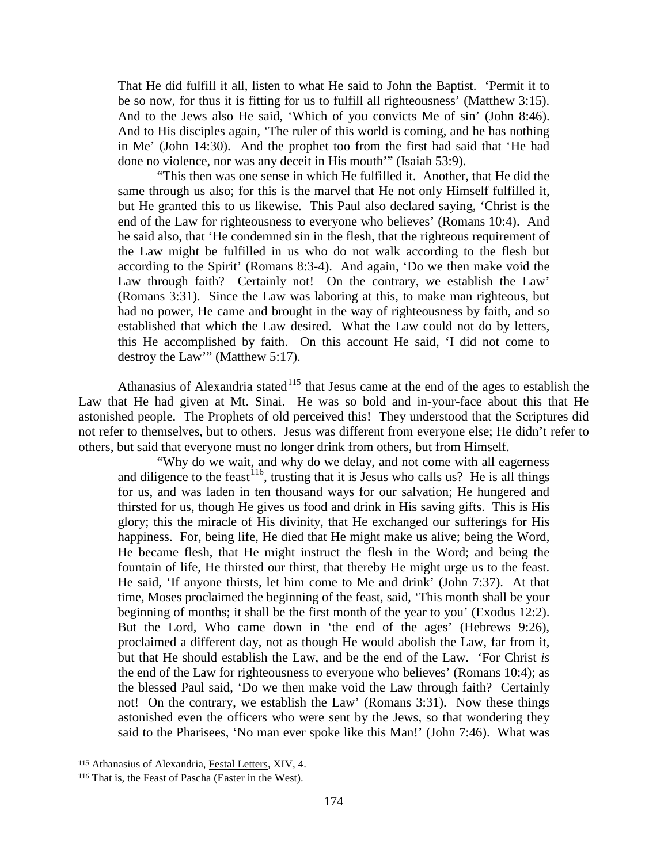That He did fulfill it all, listen to what He said to John the Baptist. 'Permit it to be so now, for thus it is fitting for us to fulfill all righteousness' (Matthew 3:15). And to the Jews also He said, 'Which of you convicts Me of sin' (John 8:46). And to His disciples again, 'The ruler of this world is coming, and he has nothing in Me' (John 14:30). And the prophet too from the first had said that 'He had done no violence, nor was any deceit in His mouth'" (Isaiah 53:9).

"This then was one sense in which He fulfilled it. Another, that He did the same through us also; for this is the marvel that He not only Himself fulfilled it, but He granted this to us likewise. This Paul also declared saying, 'Christ is the end of the Law for righteousness to everyone who believes' (Romans 10:4). And he said also, that 'He condemned sin in the flesh, that the righteous requirement of the Law might be fulfilled in us who do not walk according to the flesh but according to the Spirit' (Romans 8:3-4). And again, 'Do we then make void the Law through faith? Certainly not! On the contrary, we establish the Law' (Romans 3:31). Since the Law was laboring at this, to make man righteous, but had no power, He came and brought in the way of righteousness by faith, and so established that which the Law desired. What the Law could not do by letters, this He accomplished by faith. On this account He said, 'I did not come to destroy the Law'" (Matthew 5:17).

Athanasius of Alexandria stated<sup>[115](#page-73-0)</sup> that Jesus came at the end of the ages to establish the Law that He had given at Mt. Sinai. He was so bold and in-your-face about this that He astonished people. The Prophets of old perceived this! They understood that the Scriptures did not refer to themselves, but to others. Jesus was different from everyone else; He didn't refer to others, but said that everyone must no longer drink from others, but from Himself.

"Why do we wait, and why do we delay, and not come with all eagerness and diligence to the feast  $116$ , trusting that it is Jesus who calls us? He is all things for us, and was laden in ten thousand ways for our salvation; He hungered and thirsted for us, though He gives us food and drink in His saving gifts. This is His glory; this the miracle of His divinity, that He exchanged our sufferings for His happiness. For, being life, He died that He might make us alive; being the Word, He became flesh, that He might instruct the flesh in the Word; and being the fountain of life, He thirsted our thirst, that thereby He might urge us to the feast. He said, 'If anyone thirsts, let him come to Me and drink' (John 7:37). At that time, Moses proclaimed the beginning of the feast, said, 'This month shall be your beginning of months; it shall be the first month of the year to you' (Exodus 12:2). But the Lord, Who came down in 'the end of the ages' (Hebrews 9:26), proclaimed a different day, not as though He would abolish the Law, far from it, but that He should establish the Law, and be the end of the Law. 'For Christ *is*  the end of the Law for righteousness to everyone who believes' (Romans 10:4); as the blessed Paul said, 'Do we then make void the Law through faith? Certainly not! On the contrary, we establish the Law' (Romans 3:31). Now these things astonished even the officers who were sent by the Jews, so that wondering they said to the Pharisees, 'No man ever spoke like this Man!' (John 7:46). What was

<span id="page-73-0"></span><sup>115</sup> Athanasius of Alexandria, Festal Letters, XIV, 4.

<span id="page-73-1"></span><sup>116</sup> That is, the Feast of Pascha (Easter in the West).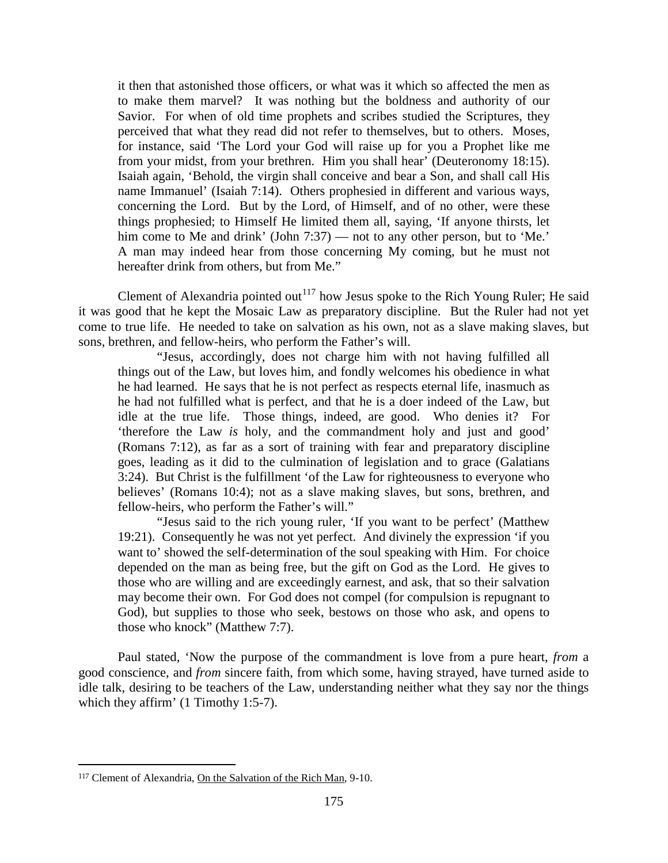it then that astonished those officers, or what was it which so affected the men as to make them marvel? It was nothing but the boldness and authority of our Savior. For when of old time prophets and scribes studied the Scriptures, they perceived that what they read did not refer to themselves, but to others. Moses, for instance, said 'The Lord your God will raise up for you a Prophet like me from your midst, from your brethren. Him you shall hear' (Deuteronomy 18:15). Isaiah again, 'Behold, the virgin shall conceive and bear a Son, and shall call His name Immanuel' (Isaiah 7:14). Others prophesied in different and various ways, concerning the Lord. But by the Lord, of Himself, and of no other, were these things prophesied; to Himself He limited them all, saying, 'If anyone thirsts, let him come to Me and drink' (John 7:37) — not to any other person, but to 'Me.' A man may indeed hear from those concerning My coming, but he must not hereafter drink from others, but from Me."

Clement of Alexandria pointed out<sup>[117](#page-74-0)</sup> how Jesus spoke to the Rich Young Ruler; He said it was good that he kept the Mosaic Law as preparatory discipline. But the Ruler had not yet come to true life. He needed to take on salvation as his own, not as a slave making slaves, but sons, brethren, and fellow-heirs, who perform the Father's will.

"Jesus, accordingly, does not charge him with not having fulfilled all things out of the Law, but loves him, and fondly welcomes his obedience in what he had learned. He says that he is not perfect as respects eternal life, inasmuch as he had not fulfilled what is perfect, and that he is a doer indeed of the Law, but idle at the true life. Those things, indeed, are good. Who denies it? For 'therefore the Law *is* holy, and the commandment holy and just and good' (Romans 7:12), as far as a sort of training with fear and preparatory discipline goes, leading as it did to the culmination of legislation and to grace (Galatians 3:24). But Christ is the fulfillment 'of the Law for righteousness to everyone who believes' (Romans 10:4); not as a slave making slaves, but sons, brethren, and fellow-heirs, who perform the Father's will."

"Jesus said to the rich young ruler, 'If you want to be perfect' (Matthew 19:21). Consequently he was not yet perfect. And divinely the expression 'if you want to' showed the self-determination of the soul speaking with Him. For choice depended on the man as being free, but the gift on God as the Lord. He gives to those who are willing and are exceedingly earnest, and ask, that so their salvation may become their own. For God does not compel (for compulsion is repugnant to God), but supplies to those who seek, bestows on those who ask, and opens to those who knock" (Matthew 7:7).

Paul stated, 'Now the purpose of the commandment is love from a pure heart, *from* a good conscience, and *from* sincere faith, from which some, having strayed, have turned aside to idle talk, desiring to be teachers of the Law, understanding neither what they say nor the things which they affirm' (1 Timothy 1:5-7).

<span id="page-74-0"></span><sup>117</sup> Clement of Alexandria, On the Salvation of the Rich Man, 9-10.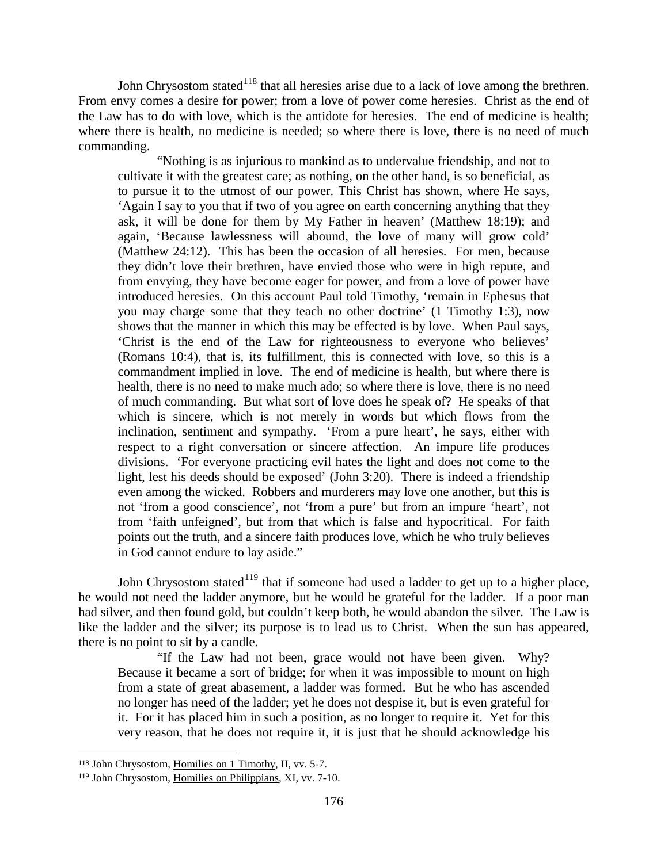John Chrysostom stated<sup>[118](#page-75-0)</sup> that all heresies arise due to a lack of love among the brethren. From envy comes a desire for power; from a love of power come heresies. Christ as the end of the Law has to do with love, which is the antidote for heresies. The end of medicine is health; where there is health, no medicine is needed; so where there is love, there is no need of much commanding.

"Nothing is as injurious to mankind as to undervalue friendship, and not to cultivate it with the greatest care; as nothing, on the other hand, is so beneficial, as to pursue it to the utmost of our power. This Christ has shown, where He says, 'Again I say to you that if two of you agree on earth concerning anything that they ask, it will be done for them by My Father in heaven' (Matthew 18:19); and again, 'Because lawlessness will abound, the love of many will grow cold' (Matthew 24:12). This has been the occasion of all heresies. For men, because they didn't love their brethren, have envied those who were in high repute, and from envying, they have become eager for power, and from a love of power have introduced heresies. On this account Paul told Timothy, 'remain in Ephesus that you may charge some that they teach no other doctrine' (1 Timothy 1:3), now shows that the manner in which this may be effected is by love. When Paul says, 'Christ is the end of the Law for righteousness to everyone who believes' (Romans 10:4), that is, its fulfillment, this is connected with love, so this is a commandment implied in love. The end of medicine is health, but where there is health, there is no need to make much ado; so where there is love, there is no need of much commanding. But what sort of love does he speak of? He speaks of that which is sincere, which is not merely in words but which flows from the inclination, sentiment and sympathy. 'From a pure heart', he says, either with respect to a right conversation or sincere affection. An impure life produces divisions. 'For everyone practicing evil hates the light and does not come to the light, lest his deeds should be exposed' (John 3:20). There is indeed a friendship even among the wicked. Robbers and murderers may love one another, but this is not 'from a good conscience', not 'from a pure' but from an impure 'heart', not from 'faith unfeigned', but from that which is false and hypocritical. For faith points out the truth, and a sincere faith produces love, which he who truly believes in God cannot endure to lay aside."

John Chrysostom stated<sup>[119](#page-75-1)</sup> that if someone had used a ladder to get up to a higher place, he would not need the ladder anymore, but he would be grateful for the ladder. If a poor man had silver, and then found gold, but couldn't keep both, he would abandon the silver. The Law is like the ladder and the silver; its purpose is to lead us to Christ. When the sun has appeared, there is no point to sit by a candle.

"If the Law had not been, grace would not have been given. Why? Because it became a sort of bridge; for when it was impossible to mount on high from a state of great abasement, a ladder was formed. But he who has ascended no longer has need of the ladder; yet he does not despise it, but is even grateful for it. For it has placed him in such a position, as no longer to require it. Yet for this very reason, that he does not require it, it is just that he should acknowledge his

<span id="page-75-0"></span><sup>118</sup> John Chrysostom, Homilies on 1 Timothy, II, vv. 5-7.

<span id="page-75-1"></span><sup>119</sup> John Chrysostom, Homilies on Philippians, XI, vv. 7-10.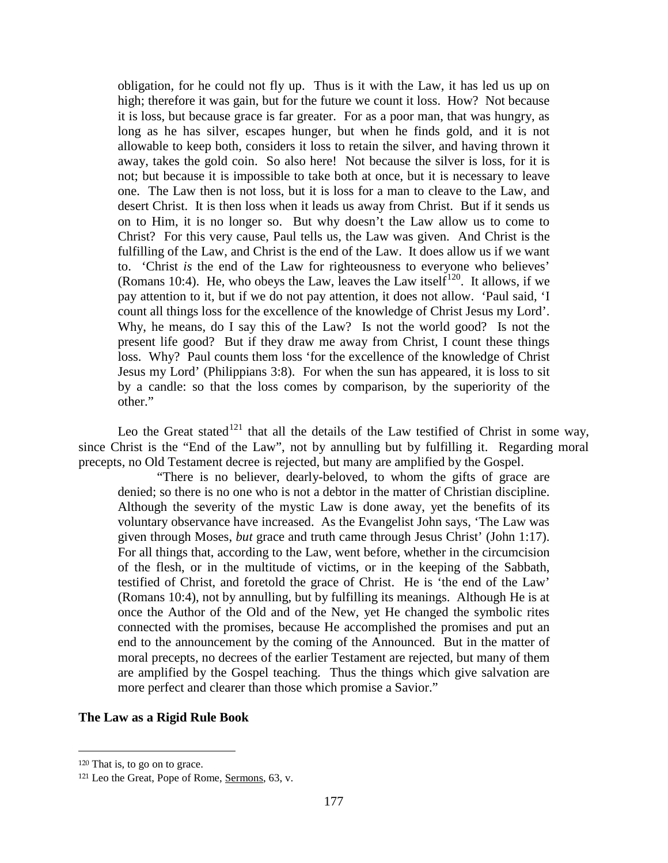obligation, for he could not fly up. Thus is it with the Law, it has led us up on high; therefore it was gain, but for the future we count it loss. How? Not because it is loss, but because grace is far greater. For as a poor man, that was hungry, as long as he has silver, escapes hunger, but when he finds gold, and it is not allowable to keep both, considers it loss to retain the silver, and having thrown it away, takes the gold coin. So also here! Not because the silver is loss, for it is not; but because it is impossible to take both at once, but it is necessary to leave one. The Law then is not loss, but it is loss for a man to cleave to the Law, and desert Christ. It is then loss when it leads us away from Christ. But if it sends us on to Him, it is no longer so. But why doesn't the Law allow us to come to Christ? For this very cause, Paul tells us, the Law was given. And Christ is the fulfilling of the Law, and Christ is the end of the Law. It does allow us if we want to. 'Christ *is* the end of the Law for righteousness to everyone who believes' (Romans 10:4). He, who obeys the Law, leaves the Law itself<sup>[120](#page-76-0)</sup>. It allows, if we pay attention to it, but if we do not pay attention, it does not allow. 'Paul said, 'I count all things loss for the excellence of the knowledge of Christ Jesus my Lord'. Why, he means, do I say this of the Law? Is not the world good? Is not the present life good? But if they draw me away from Christ, I count these things loss. Why? Paul counts them loss 'for the excellence of the knowledge of Christ Jesus my Lord' (Philippians 3:8). For when the sun has appeared, it is loss to sit by a candle: so that the loss comes by comparison, by the superiority of the other."

Leo the Great stated<sup>[121](#page-76-1)</sup> that all the details of the Law testified of Christ in some way, since Christ is the "End of the Law", not by annulling but by fulfilling it. Regarding moral precepts, no Old Testament decree is rejected, but many are amplified by the Gospel.

"There is no believer, dearly-beloved, to whom the gifts of grace are denied; so there is no one who is not a debtor in the matter of Christian discipline. Although the severity of the mystic Law is done away, yet the benefits of its voluntary observance have increased. As the Evangelist John says, 'The Law was given through Moses, *but* grace and truth came through Jesus Christ' (John 1:17). For all things that, according to the Law, went before, whether in the circumcision of the flesh, or in the multitude of victims, or in the keeping of the Sabbath, testified of Christ, and foretold the grace of Christ. He is 'the end of the Law' (Romans 10:4), not by annulling, but by fulfilling its meanings. Although He is at once the Author of the Old and of the New, yet He changed the symbolic rites connected with the promises, because He accomplished the promises and put an end to the announcement by the coming of the Announced. But in the matter of moral precepts, no decrees of the earlier Testament are rejected, but many of them are amplified by the Gospel teaching. Thus the things which give salvation are more perfect and clearer than those which promise a Savior."

## **The Law as a Rigid Rule Book**

<span id="page-76-0"></span><sup>120</sup> That is, to go on to grace.

<span id="page-76-1"></span><sup>121</sup> Leo the Great, Pope of Rome, Sermons, 63, v.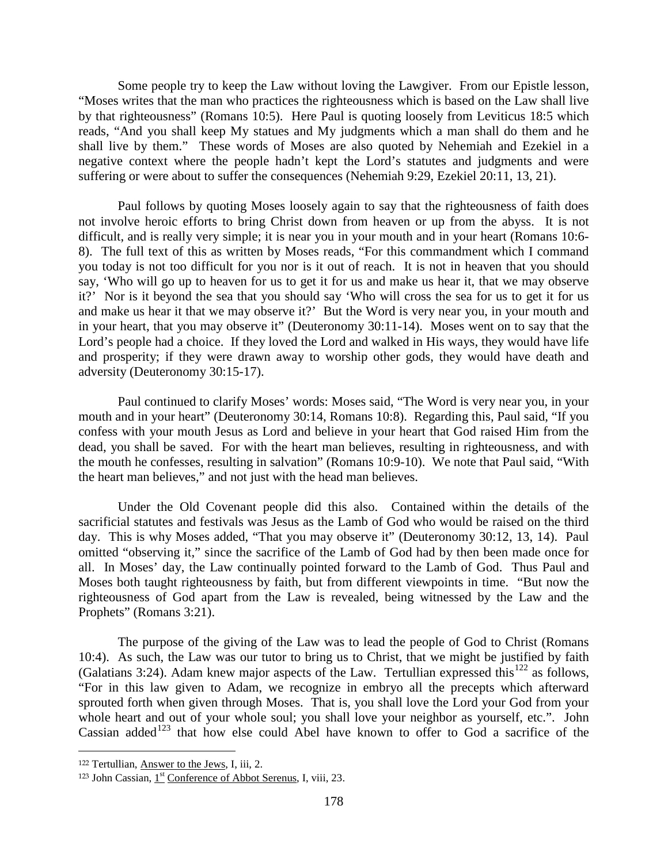Some people try to keep the Law without loving the Lawgiver. From our Epistle lesson, "Moses writes that the man who practices the righteousness which is based on the Law shall live by that righteousness" (Romans 10:5). Here Paul is quoting loosely from Leviticus 18:5 which reads, "And you shall keep My statues and My judgments which a man shall do them and he shall live by them." These words of Moses are also quoted by Nehemiah and Ezekiel in a negative context where the people hadn't kept the Lord's statutes and judgments and were suffering or were about to suffer the consequences (Nehemiah 9:29, Ezekiel 20:11, 13, 21).

Paul follows by quoting Moses loosely again to say that the righteousness of faith does not involve heroic efforts to bring Christ down from heaven or up from the abyss. It is not difficult, and is really very simple; it is near you in your mouth and in your heart (Romans 10:6- 8). The full text of this as written by Moses reads, "For this commandment which I command you today is not too difficult for you nor is it out of reach. It is not in heaven that you should say, 'Who will go up to heaven for us to get it for us and make us hear it, that we may observe it?' Nor is it beyond the sea that you should say 'Who will cross the sea for us to get it for us and make us hear it that we may observe it?' But the Word is very near you, in your mouth and in your heart, that you may observe it" (Deuteronomy 30:11-14). Moses went on to say that the Lord's people had a choice. If they loved the Lord and walked in His ways, they would have life and prosperity; if they were drawn away to worship other gods, they would have death and adversity (Deuteronomy 30:15-17).

Paul continued to clarify Moses' words: Moses said, "The Word is very near you, in your mouth and in your heart" (Deuteronomy 30:14, Romans 10:8). Regarding this, Paul said, "If you confess with your mouth Jesus as Lord and believe in your heart that God raised Him from the dead, you shall be saved. For with the heart man believes, resulting in righteousness, and with the mouth he confesses, resulting in salvation" (Romans 10:9-10). We note that Paul said, "With the heart man believes," and not just with the head man believes.

Under the Old Covenant people did this also. Contained within the details of the sacrificial statutes and festivals was Jesus as the Lamb of God who would be raised on the third day. This is why Moses added, "That you may observe it" (Deuteronomy 30:12, 13, 14). Paul omitted "observing it," since the sacrifice of the Lamb of God had by then been made once for all. In Moses' day, the Law continually pointed forward to the Lamb of God. Thus Paul and Moses both taught righteousness by faith, but from different viewpoints in time. "But now the righteousness of God apart from the Law is revealed, being witnessed by the Law and the Prophets" (Romans 3:21).

The purpose of the giving of the Law was to lead the people of God to Christ (Romans 10:4). As such, the Law was our tutor to bring us to Christ, that we might be justified by faith (Galatians 3:24). Adam knew major aspects of the Law. Tertullian expressed this<sup>[122](#page-77-0)</sup> as follows, "For in this law given to Adam, we recognize in embryo all the precepts which afterward sprouted forth when given through Moses. That is, you shall love the Lord your God from your whole heart and out of your whole soul; you shall love your neighbor as yourself, etc.". John Cassian added<sup>[123](#page-77-1)</sup> that how else could Abel have known to offer to God a sacrifice of the

<span id="page-77-0"></span><sup>122</sup> Tertullian, Answer to the Jews, I, iii, 2.

<span id="page-77-1"></span><sup>123</sup> John Cassian,  $1<sup>st</sup>$  Conference of Abbot Serenus, I, viii, 23.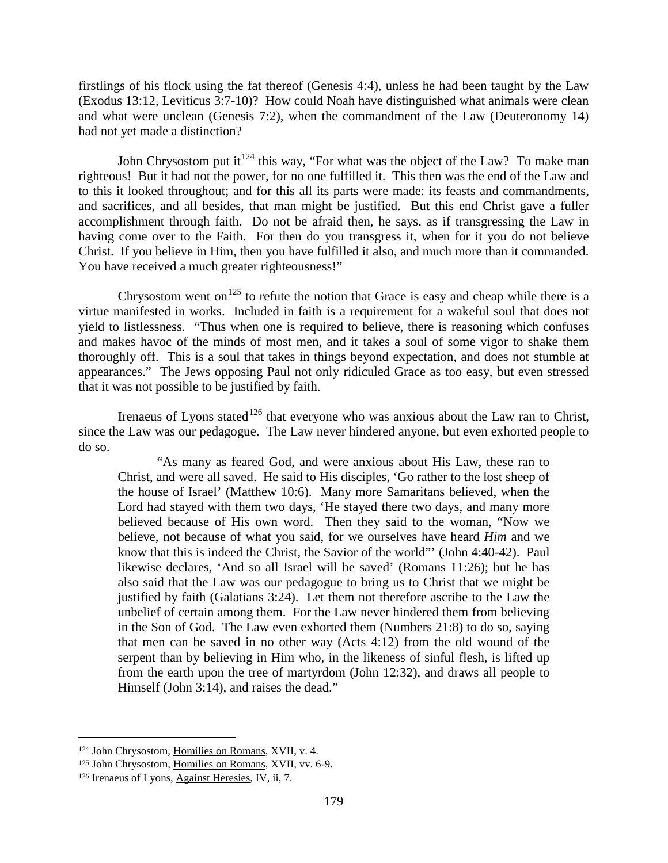firstlings of his flock using the fat thereof (Genesis 4:4), unless he had been taught by the Law (Exodus 13:12, Leviticus 3:7-10)? How could Noah have distinguished what animals were clean and what were unclean (Genesis 7:2), when the commandment of the Law (Deuteronomy 14) had not yet made a distinction?

John Chrysostom put it<sup>[124](#page-78-0)</sup> this way, "For what was the object of the Law? To make man righteous! But it had not the power, for no one fulfilled it. This then was the end of the Law and to this it looked throughout; and for this all its parts were made: its feasts and commandments, and sacrifices, and all besides, that man might be justified. But this end Christ gave a fuller accomplishment through faith. Do not be afraid then, he says, as if transgressing the Law in having come over to the Faith. For then do you transgress it, when for it you do not believe Christ. If you believe in Him, then you have fulfilled it also, and much more than it commanded. You have received a much greater righteousness!"

Chrysostom went on<sup>[125](#page-78-1)</sup> to refute the notion that Grace is easy and cheap while there is a virtue manifested in works. Included in faith is a requirement for a wakeful soul that does not yield to listlessness. "Thus when one is required to believe, there is reasoning which confuses and makes havoc of the minds of most men, and it takes a soul of some vigor to shake them thoroughly off. This is a soul that takes in things beyond expectation, and does not stumble at appearances." The Jews opposing Paul not only ridiculed Grace as too easy, but even stressed that it was not possible to be justified by faith.

Irenaeus of Lyons stated<sup>[126](#page-78-2)</sup> that everyone who was anxious about the Law ran to Christ, since the Law was our pedagogue. The Law never hindered anyone, but even exhorted people to do so.

"As many as feared God, and were anxious about His Law, these ran to Christ, and were all saved. He said to His disciples, 'Go rather to the lost sheep of the house of Israel' (Matthew 10:6). Many more Samaritans believed, when the Lord had stayed with them two days, 'He stayed there two days, and many more believed because of His own word. Then they said to the woman, "Now we believe, not because of what you said, for we ourselves have heard *Him* and we know that this is indeed the Christ, the Savior of the world"' (John 4:40-42). Paul likewise declares, 'And so all Israel will be saved' (Romans 11:26); but he has also said that the Law was our pedagogue to bring us to Christ that we might be justified by faith (Galatians 3:24). Let them not therefore ascribe to the Law the unbelief of certain among them. For the Law never hindered them from believing in the Son of God. The Law even exhorted them (Numbers 21:8) to do so, saying that men can be saved in no other way (Acts 4:12) from the old wound of the serpent than by believing in Him who, in the likeness of sinful flesh, is lifted up from the earth upon the tree of martyrdom (John 12:32), and draws all people to Himself (John 3:14), and raises the dead."

<span id="page-78-0"></span><sup>124</sup> John Chrysostom, Homilies on Romans, XVII, v. 4.

<span id="page-78-1"></span><sup>125</sup> John Chrysostom, Homilies on Romans, XVII, vv. 6-9.

<span id="page-78-2"></span><sup>126</sup> Irenaeus of Lyons, Against Heresies, IV, ii, 7.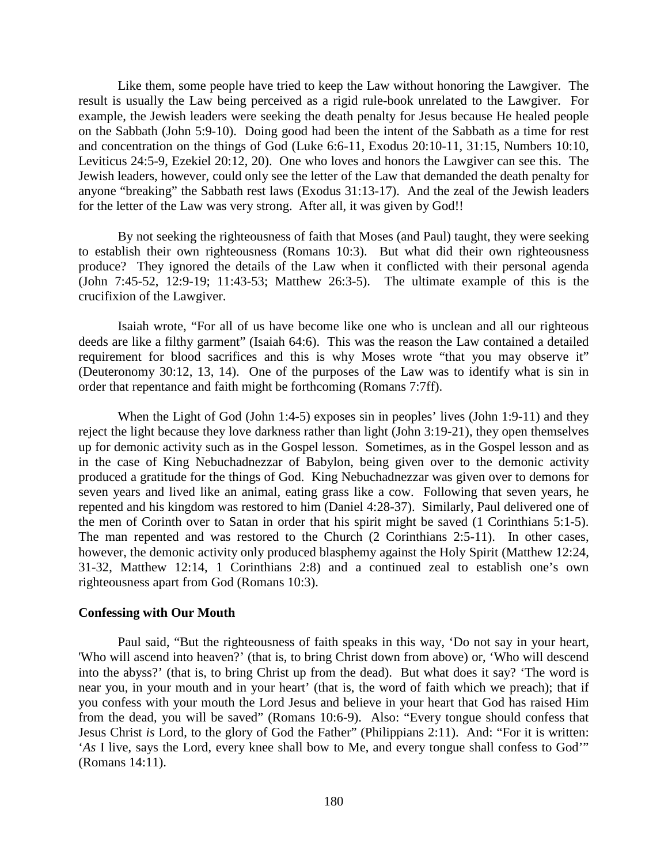Like them, some people have tried to keep the Law without honoring the Lawgiver. The result is usually the Law being perceived as a rigid rule-book unrelated to the Lawgiver. For example, the Jewish leaders were seeking the death penalty for Jesus because He healed people on the Sabbath (John 5:9-10). Doing good had been the intent of the Sabbath as a time for rest and concentration on the things of God (Luke 6:6-11, Exodus 20:10-11, 31:15, Numbers 10:10, Leviticus 24:5-9, Ezekiel 20:12, 20). One who loves and honors the Lawgiver can see this. The Jewish leaders, however, could only see the letter of the Law that demanded the death penalty for anyone "breaking" the Sabbath rest laws (Exodus 31:13-17). And the zeal of the Jewish leaders for the letter of the Law was very strong. After all, it was given by God!!

By not seeking the righteousness of faith that Moses (and Paul) taught, they were seeking to establish their own righteousness (Romans 10:3). But what did their own righteousness produce? They ignored the details of the Law when it conflicted with their personal agenda (John 7:45-52, 12:9-19; 11:43-53; Matthew 26:3-5). The ultimate example of this is the crucifixion of the Lawgiver.

Isaiah wrote, "For all of us have become like one who is unclean and all our righteous deeds are like a filthy garment" (Isaiah 64:6). This was the reason the Law contained a detailed requirement for blood sacrifices and this is why Moses wrote "that you may observe it" (Deuteronomy 30:12, 13, 14). One of the purposes of the Law was to identify what is sin in order that repentance and faith might be forthcoming (Romans 7:7ff).

When the Light of God (John 1:4-5) exposes sin in peoples' lives (John 1:9-11) and they reject the light because they love darkness rather than light (John 3:19-21), they open themselves up for demonic activity such as in the Gospel lesson. Sometimes, as in the Gospel lesson and as in the case of King Nebuchadnezzar of Babylon, being given over to the demonic activity produced a gratitude for the things of God. King Nebuchadnezzar was given over to demons for seven years and lived like an animal, eating grass like a cow. Following that seven years, he repented and his kingdom was restored to him (Daniel 4:28-37). Similarly, Paul delivered one of the men of Corinth over to Satan in order that his spirit might be saved (1 Corinthians 5:1-5). The man repented and was restored to the Church (2 Corinthians 2:5-11). In other cases, however, the demonic activity only produced blasphemy against the Holy Spirit (Matthew 12:24, 31-32, Matthew 12:14, 1 Corinthians 2:8) and a continued zeal to establish one's own righteousness apart from God (Romans 10:3).

## **Confessing with Our Mouth**

Paul said, "But the righteousness of faith speaks in this way, 'Do not say in your heart, 'Who will ascend into heaven?' (that is, to bring Christ down from above) or, 'Who will descend into the abyss?' (that is, to bring Christ up from the dead). But what does it say? 'The word is near you, in your mouth and in your heart' (that is, the word of faith which we preach); that if you confess with your mouth the Lord Jesus and believe in your heart that God has raised Him from the dead, you will be saved" (Romans 10:6-9). Also: "Every tongue should confess that Jesus Christ *is* Lord, to the glory of God the Father" (Philippians 2:11). And: "For it is written: '*As* I live, says the Lord, every knee shall bow to Me, and every tongue shall confess to God'" (Romans 14:11).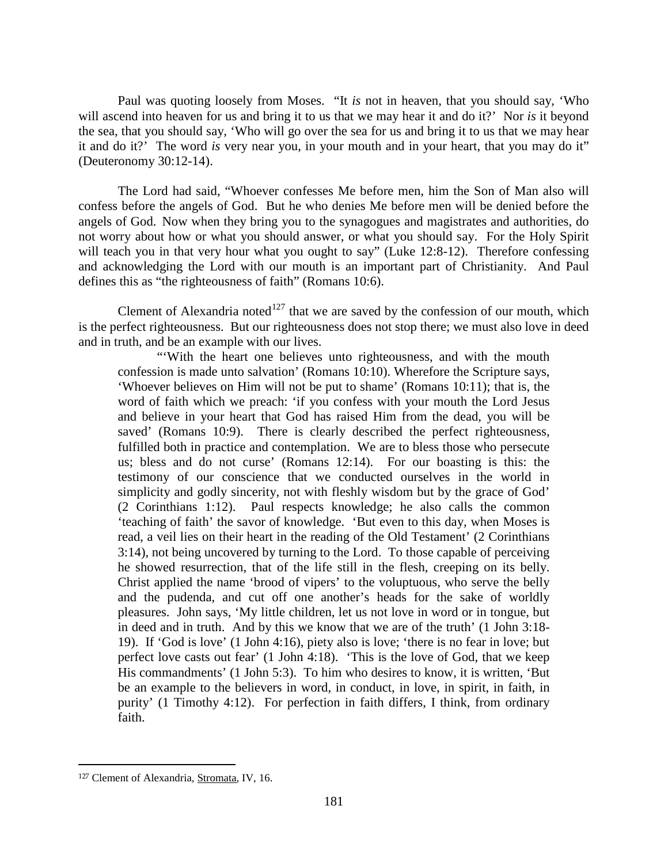Paul was quoting loosely from Moses. "It *is* not in heaven, that you should say, 'Who will ascend into heaven for us and bring it to us that we may hear it and do it?' Nor *is* it beyond the sea, that you should say, 'Who will go over the sea for us and bring it to us that we may hear it and do it?' The word *is* very near you, in your mouth and in your heart, that you may do it" (Deuteronomy 30:12-14).

The Lord had said, "Whoever confesses Me before men, him the Son of Man also will confess before the angels of God. But he who denies Me before men will be denied before the angels of God. Now when they bring you to the synagogues and magistrates and authorities, do not worry about how or what you should answer, or what you should say. For the Holy Spirit will teach you in that very hour what you ought to say" (Luke 12:8-12). Therefore confessing and acknowledging the Lord with our mouth is an important part of Christianity. And Paul defines this as "the righteousness of faith" (Romans 10:6).

Clement of Alexandria noted<sup>[127](#page-80-0)</sup> that we are saved by the confession of our mouth, which is the perfect righteousness. But our righteousness does not stop there; we must also love in deed and in truth, and be an example with our lives.

"With the heart one believes unto righteousness, and with the mouth confession is made unto salvation' (Romans 10:10). Wherefore the Scripture says, 'Whoever believes on Him will not be put to shame' (Romans 10:11); that is, the word of faith which we preach: 'if you confess with your mouth the Lord Jesus and believe in your heart that God has raised Him from the dead, you will be saved' (Romans 10:9). There is clearly described the perfect righteousness, fulfilled both in practice and contemplation. We are to bless those who persecute us; bless and do not curse' (Romans 12:14). For our boasting is this: the testimony of our conscience that we conducted ourselves in the world in simplicity and godly sincerity, not with fleshly wisdom but by the grace of God' (2 Corinthians 1:12). Paul respects knowledge; he also calls the common 'teaching of faith' the savor of knowledge. 'But even to this day, when Moses is read, a veil lies on their heart in the reading of the Old Testament' (2 Corinthians 3:14), not being uncovered by turning to the Lord. To those capable of perceiving he showed resurrection, that of the life still in the flesh, creeping on its belly. Christ applied the name 'brood of vipers' to the voluptuous, who serve the belly and the pudenda, and cut off one another's heads for the sake of worldly pleasures. John says, 'My little children, let us not love in word or in tongue, but in deed and in truth. And by this we know that we are of the truth' (1 John 3:18- 19). If 'God is love' (1 John 4:16), piety also is love; 'there is no fear in love; but perfect love casts out fear' (1 John 4:18). 'This is the love of God, that we keep His commandments' (1 John 5:3). To him who desires to know, it is written, 'But be an example to the believers in word, in conduct, in love, in spirit, in faith, in purity' (1 Timothy 4:12). For perfection in faith differs, I think, from ordinary faith.

<span id="page-80-0"></span><sup>127</sup> Clement of Alexandria, Stromata, IV, 16.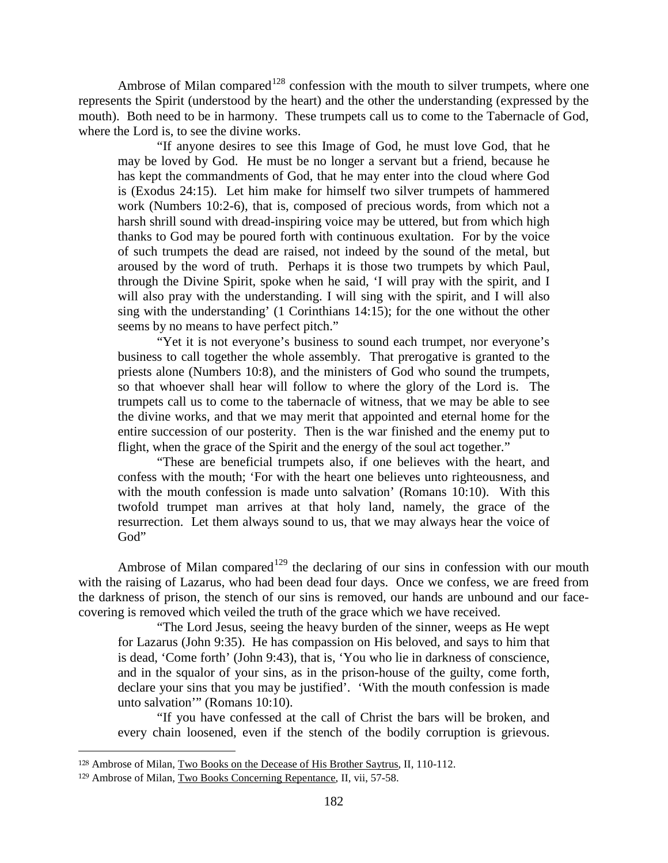Ambrose of Milan compared<sup>[128](#page-81-0)</sup> confession with the mouth to silver trumpets, where one represents the Spirit (understood by the heart) and the other the understanding (expressed by the mouth). Both need to be in harmony. These trumpets call us to come to the Tabernacle of God, where the Lord is, to see the divine works.

"If anyone desires to see this Image of God, he must love God, that he may be loved by God. He must be no longer a servant but a friend, because he has kept the commandments of God, that he may enter into the cloud where God is (Exodus 24:15). Let him make for himself two silver trumpets of hammered work (Numbers 10:2-6), that is, composed of precious words, from which not a harsh shrill sound with dread-inspiring voice may be uttered, but from which high thanks to God may be poured forth with continuous exultation. For by the voice of such trumpets the dead are raised, not indeed by the sound of the metal, but aroused by the word of truth. Perhaps it is those two trumpets by which Paul, through the Divine Spirit, spoke when he said, 'I will pray with the spirit, and I will also pray with the understanding. I will sing with the spirit, and I will also sing with the understanding' (1 Corinthians 14:15); for the one without the other seems by no means to have perfect pitch."

"Yet it is not everyone's business to sound each trumpet, nor everyone's business to call together the whole assembly. That prerogative is granted to the priests alone (Numbers 10:8), and the ministers of God who sound the trumpets, so that whoever shall hear will follow to where the glory of the Lord is. The trumpets call us to come to the tabernacle of witness, that we may be able to see the divine works, and that we may merit that appointed and eternal home for the entire succession of our posterity. Then is the war finished and the enemy put to flight, when the grace of the Spirit and the energy of the soul act together."

"These are beneficial trumpets also, if one believes with the heart, and confess with the mouth; 'For with the heart one believes unto righteousness, and with the mouth confession is made unto salvation' (Romans 10:10). With this twofold trumpet man arrives at that holy land, namely, the grace of the resurrection. Let them always sound to us, that we may always hear the voice of God"

Ambrose of Milan compared<sup>[129](#page-81-1)</sup> the declaring of our sins in confession with our mouth with the raising of Lazarus, who had been dead four days. Once we confess, we are freed from the darkness of prison, the stench of our sins is removed, our hands are unbound and our facecovering is removed which veiled the truth of the grace which we have received.

"The Lord Jesus, seeing the heavy burden of the sinner, weeps as He wept for Lazarus (John 9:35). He has compassion on His beloved, and says to him that is dead, 'Come forth' (John 9:43), that is, 'You who lie in darkness of conscience, and in the squalor of your sins, as in the prison-house of the guilty, come forth, declare your sins that you may be justified'. 'With the mouth confession is made unto salvation'" (Romans 10:10).

"If you have confessed at the call of Christ the bars will be broken, and every chain loosened, even if the stench of the bodily corruption is grievous.

<span id="page-81-0"></span><sup>128</sup> Ambrose of Milan, Two Books on the Decease of His Brother Saytrus, II, 110-112.

<span id="page-81-1"></span><sup>129</sup> Ambrose of Milan, Two Books Concerning Repentance, II, vii, 57-58.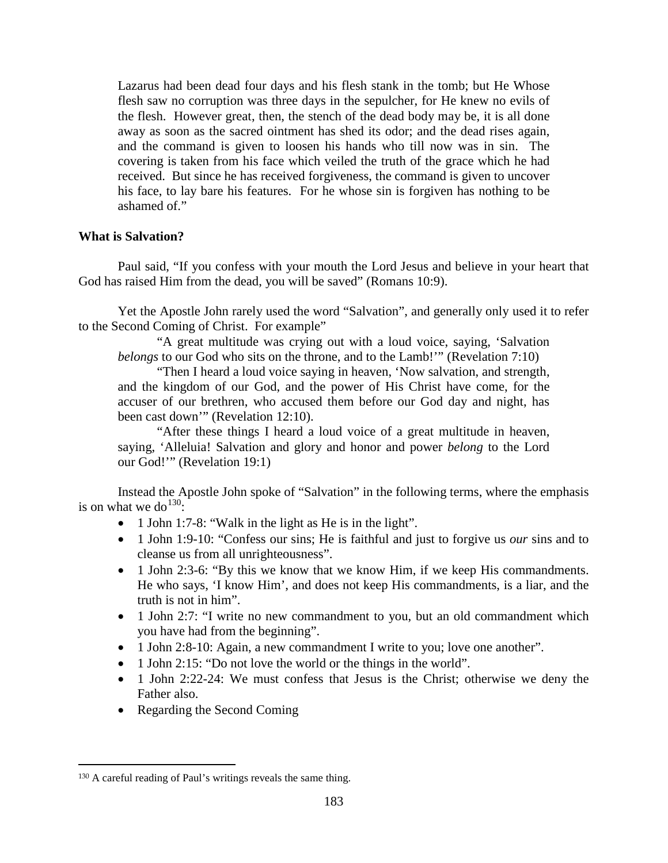Lazarus had been dead four days and his flesh stank in the tomb; but He Whose flesh saw no corruption was three days in the sepulcher, for He knew no evils of the flesh. However great, then, the stench of the dead body may be, it is all done away as soon as the sacred ointment has shed its odor; and the dead rises again, and the command is given to loosen his hands who till now was in sin. The covering is taken from his face which veiled the truth of the grace which he had received. But since he has received forgiveness, the command is given to uncover his face, to lay bare his features. For he whose sin is forgiven has nothing to be ashamed of."

## **What is Salvation?**

Paul said, "If you confess with your mouth the Lord Jesus and believe in your heart that God has raised Him from the dead, you will be saved" (Romans 10:9).

Yet the Apostle John rarely used the word "Salvation", and generally only used it to refer to the Second Coming of Christ. For example"

"A great multitude was crying out with a loud voice, saying, 'Salvation *belongs* to our God who sits on the throne, and to the Lamb!'" (Revelation 7:10)

"Then I heard a loud voice saying in heaven, 'Now salvation, and strength, and the kingdom of our God, and the power of His Christ have come, for the accuser of our brethren, who accused them before our God day and night, has been cast down'" (Revelation 12:10).

"After these things I heard a loud voice of a great multitude in heaven, saying, 'Alleluia! Salvation and glory and honor and power *belong* to the Lord our God!'" (Revelation 19:1)

Instead the Apostle John spoke of "Salvation" in the following terms, where the emphasis is on what we do<sup>[130](#page-82-0)</sup>:

- 1 John 1:7-8: "Walk in the light as He is in the light".
- 1 John 1:9-10: "Confess our sins; He is faithful and just to forgive us *our* sins and to cleanse us from all unrighteousness".
- 1 John 2:3-6: "By this we know that we know Him, if we keep His commandments. He who says, 'I know Him', and does not keep His commandments, is a liar, and the truth is not in him".
- 1 John 2:7: "I write no new commandment to you, but an old commandment which you have had from the beginning".
- 1 John 2:8-10: Again, a new commandment I write to you; love one another".
- 1 John 2:15: "Do not love the world or the things in the world".
- 1 John 2:22-24: We must confess that Jesus is the Christ; otherwise we deny the Father also.
- Regarding the Second Coming

<span id="page-82-0"></span> $\overline{a}$ <sup>130</sup> A careful reading of Paul's writings reveals the same thing.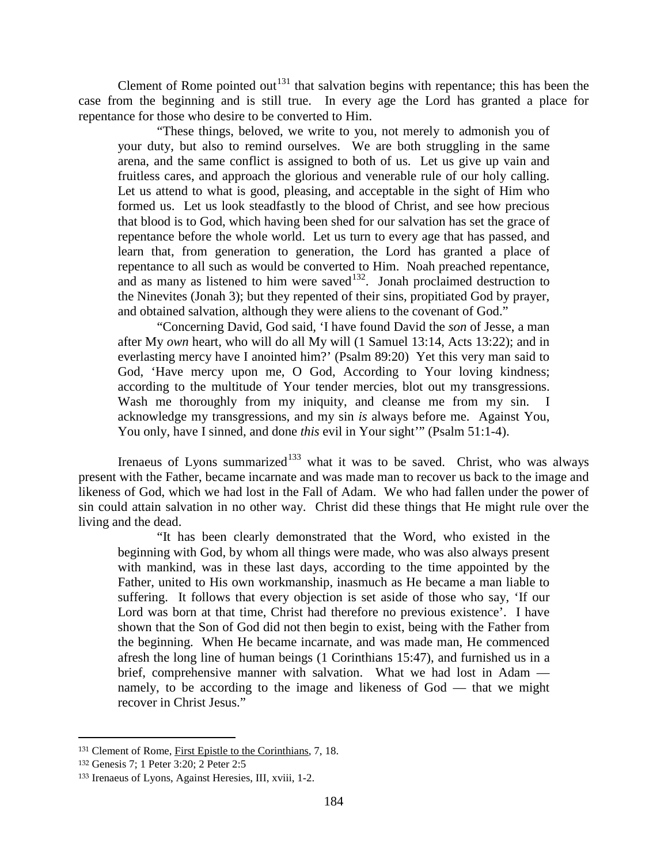Clement of Rome pointed out<sup>[131](#page-83-0)</sup> that salvation begins with repentance; this has been the case from the beginning and is still true. In every age the Lord has granted a place for repentance for those who desire to be converted to Him.

"These things, beloved, we write to you, not merely to admonish you of your duty, but also to remind ourselves. We are both struggling in the same arena, and the same conflict is assigned to both of us. Let us give up vain and fruitless cares, and approach the glorious and venerable rule of our holy calling. Let us attend to what is good, pleasing, and acceptable in the sight of Him who formed us. Let us look steadfastly to the blood of Christ, and see how precious that blood is to God, which having been shed for our salvation has set the grace of repentance before the whole world. Let us turn to every age that has passed, and learn that, from generation to generation, the Lord has granted a place of repentance to all such as would be converted to Him. Noah preached repentance, and as many as listened to him were saved $132$ . Jonah proclaimed destruction to the Ninevites (Jonah 3); but they repented of their sins, propitiated God by prayer, and obtained salvation, although they were aliens to the covenant of God."

"Concerning David, God said, 'I have found David the *son* of Jesse, a man after My *own* heart, who will do all My will (1 Samuel 13:14, Acts 13:22); and in everlasting mercy have I anointed him?' (Psalm 89:20) Yet this very man said to God, 'Have mercy upon me, O God, According to Your loving kindness; according to the multitude of Your tender mercies, blot out my transgressions. Wash me thoroughly from my iniquity, and cleanse me from my sin. I acknowledge my transgressions, and my sin *is* always before me. Against You, You only, have I sinned, and done *this* evil in Your sight'" (Psalm 51:1-4).

Irenaeus of Lyons summarized<sup>[133](#page-83-2)</sup> what it was to be saved. Christ, who was always present with the Father, became incarnate and was made man to recover us back to the image and likeness of God, which we had lost in the Fall of Adam. We who had fallen under the power of sin could attain salvation in no other way. Christ did these things that He might rule over the living and the dead.

"It has been clearly demonstrated that the Word, who existed in the beginning with God, by whom all things were made, who was also always present with mankind, was in these last days, according to the time appointed by the Father, united to His own workmanship, inasmuch as He became a man liable to suffering. It follows that every objection is set aside of those who say, 'If our Lord was born at that time, Christ had therefore no previous existence'. I have shown that the Son of God did not then begin to exist, being with the Father from the beginning. When He became incarnate, and was made man, He commenced afresh the long line of human beings (1 Corinthians 15:47), and furnished us in a brief, comprehensive manner with salvation. What we had lost in Adam namely, to be according to the image and likeness of God — that we might recover in Christ Jesus."

<span id="page-83-0"></span><sup>131</sup> Clement of Rome, First Epistle to the Corinthians, 7, 18.

<span id="page-83-1"></span><sup>132</sup> Genesis 7; 1 Peter 3:20; 2 Peter 2:5

<span id="page-83-2"></span><sup>133</sup> Irenaeus of Lyons, Against Heresies, III, xviii, 1-2.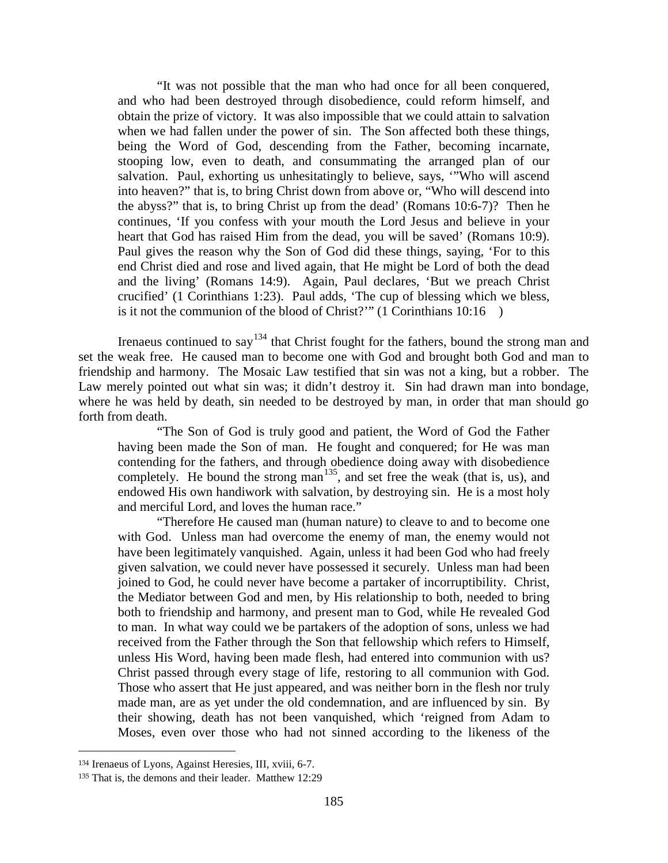"It was not possible that the man who had once for all been conquered, and who had been destroyed through disobedience, could reform himself, and obtain the prize of victory. It was also impossible that we could attain to salvation when we had fallen under the power of sin. The Son affected both these things, being the Word of God, descending from the Father, becoming incarnate, stooping low, even to death, and consummating the arranged plan of our salvation. Paul, exhorting us unhesitatingly to believe, says, '"Who will ascend into heaven?" that is, to bring Christ down from above or, "Who will descend into the abyss?" that is, to bring Christ up from the dead' (Romans 10:6-7)? Then he continues, 'If you confess with your mouth the Lord Jesus and believe in your heart that God has raised Him from the dead, you will be saved' (Romans 10:9). Paul gives the reason why the Son of God did these things, saying, 'For to this end Christ died and rose and lived again, that He might be Lord of both the dead and the living' (Romans 14:9). Again, Paul declares, 'But we preach Christ crucified' (1 Corinthians 1:23). Paul adds, 'The cup of blessing which we bless, is it not the communion of the blood of Christ?'" (1 Corinthians 10:16 )

Irenaeus continued to say<sup>[134](#page-84-0)</sup> that Christ fought for the fathers, bound the strong man and set the weak free. He caused man to become one with God and brought both God and man to friendship and harmony. The Mosaic Law testified that sin was not a king, but a robber. The Law merely pointed out what sin was; it didn't destroy it. Sin had drawn man into bondage, where he was held by death, sin needed to be destroyed by man, in order that man should go forth from death.

"The Son of God is truly good and patient, the Word of God the Father having been made the Son of man. He fought and conquered; for He was man contending for the fathers, and through obedience doing away with disobedience completely. He bound the strong man<sup>[135](#page-84-1)</sup>, and set free the weak (that is, us), and endowed His own handiwork with salvation, by destroying sin. He is a most holy and merciful Lord, and loves the human race."

"Therefore He caused man (human nature) to cleave to and to become one with God. Unless man had overcome the enemy of man, the enemy would not have been legitimately vanquished. Again, unless it had been God who had freely given salvation, we could never have possessed it securely. Unless man had been joined to God, he could never have become a partaker of incorruptibility. Christ, the Mediator between God and men, by His relationship to both, needed to bring both to friendship and harmony, and present man to God, while He revealed God to man. In what way could we be partakers of the adoption of sons, unless we had received from the Father through the Son that fellowship which refers to Himself, unless His Word, having been made flesh, had entered into communion with us? Christ passed through every stage of life, restoring to all communion with God. Those who assert that He just appeared, and was neither born in the flesh nor truly made man, are as yet under the old condemnation, and are influenced by sin. By their showing, death has not been vanquished, which 'reigned from Adam to Moses, even over those who had not sinned according to the likeness of the

<span id="page-84-0"></span><sup>134</sup> Irenaeus of Lyons, Against Heresies, III, xviii, 6-7.

<span id="page-84-1"></span><sup>135</sup> That is, the demons and their leader. Matthew 12:29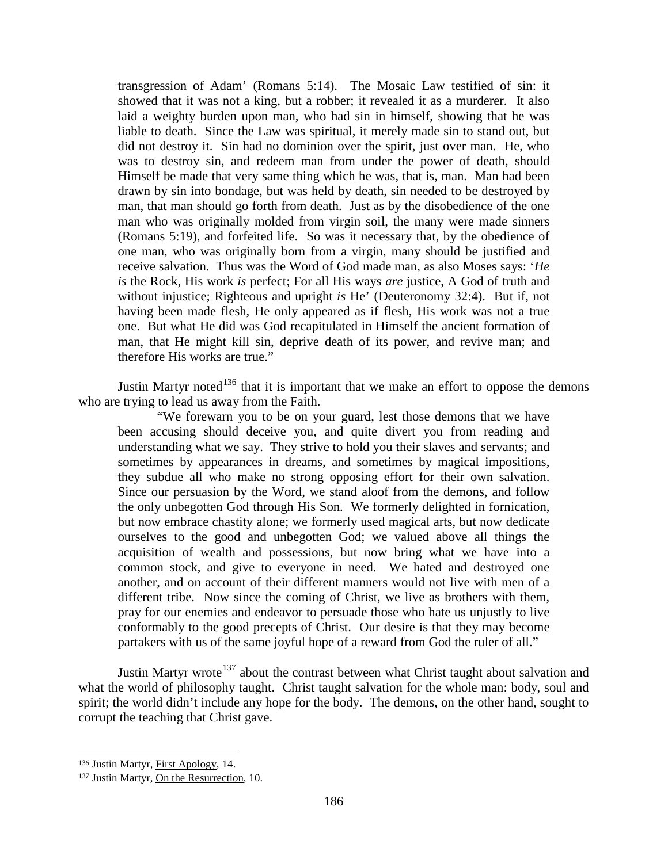transgression of Adam' (Romans 5:14). The Mosaic Law testified of sin: it showed that it was not a king, but a robber; it revealed it as a murderer. It also laid a weighty burden upon man, who had sin in himself, showing that he was liable to death. Since the Law was spiritual, it merely made sin to stand out, but did not destroy it. Sin had no dominion over the spirit, just over man. He, who was to destroy sin, and redeem man from under the power of death, should Himself be made that very same thing which he was, that is, man. Man had been drawn by sin into bondage, but was held by death, sin needed to be destroyed by man, that man should go forth from death. Just as by the disobedience of the one man who was originally molded from virgin soil, the many were made sinners (Romans 5:19), and forfeited life. So was it necessary that, by the obedience of one man, who was originally born from a virgin, many should be justified and receive salvation. Thus was the Word of God made man, as also Moses says: '*He is* the Rock, His work *is* perfect; For all His ways *are* justice, A God of truth and without injustice; Righteous and upright *is* He' (Deuteronomy 32:4). But if, not having been made flesh, He only appeared as if flesh, His work was not a true one. But what He did was God recapitulated in Himself the ancient formation of man, that He might kill sin, deprive death of its power, and revive man; and therefore His works are true."

Justin Martyr noted<sup>[136](#page-85-0)</sup> that it is important that we make an effort to oppose the demons who are trying to lead us away from the Faith.

"We forewarn you to be on your guard, lest those demons that we have been accusing should deceive you, and quite divert you from reading and understanding what we say. They strive to hold you their slaves and servants; and sometimes by appearances in dreams, and sometimes by magical impositions, they subdue all who make no strong opposing effort for their own salvation. Since our persuasion by the Word, we stand aloof from the demons, and follow the only unbegotten God through His Son. We formerly delighted in fornication, but now embrace chastity alone; we formerly used magical arts, but now dedicate ourselves to the good and unbegotten God; we valued above all things the acquisition of wealth and possessions, but now bring what we have into a common stock, and give to everyone in need. We hated and destroyed one another, and on account of their different manners would not live with men of a different tribe. Now since the coming of Christ, we live as brothers with them, pray for our enemies and endeavor to persuade those who hate us unjustly to live conformably to the good precepts of Christ. Our desire is that they may become partakers with us of the same joyful hope of a reward from God the ruler of all."

Justin Martyr wrote<sup>[137](#page-85-1)</sup> about the contrast between what Christ taught about salvation and what the world of philosophy taught. Christ taught salvation for the whole man: body, soul and spirit; the world didn't include any hope for the body. The demons, on the other hand, sought to corrupt the teaching that Christ gave.

<span id="page-85-0"></span><sup>136</sup> Justin Martyr, First Apology, 14.

<span id="page-85-1"></span><sup>137</sup> Justin Martyr, On the Resurrection, 10.